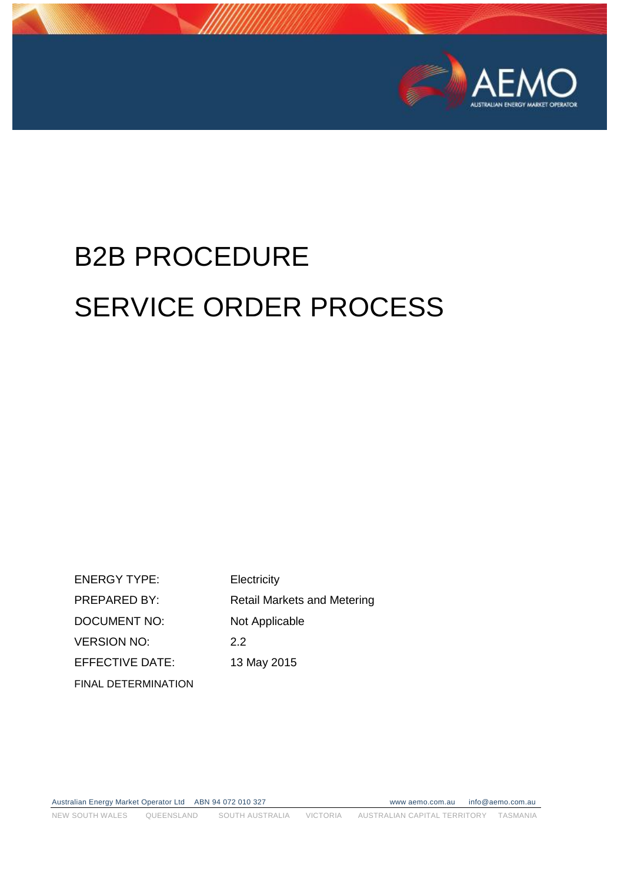

# B2B PROCEDURE SERVICE ORDER PROCESS

ENERGY TYPE: Electricity PREPARED BY: Retail Markets and Metering DOCUMENT NO: Not Applicable VERSION NO: 2.2 EFFECTIVE DATE: 13 May 2015 FINAL DETERMINATION

Australian Energy Market Operator Ltd ABN 94 072 010 327 www aemo.com.au info@aemo.com.au NEW SOUTH WALES QUEENSLAND SOUTH AUSTRALIA VICTORIA AUSTRALIAN CAPITAL TERRITORY TASMANIA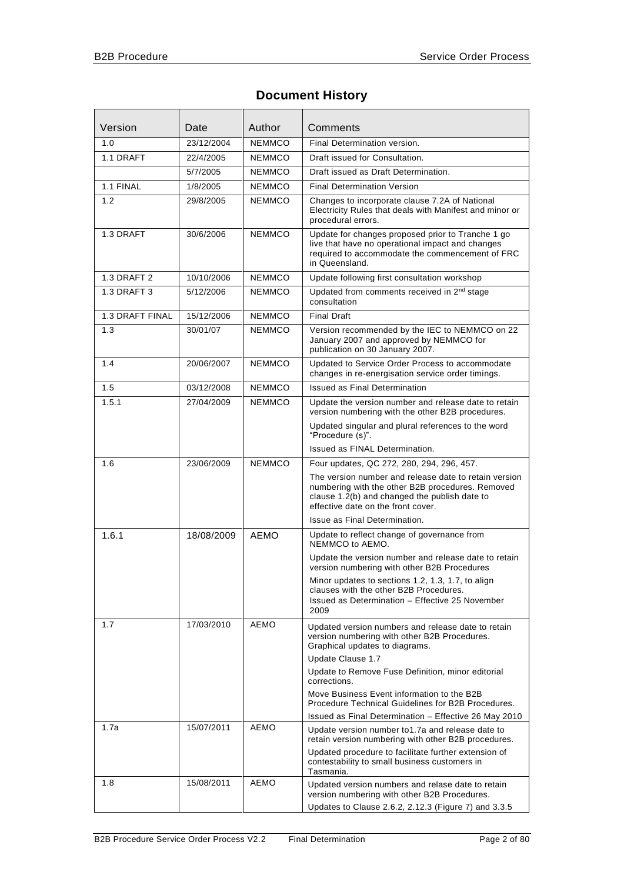# **Document History**

| Version                | Date       | Author        | Comments                                                                                                                                                                                         |  |  |
|------------------------|------------|---------------|--------------------------------------------------------------------------------------------------------------------------------------------------------------------------------------------------|--|--|
| 1.0                    | 23/12/2004 | <b>NEMMCO</b> | Final Determination version.                                                                                                                                                                     |  |  |
| 1.1 DRAFT              | 22/4/2005  | <b>NEMMCO</b> | Draft issued for Consultation.                                                                                                                                                                   |  |  |
|                        | 5/7/2005   | <b>NEMMCO</b> | Draft issued as Draft Determination.                                                                                                                                                             |  |  |
| 1.1 FINAL              | 1/8/2005   | <b>NEMMCO</b> | <b>Final Determination Version</b>                                                                                                                                                               |  |  |
| 1.2                    | 29/8/2005  | <b>NEMMCO</b> | Changes to incorporate clause 7.2A of National<br>Electricity Rules that deals with Manifest and minor or<br>procedural errors.                                                                  |  |  |
| 1.3 DRAFT              | 30/6/2006  | <b>NEMMCO</b> | Update for changes proposed prior to Tranche 1 go<br>live that have no operational impact and changes<br>required to accommodate the commencement of FRC<br>in Queensland.                       |  |  |
| 1.3 DRAFT 2            | 10/10/2006 | <b>NEMMCO</b> | Update following first consultation workshop                                                                                                                                                     |  |  |
| 1.3 DRAFT 3            | 5/12/2006  | <b>NEMMCO</b> | Updated from comments received in 2 <sup>nd</sup> stage<br>consultation                                                                                                                          |  |  |
| <b>1.3 DRAFT FINAL</b> | 15/12/2006 | <b>NEMMCO</b> | <b>Final Draft</b>                                                                                                                                                                               |  |  |
| 1.3                    | 30/01/07   | <b>NEMMCO</b> | Version recommended by the IEC to NEMMCO on 22<br>January 2007 and approved by NEMMCO for<br>publication on 30 January 2007.                                                                     |  |  |
| 1.4                    | 20/06/2007 | <b>NEMMCO</b> | Updated to Service Order Process to accommodate<br>changes in re-energisation service order timings.                                                                                             |  |  |
| 1.5                    | 03/12/2008 | <b>NEMMCO</b> | <b>Issued as Final Determination</b>                                                                                                                                                             |  |  |
| 1.5.1                  | 27/04/2009 | <b>NEMMCO</b> | Update the version number and release date to retain<br>version numbering with the other B2B procedures.                                                                                         |  |  |
|                        |            |               | Updated singular and plural references to the word<br>"Procedure (s)".                                                                                                                           |  |  |
|                        |            |               | Issued as FINAL Determination.                                                                                                                                                                   |  |  |
| 1.6                    | 23/06/2009 | <b>NEMMCO</b> | Four updates, QC 272, 280, 294, 296, 457.                                                                                                                                                        |  |  |
|                        |            |               | The version number and release date to retain version<br>numbering with the other B2B procedures. Removed<br>clause 1.2(b) and changed the publish date to<br>effective date on the front cover. |  |  |
|                        |            |               | Issue as Final Determination.                                                                                                                                                                    |  |  |
| 1.6.1                  | 18/08/2009 | <b>AEMO</b>   | Update to reflect change of governance from<br>NEMMCO to AEMO.                                                                                                                                   |  |  |
|                        |            |               | Update the version number and release date to retain<br>version numbering with other B2B Procedures                                                                                              |  |  |
|                        |            |               | Minor updates to sections 1.2, 1.3, 1.7, to align<br>clauses with the other B2B Procedures.<br>Issued as Determination - Effective 25 November<br>2009                                           |  |  |
| 1.7                    | 17/03/2010 | <b>AEMO</b>   | Updated version numbers and release date to retain<br>version numbering with other B2B Procedures.<br>Graphical updates to diagrams.                                                             |  |  |
|                        |            |               | Update Clause 1.7<br>Update to Remove Fuse Definition, minor editorial                                                                                                                           |  |  |
|                        |            |               | corrections.<br>Move Business Event information to the B2B<br>Procedure Technical Guidelines for B2B Procedures.                                                                                 |  |  |
|                        |            |               | Issued as Final Determination - Effective 26 May 2010                                                                                                                                            |  |  |
| 1.7a                   | 15/07/2011 | AEMO          | Update version number to 1.7a and release date to<br>retain version numbering with other B2B procedures.                                                                                         |  |  |
|                        |            |               | Updated procedure to facilitate further extension of<br>contestability to small business customers in<br>Tasmania.                                                                               |  |  |
| 1.8                    | 15/08/2011 | AEMO          | Updated version numbers and relase date to retain<br>version numbering with other B2B Procedures.                                                                                                |  |  |
|                        |            |               | Updates to Clause 2.6.2, 2.12.3 (Figure 7) and 3.3.5                                                                                                                                             |  |  |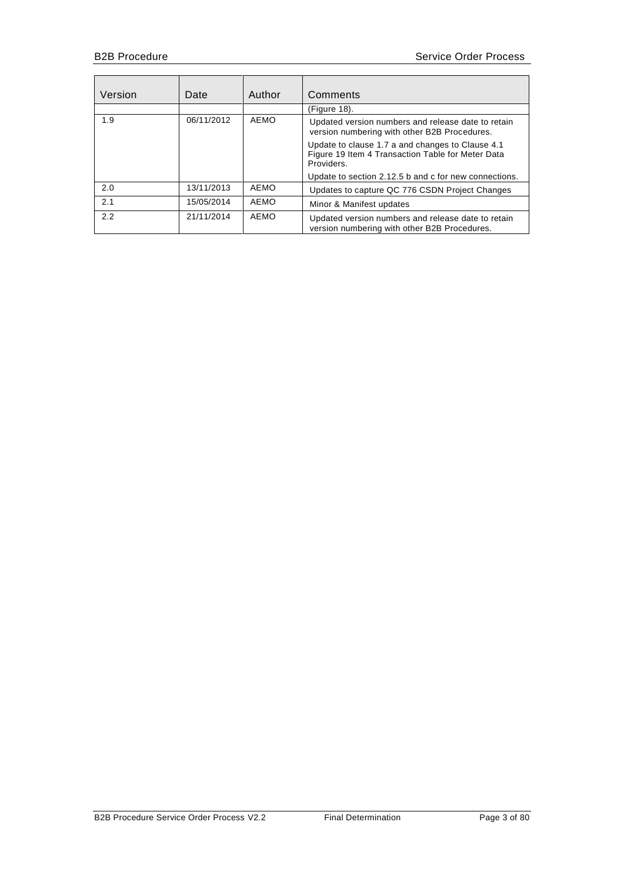| Version | Date       | Author | Comments                                                                                                            |  |
|---------|------------|--------|---------------------------------------------------------------------------------------------------------------------|--|
|         |            |        | (Figure 18).                                                                                                        |  |
| 1.9     | 06/11/2012 | AEMO   | Updated version numbers and release date to retain<br>version numbering with other B2B Procedures.                  |  |
|         |            |        | Update to clause 1.7 a and changes to Clause 4.1<br>Figure 19 Item 4 Transaction Table for Meter Data<br>Providers. |  |
|         |            |        | Update to section 2.12.5 b and c for new connections.                                                               |  |
| 2.0     | 13/11/2013 | AEMO   | Updates to capture QC 776 CSDN Project Changes                                                                      |  |
| 2.1     | 15/05/2014 | AEMO   | Minor & Manifest updates                                                                                            |  |
| 2.2     | 21/11/2014 | AEMO   | Updated version numbers and release date to retain<br>version numbering with other B2B Procedures.                  |  |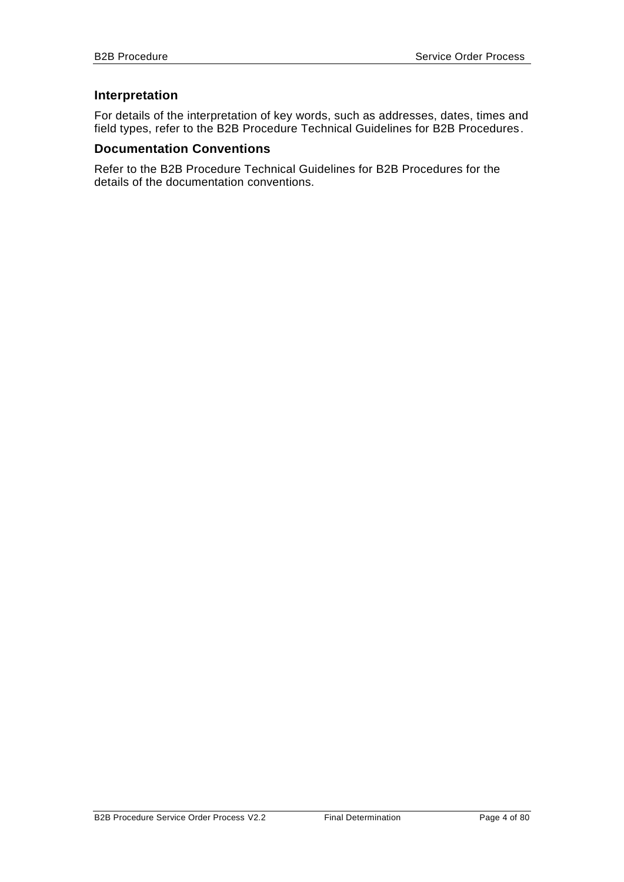## **Interpretation**

For details of the interpretation of key words, such as addresses, dates, times and field types, refer to the B2B Procedure Technical Guidelines for B2B Procedures.

## **Documentation Conventions**

Refer to the B2B Procedure Technical Guidelines for B2B Procedures for the details of the documentation conventions.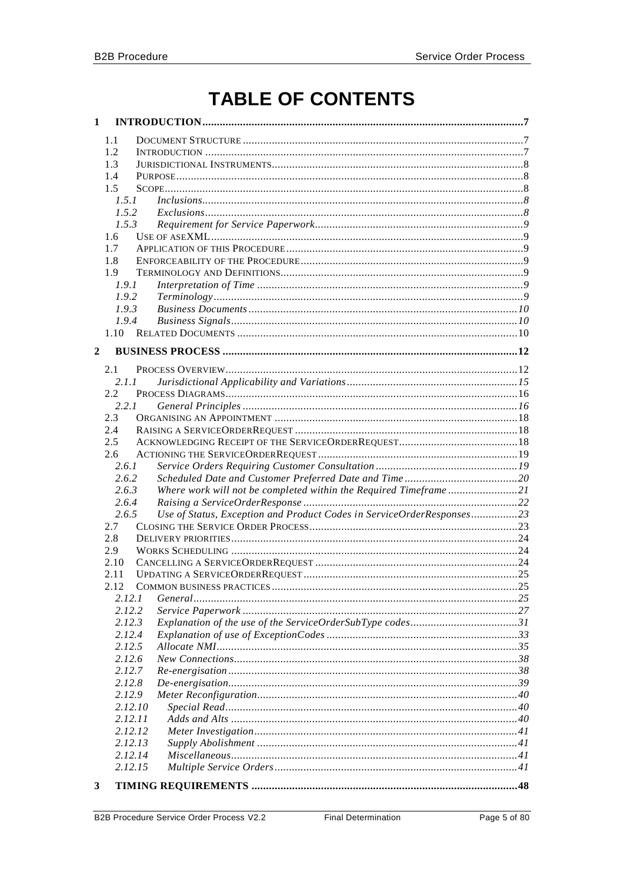# **TABLE OF CONTENTS**

| $\mathbf{1}$     |               |                                                                       |    |
|------------------|---------------|-----------------------------------------------------------------------|----|
|                  | 1.1           |                                                                       |    |
|                  | 1.2           |                                                                       |    |
|                  | 1.3           |                                                                       |    |
|                  | 1.4           |                                                                       |    |
|                  | 1.5           |                                                                       |    |
|                  | 1.5.1         | Inclusions. 88                                                        |    |
|                  | 1.5.2         |                                                                       |    |
|                  | 1.5.3         |                                                                       |    |
|                  | 1.6           |                                                                       |    |
|                  | 1.7           |                                                                       |    |
|                  | 1.8           |                                                                       |    |
|                  | 1.9           |                                                                       |    |
|                  | 1.9.1         |                                                                       |    |
|                  | 1.9.2         |                                                                       |    |
|                  | 1.9.3         |                                                                       |    |
|                  | 1.9.4         |                                                                       |    |
|                  | 1.10          |                                                                       |    |
|                  |               |                                                                       |    |
| $\boldsymbol{2}$ |               |                                                                       |    |
|                  |               |                                                                       |    |
|                  | 2.1           |                                                                       |    |
|                  | 2.1.1         |                                                                       |    |
|                  | $2.2^{\circ}$ |                                                                       |    |
|                  | 2.2.1         |                                                                       |    |
|                  | 2.3           |                                                                       |    |
|                  | 2.4           |                                                                       |    |
|                  | 2.5           |                                                                       |    |
|                  | 2.6           |                                                                       |    |
|                  | 2.6.1         |                                                                       |    |
|                  | 2.6.2         |                                                                       |    |
|                  | 2.6.3         | Where work will not be completed within the Required Timeframe21      |    |
|                  | 2.6.4         |                                                                       |    |
|                  | 2.6.5         | Use of Status, Exception and Product Codes in ServiceOrderResponses23 |    |
|                  | 2.7           |                                                                       |    |
|                  | 2.8           |                                                                       |    |
|                  | 2.9           |                                                                       |    |
|                  | 2.10          |                                                                       |    |
|                  | 2.11          |                                                                       |    |
|                  | 2.12          | COMMON BUSINESS PRACTICES.                                            | 25 |
|                  | 2.12.1        |                                                                       |    |
|                  | 2.12.2        |                                                                       |    |
|                  | 2.12.3        |                                                                       |    |
|                  | 2.12.4        |                                                                       |    |
|                  | 2.12.5        |                                                                       |    |
|                  | 2.12.6        |                                                                       |    |
|                  | 2.12.7        |                                                                       |    |
|                  | 2.12.8        |                                                                       |    |
|                  | 2.12.9        |                                                                       |    |
|                  | 2.12.10       |                                                                       |    |
|                  | 2.12.11       |                                                                       |    |
|                  | 2.12.12       |                                                                       |    |
|                  | 2.12.13       |                                                                       |    |
|                  | 2.12.14       |                                                                       |    |
|                  | 2.12.15       |                                                                       |    |
| 3                |               |                                                                       |    |
|                  |               |                                                                       |    |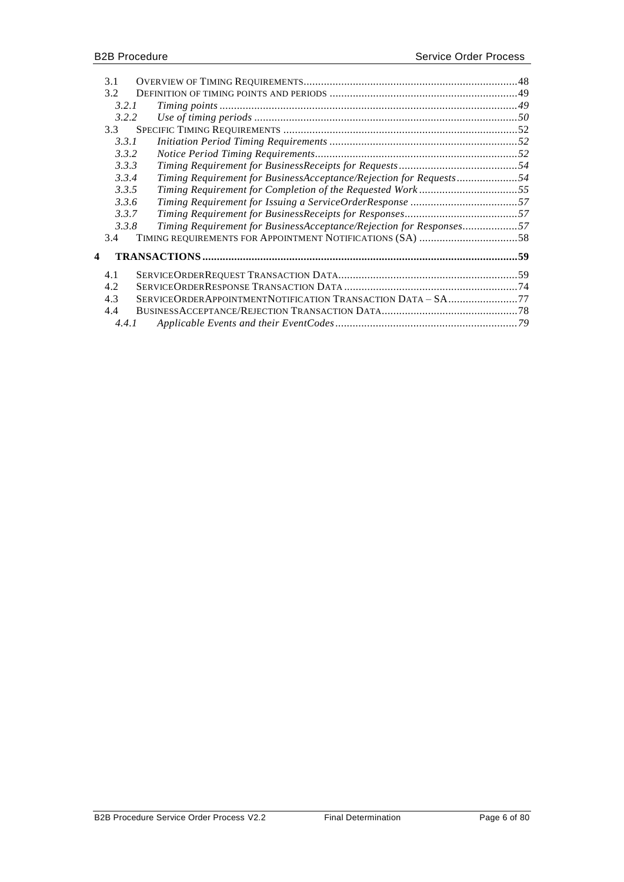|   | 3.1   |                                                                     |  |
|---|-------|---------------------------------------------------------------------|--|
|   | 3.2   |                                                                     |  |
|   | 3.2.1 |                                                                     |  |
|   | 3.2.2 |                                                                     |  |
|   | 3.3   |                                                                     |  |
|   | 3.3.1 |                                                                     |  |
|   | 3.3.2 |                                                                     |  |
|   | 3.3.3 |                                                                     |  |
|   | 3.3.4 | Timing Requirement for BusinessAcceptance/Rejection for Requests54  |  |
|   | 3.3.5 | Timing Requirement for Completion of the Requested Work55           |  |
|   | 3.3.6 |                                                                     |  |
|   | 3.3.7 |                                                                     |  |
|   | 3.3.8 | Timing Requirement for BusinessAcceptance/Rejection for Responses57 |  |
|   | 3.4   |                                                                     |  |
|   |       |                                                                     |  |
| 4 |       |                                                                     |  |
|   | 4.1   |                                                                     |  |
|   | 4.2   |                                                                     |  |
|   | 4.3   | SERVICEORDERAPPOINTMENTNOTIFICATION TRANSACTION DATA - SA77         |  |
|   | 4.4   |                                                                     |  |
|   | 4.4.1 |                                                                     |  |
|   |       |                                                                     |  |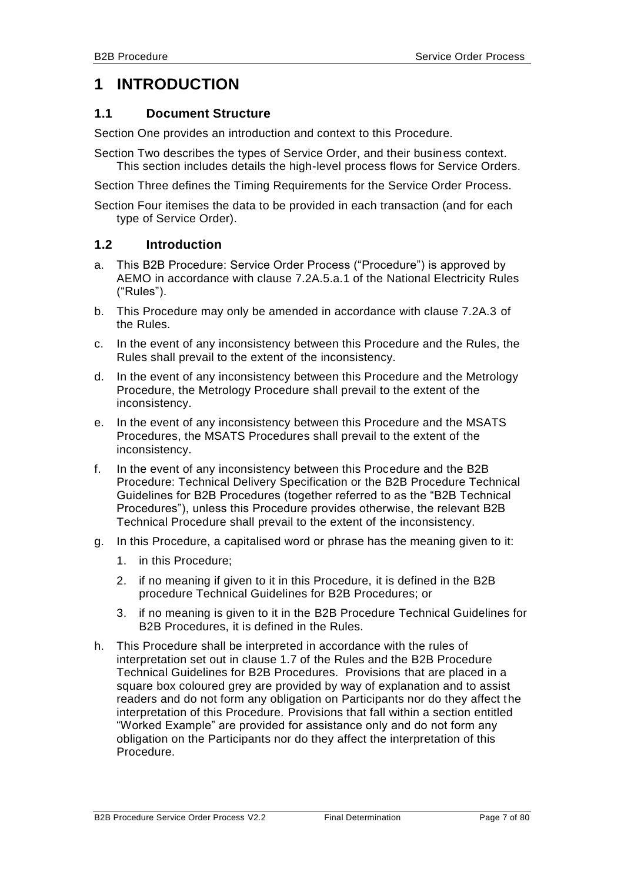# <span id="page-6-0"></span>**1 INTRODUCTION**

# <span id="page-6-1"></span>**1.1 Document Structure**

Section One provides an introduction and context to this Procedure.

Section Two describes the types of Service Order, and their business context. This section includes details the high-level process flows for Service Orders.

Section Three defines the Timing Requirements for the Service Order Process.

Section Four itemises the data to be provided in each transaction (and for each type of Service Order).

# <span id="page-6-2"></span>**1.2 Introduction**

- a. This B2B Procedure: Service Order Process ("Procedure") is approved by AEMO in accordance with clause 7.2A.5.a.1 of the National Electricity Rules ("Rules").
- b. This Procedure may only be amended in accordance with clause 7.2A.3 of the Rules.
- c. In the event of any inconsistency between this Procedure and the Rules, the Rules shall prevail to the extent of the inconsistency.
- d. In the event of any inconsistency between this Procedure and the Metrology Procedure, the Metrology Procedure shall prevail to the extent of the inconsistency.
- e. In the event of any inconsistency between this Procedure and the MSATS Procedures, the MSATS Procedures shall prevail to the extent of the inconsistency.
- f. In the event of any inconsistency between this Procedure and the B2B Procedure: Technical Delivery Specification or the B2B Procedure Technical Guidelines for B2B Procedures (together referred to as the "B2B Technical Procedures"), unless this Procedure provides otherwise, the relevant B2B Technical Procedure shall prevail to the extent of the inconsistency.
- g. In this Procedure, a capitalised word or phrase has the meaning given to it:
	- 1. in this Procedure;
	- 2. if no meaning if given to it in this Procedure, it is defined in the B2B procedure Technical Guidelines for B2B Procedures; or
	- 3. if no meaning is given to it in the B2B Procedure Technical Guidelines for B2B Procedures, it is defined in the Rules.
- h. This Procedure shall be interpreted in accordance with the rules of interpretation set out in clause 1.7 of the Rules and the B2B Procedure Technical Guidelines for B2B Procedures. Provisions that are placed in a square box coloured grey are provided by way of explanation and to assist readers and do not form any obligation on Participants nor do they affect the interpretation of this Procedure. Provisions that fall within a section entitled "Worked Example" are provided for assistance only and do not form any obligation on the Participants nor do they affect the interpretation of this Procedure.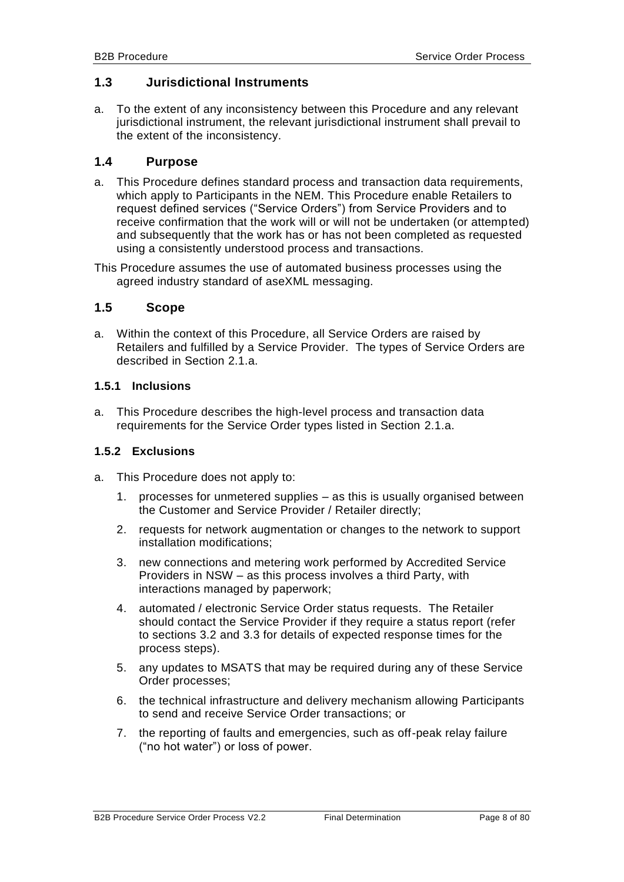# <span id="page-7-0"></span>**1.3 Jurisdictional Instruments**

a. To the extent of any inconsistency between this Procedure and any relevant jurisdictional instrument, the relevant jurisdictional instrument shall prevail to the extent of the inconsistency.

#### <span id="page-7-1"></span>**1.4 Purpose**

a. This Procedure defines standard process and transaction data requirements, which apply to Participants in the NEM. This Procedure enable Retailers to request defined services ("Service Orders") from Service Providers and to receive confirmation that the work will or will not be undertaken (or attempted) and subsequently that the work has or has not been completed as requested using a consistently understood process and transactions.

This Procedure assumes the use of automated business processes using the agreed industry standard of aseXML messaging.

#### <span id="page-7-2"></span>**1.5 Scope**

a. Within the context of this Procedure, all Service Orders are raised by Retailers and fulfilled by a Service Provider. The types of Service Orders are described in Section [2.1.](#page-11-1)a.

#### <span id="page-7-3"></span>**1.5.1 Inclusions**

a. This Procedure describes the high-level process and transaction data requirements for the Service Order types listed in Section [2.1.](#page-11-1)a.

#### <span id="page-7-4"></span>**1.5.2 Exclusions**

- a. This Procedure does not apply to:
	- 1. processes for unmetered supplies as this is usually organised between the Customer and Service Provider / Retailer directly;
	- 2. requests for network augmentation or changes to the network to support installation modifications;
	- 3. new connections and metering work performed by Accredited Service Providers in NSW – as this process involves a third Party, with interactions managed by paperwork;
	- 4. automated / electronic Service Order status requests. The Retailer should contact the Service Provider if they require a status report (refer to sections [3.2](#page-48-0) and [3.3](#page-51-0) for details of expected response times for the process steps).
	- 5. any updates to MSATS that may be required during any of these Service Order processes;
	- 6. the technical infrastructure and delivery mechanism allowing Participants to send and receive Service Order transactions; or
	- 7. the reporting of faults and emergencies, such as off-peak relay failure ("no hot water") or loss of power.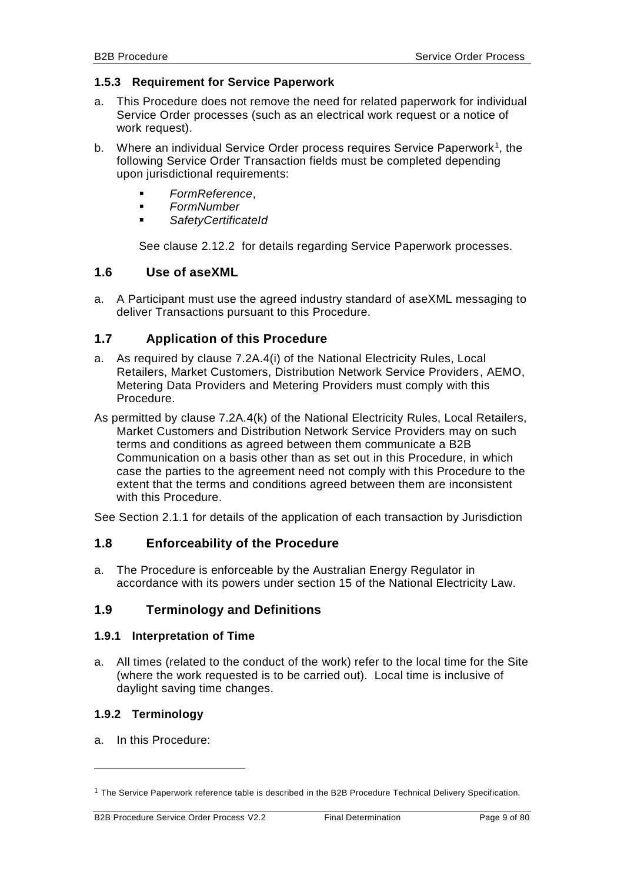#### <span id="page-8-0"></span>**1.5.3 Requirement for Service Paperwork**

- a. This Procedure does not remove the need for related paperwork for individual Service Order processes (such as an electrical work request or a notice of work request).
- b. Where an individual Service Order process requires Service Paperwork<sup>1</sup>, the following Service Order Transaction fields must be completed depending upon jurisdictional requirements:
	- *FormReference*,
	- *FormNumber*
	- *SafetyCertificateId*

See clause [2.12.2](#page-26-0) for details regarding Service Paperwork processes.

# <span id="page-8-1"></span>**1.6 Use of aseXML**

a. A Participant must use the agreed industry standard of aseXML messaging to deliver Transactions pursuant to this Procedure.

# <span id="page-8-2"></span>**1.7 Application of this Procedure**

- a. As required by clause 7.2A.4(i) of the National Electricity Rules, Local Retailers, Market Customers, Distribution Network Service Providers, AEMO, Metering Data Providers and Metering Providers must comply with this Procedure.
- As permitted by clause 7.2A.4(k) of the National Electricity Rules, Local Retailers, Market Customers and Distribution Network Service Providers may on such terms and conditions as agreed between them communicate a B2B Communication on a basis other than as set out in this Procedure, in which case the parties to the agreement need not comply with this Procedure to the extent that the terms and conditions agreed between them are inconsistent with this Procedure.

<span id="page-8-3"></span>See Section [2.1.1](#page-14-0) for details of the application of each transaction by Jurisdiction

# **1.8 Enforceability of the Procedure**

a. The Procedure is enforceable by the Australian Energy Regulator in accordance with its powers under section 15 of the National Electricity Law.

# <span id="page-8-4"></span>**1.9 Terminology and Definitions**

#### <span id="page-8-5"></span>**1.9.1 Interpretation of Time**

a. All times (related to the conduct of the work) refer to the local time for the Site (where the work requested is to be carried out). Local time is inclusive of daylight saving time changes.

#### <span id="page-8-6"></span>**1.9.2 Terminology**

a. In this Procedure:

-

<sup>&</sup>lt;sup>1</sup> The Service Paperwork reference table is described in the B2B Procedure Technical Delivery Specification.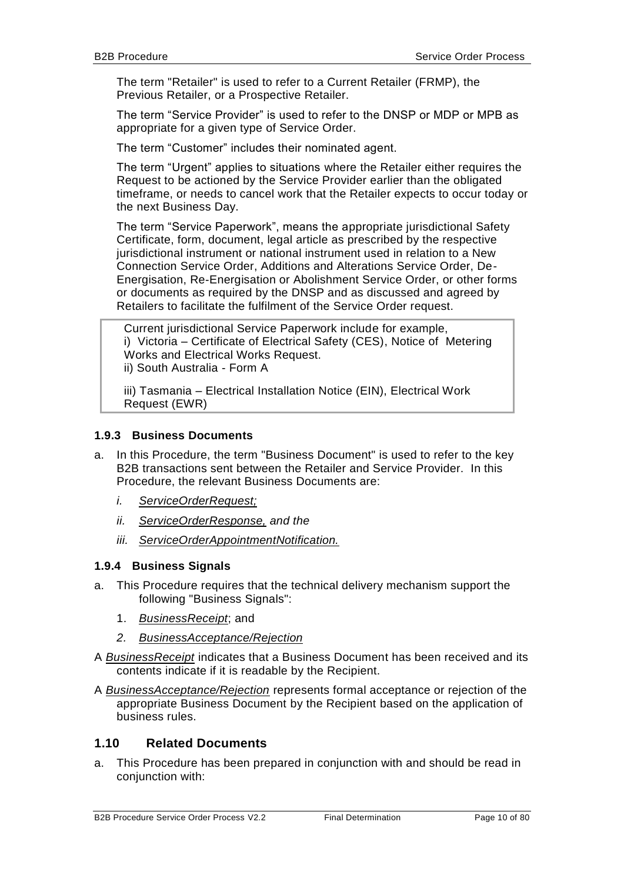The term "Retailer" is used to refer to a Current Retailer (FRMP), the Previous Retailer, or a Prospective Retailer.

The term "Service Provider" is used to refer to the DNSP or MDP or MPB as appropriate for a given type of Service Order.

The term "Customer" includes their nominated agent.

The term "Urgent" applies to situations where the Retailer either requires the Request to be actioned by the Service Provider earlier than the obligated timeframe, or needs to cancel work that the Retailer expects to occur today or the next Business Day.

The term "Service Paperwork", means the appropriate jurisdictional Safety Certificate, form, document, legal article as prescribed by the respective jurisdictional instrument or national instrument used in relation to a New Connection Service Order, Additions and Alterations Service Order, De-Energisation, Re-Energisation or Abolishment Service Order, or other forms or documents as required by the DNSP and as discussed and agreed by Retailers to facilitate the fulfilment of the Service Order request.

Current jurisdictional Service Paperwork include for example, i) Victoria – Certificate of Electrical Safety (CES), Notice of Metering Works and Electrical Works Request. ii) South Australia - Form A

iii) Tasmania – Electrical Installation Notice (EIN), Electrical Work Request (EWR)

#### <span id="page-9-0"></span>**1.9.3 Business Documents**

- a. In this Procedure, the term "Business Document" is used to refer to the key B2B transactions sent between the Retailer and Service Provider. In this Procedure, the relevant Business Documents are:
	- *i. ServiceOrderRequest;*
	- *ii. ServiceOrderResponse, and the*
	- *iii. ServiceOrderAppointmentNotification.*

#### <span id="page-9-1"></span>**1.9.4 Business Signals**

- a. This Procedure requires that the technical delivery mechanism support the following "Business Signals":
	- 1. *BusinessReceipt*; and
	- *2. BusinessAcceptance/Rejection*

A *BusinessReceipt* indicates that a Business Document has been received and its contents indicate if it is readable by the Recipient.

A *BusinessAcceptance/Rejection* represents formal acceptance or rejection of the appropriate Business Document by the Recipient based on the application of business rules.

#### <span id="page-9-2"></span>**1.10 Related Documents**

a. This Procedure has been prepared in conjunction with and should be read in conjunction with: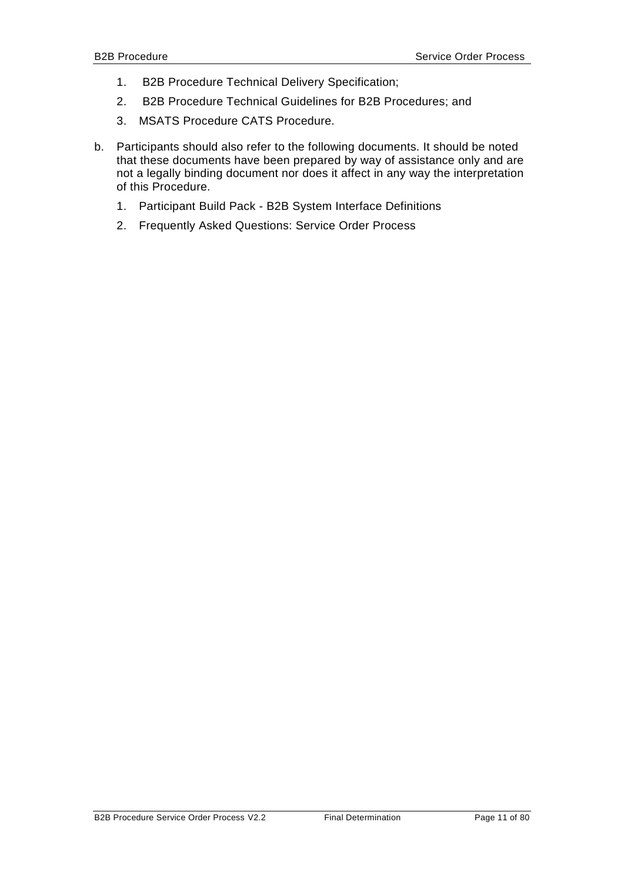- 1. B2B Procedure Technical Delivery Specification;
- 2. B2B Procedure Technical Guidelines for B2B Procedures; and
- 3. MSATS Procedure CATS Procedure.
- b. Participants should also refer to the following documents. It should be noted that these documents have been prepared by way of assistance only and are not a legally binding document nor does it affect in any way the interpretation of this Procedure.
	- 1. Participant Build Pack B2B System Interface Definitions
	- 2. Frequently Asked Questions: Service Order Process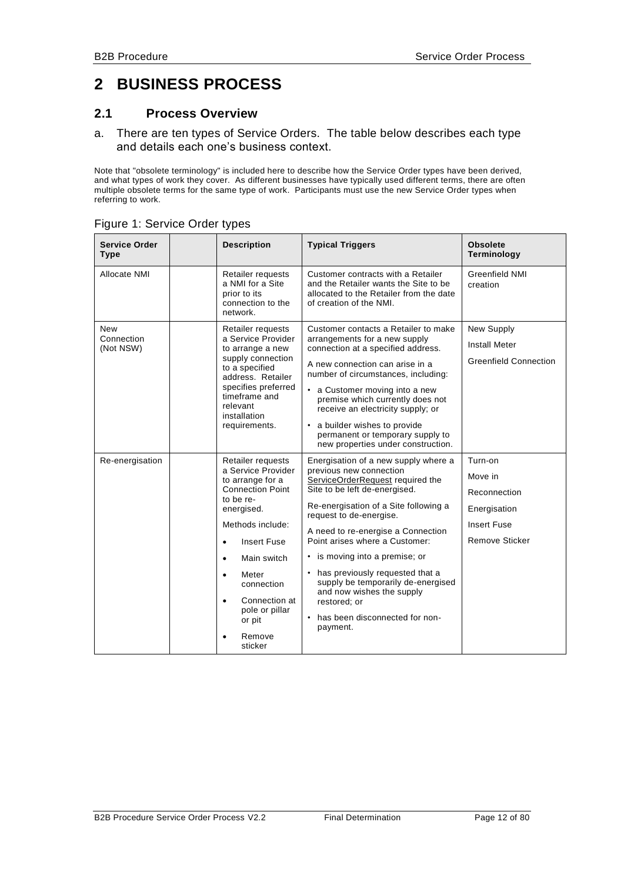# <span id="page-11-0"></span>**2 BUSINESS PROCESS**

#### <span id="page-11-1"></span>**2.1 Process Overview**

a. There are ten types of Service Orders. The table below describes each type and details each one's business context.

Note that "obsolete terminology" is included here to describe how the Service Order types have been derived, and what types of work they cover. As different businesses have typically used different terms, there are often multiple obsolete terms for the same type of work. Participants must use the new Service Order types when referring to work.

| <b>Service Order</b><br><b>Type</b> | <b>Description</b>                                                                                                                                                                                                                                                                                                                    | <b>Typical Triggers</b>                                                                                                                                                                                                                                                                                                                                                                                                                                                                    | <b>Obsolete</b><br>Terminology                                                                    |
|-------------------------------------|---------------------------------------------------------------------------------------------------------------------------------------------------------------------------------------------------------------------------------------------------------------------------------------------------------------------------------------|--------------------------------------------------------------------------------------------------------------------------------------------------------------------------------------------------------------------------------------------------------------------------------------------------------------------------------------------------------------------------------------------------------------------------------------------------------------------------------------------|---------------------------------------------------------------------------------------------------|
| Allocate NMI                        | Retailer requests<br>a NMI for a Site<br>prior to its<br>connection to the<br>network.                                                                                                                                                                                                                                                | Customer contracts with a Retailer<br>and the Retailer wants the Site to be<br>allocated to the Retailer from the date<br>of creation of the NMI.                                                                                                                                                                                                                                                                                                                                          | <b>Greenfield NMI</b><br>creation                                                                 |
| New<br>Connection<br>(Not NSW)      | Retailer requests<br>a Service Provider<br>to arrange a new<br>supply connection<br>to a specified<br>address. Retailer<br>specifies preferred<br>timeframe and<br>relevant<br>installation<br>requirements.                                                                                                                          | Customer contacts a Retailer to make<br>arrangements for a new supply<br>connection at a specified address.<br>A new connection can arise in a<br>number of circumstances, including:<br>• a Customer moving into a new<br>premise which currently does not<br>receive an electricity supply; or<br>• a builder wishes to provide<br>permanent or temporary supply to<br>new properties under construction.                                                                                | New Supply<br><b>Install Meter</b><br><b>Greenfield Connection</b>                                |
| Re-energisation                     | Retailer requests<br>a Service Provider<br>to arrange for a<br><b>Connection Point</b><br>to be re-<br>energised.<br>Methods include:<br><b>Insert Fuse</b><br>$\bullet$<br>Main switch<br>$\bullet$<br>Meter<br>$\bullet$<br>connection<br>Connection at<br>$\bullet$<br>pole or pillar<br>or pit<br>Remove<br>$\epsilon$<br>sticker | Energisation of a new supply where a<br>previous new connection<br>ServiceOrderRequest required the<br>Site to be left de-energised.<br>Re-energisation of a Site following a<br>request to de-energise.<br>A need to re-energise a Connection<br>Point arises where a Customer:<br>• is moving into a premise; or<br>• has previously requested that a<br>supply be temporarily de-energised<br>and now wishes the supply<br>restored; or<br>• has been disconnected for non-<br>payment. | Turn-on<br>Move in<br>Reconnection<br>Energisation<br><b>Insert Fuse</b><br><b>Remove Sticker</b> |

#### Figure 1: Service Order types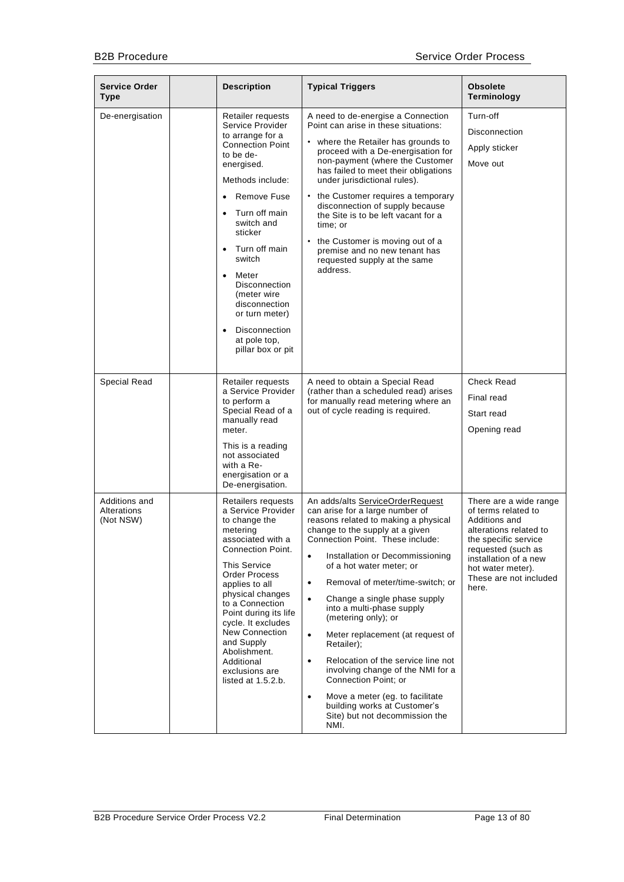| <b>Service Order</b><br><b>Type</b>       | <b>Description</b>                                                                                                                                                                                                                                                                                                                                                                                                                | <b>Typical Triggers</b>                                                                                                                                                                                                                                                                                                                                                                                                                                                                                                                                                                                                                                                                                                   | <b>Obsolete</b><br>Terminology                                                                                                                                                                                          |
|-------------------------------------------|-----------------------------------------------------------------------------------------------------------------------------------------------------------------------------------------------------------------------------------------------------------------------------------------------------------------------------------------------------------------------------------------------------------------------------------|---------------------------------------------------------------------------------------------------------------------------------------------------------------------------------------------------------------------------------------------------------------------------------------------------------------------------------------------------------------------------------------------------------------------------------------------------------------------------------------------------------------------------------------------------------------------------------------------------------------------------------------------------------------------------------------------------------------------------|-------------------------------------------------------------------------------------------------------------------------------------------------------------------------------------------------------------------------|
| De-energisation                           | Retailer requests<br>Service Provider<br>to arrange for a<br><b>Connection Point</b><br>to be de-<br>energised.<br>Methods include:<br>Remove Fuse<br>$\bullet$<br>Turn off main<br>$\bullet$<br>switch and<br>sticker<br>Turn off main<br>$\bullet$<br>switch<br>Meter<br>$\bullet$<br><b>Disconnection</b><br>(meter wire<br>disconnection<br>or turn meter)<br>Disconnection<br>$\bullet$<br>at pole top.<br>pillar box or pit | A need to de-energise a Connection<br>Point can arise in these situations:<br>• where the Retailer has grounds to<br>proceed with a De-energisation for<br>non-payment (where the Customer<br>has failed to meet their obligations<br>under jurisdictional rules).<br>• the Customer requires a temporary<br>disconnection of supply because<br>the Site is to be left vacant for a<br>time: or<br>• the Customer is moving out of a<br>premise and no new tenant has<br>requested supply at the same<br>address.                                                                                                                                                                                                         | Turn-off<br>Disconnection<br>Apply sticker<br>Move out                                                                                                                                                                  |
| <b>Special Read</b>                       | Retailer requests<br>a Service Provider<br>to perform a<br>Special Read of a<br>manually read<br>meter.<br>This is a reading<br>not associated<br>with a Re-<br>energisation or a<br>De-energisation.                                                                                                                                                                                                                             | A need to obtain a Special Read<br>(rather than a scheduled read) arises<br>for manually read metering where an<br>out of cycle reading is required.                                                                                                                                                                                                                                                                                                                                                                                                                                                                                                                                                                      | <b>Check Read</b><br>Final read<br>Start read<br>Opening read                                                                                                                                                           |
| Additions and<br>Alterations<br>(Not NSW) | Retailers requests<br>a Service Provider<br>to change the<br>metering<br>associated with a<br><b>Connection Point.</b><br><b>This Service</b><br>Order Process<br>applies to all<br>physical changes<br>to a Connection<br>Point during its life<br>cycle. It excludes<br><b>New Connection</b><br>and Supply<br>Abolishment.<br>Additional<br>exclusions are<br>listed at $1.5.2.b.$                                             | An adds/alts ServiceOrderRequest<br>can arise for a large number of<br>reasons related to making a physical<br>change to the supply at a given<br>Connection Point. These include:<br>Installation or Decommissioning<br>$\bullet$<br>of a hot water meter; or<br>Removal of meter/time-switch; or<br>$\bullet$<br>Change a single phase supply<br>$\bullet$<br>into a multi-phase supply<br>(metering only); or<br>Meter replacement (at request of<br>$\bullet$<br>Retailer);<br>Relocation of the service line not<br>$\bullet$<br>involving change of the NMI for a<br>Connection Point; or<br>Move a meter (eg. to facilitate<br>$\bullet$<br>building works at Customer's<br>Site) but not decommission the<br>NMI. | There are a wide range<br>of terms related to<br>Additions and<br>alterations related to<br>the specific service<br>requested (such as<br>installation of a new<br>hot water meter).<br>These are not included<br>here. |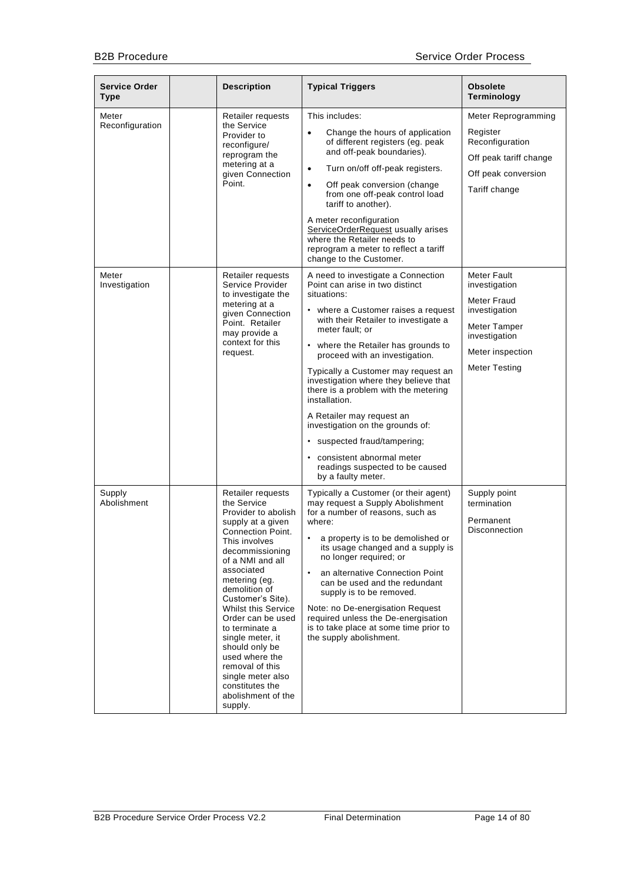| <b>Service Order</b><br>Type | <b>Description</b>                                                                                                                                                                                                                                                                                                                                                                                                                                             | <b>Typical Triggers</b>                                                                                                                                                                                                                                                                                                                                                                                                                                                                                                                                                                         | <b>Obsolete</b><br>Terminology                                                                                                     |
|------------------------------|----------------------------------------------------------------------------------------------------------------------------------------------------------------------------------------------------------------------------------------------------------------------------------------------------------------------------------------------------------------------------------------------------------------------------------------------------------------|-------------------------------------------------------------------------------------------------------------------------------------------------------------------------------------------------------------------------------------------------------------------------------------------------------------------------------------------------------------------------------------------------------------------------------------------------------------------------------------------------------------------------------------------------------------------------------------------------|------------------------------------------------------------------------------------------------------------------------------------|
| Meter<br>Reconfiguration     | Retailer requests<br>the Service<br>Provider to<br>reconfigure/<br>reprogram the<br>metering at a<br>given Connection<br>Point.                                                                                                                                                                                                                                                                                                                                | This includes:<br>Change the hours of application<br>$\bullet$<br>of different registers (eg. peak<br>and off-peak boundaries).<br>Turn on/off off-peak registers.<br>$\bullet$<br>Off peak conversion (change<br>$\bullet$<br>from one off-peak control load<br>tariff to another).<br>A meter reconfiguration<br>ServiceOrderRequest usually arises<br>where the Retailer needs to<br>reprogram a meter to reflect a tariff<br>change to the Customer.                                                                                                                                        | Meter Reprogramming<br>Register<br>Reconfiguration<br>Off peak tariff change<br>Off peak conversion<br>Tariff change               |
| Meter<br>Investigation       | Retailer requests<br>Service Provider<br>to investigate the<br>metering at a<br>given Connection<br>Point. Retailer<br>may provide a<br>context for this<br>request.                                                                                                                                                                                                                                                                                           | A need to investigate a Connection<br>Point can arise in two distinct<br>situations:<br>• where a Customer raises a request<br>with their Retailer to investigate a<br>meter fault; or<br>• where the Retailer has grounds to<br>proceed with an investigation.<br>Typically a Customer may request an<br>investigation where they believe that<br>there is a problem with the metering<br>installation.<br>A Retailer may request an<br>investigation on the grounds of:<br>• suspected fraud/tampering;<br>consistent abnormal meter<br>readings suspected to be caused<br>by a faulty meter. | Meter Fault<br>investigation<br>Meter Fraud<br>investigation<br>Meter Tamper<br>investigation<br>Meter inspection<br>Meter Testing |
| Supply<br>Abolishment        | Retailer requests<br>the Service<br>Provider to abolish<br>supply at a given<br><b>Connection Point.</b><br>This involves<br>decommissioning<br>of a NMI and all<br>associated<br>metering (eg.<br>demolition of<br>Customer's Site).<br><b>Whilst this Service</b><br>Order can be used<br>to terminate a<br>single meter, it<br>should only be<br>used where the<br>removal of this<br>single meter also<br>constitutes the<br>abolishment of the<br>supply. | Typically a Customer (or their agent)<br>may request a Supply Abolishment<br>for a number of reasons, such as<br>where:<br>a property is to be demolished or<br>$\bullet$<br>its usage changed and a supply is<br>no longer required; or<br>an alternative Connection Point<br>$\bullet$<br>can be used and the redundant<br>supply is to be removed.<br>Note: no De-energisation Request<br>required unless the De-energisation<br>is to take place at some time prior to<br>the supply abolishment.                                                                                           | Supply point<br>termination<br>Permanent<br>Disconnection                                                                          |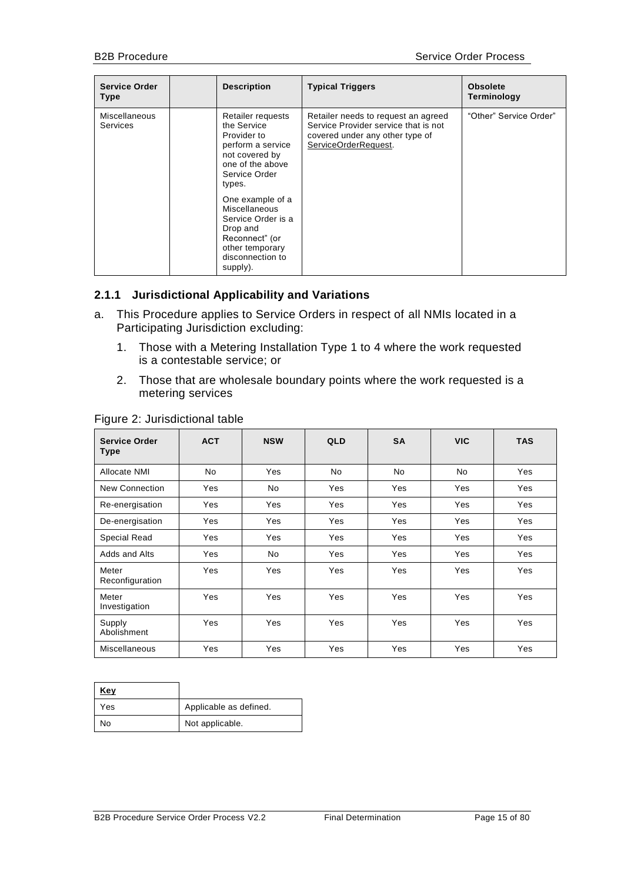| <b>Service Order</b><br><b>Type</b> | <b>Description</b>                                                                                                                                                                                                                                                                | <b>Typical Triggers</b>                                                                                                                | <b>Obsolete</b><br>Terminology |
|-------------------------------------|-----------------------------------------------------------------------------------------------------------------------------------------------------------------------------------------------------------------------------------------------------------------------------------|----------------------------------------------------------------------------------------------------------------------------------------|--------------------------------|
| Miscellaneous<br><b>Services</b>    | Retailer requests<br>the Service<br>Provider to<br>perform a service<br>not covered by<br>one of the above<br>Service Order<br>types.<br>One example of a<br>Miscellaneous<br>Service Order is a<br>Drop and<br>Reconnect" (or<br>other temporary<br>disconnection to<br>supply). | Retailer needs to request an agreed<br>Service Provider service that is not<br>covered under any other type of<br>ServiceOrderRequest. | "Other" Service Order"         |

#### <span id="page-14-0"></span>**2.1.1 Jurisdictional Applicability and Variations**

- a. This Procedure applies to Service Orders in respect of all NMIs located in a Participating Jurisdiction excluding:
	- 1. Those with a Metering Installation Type 1 to 4 where the work requested is a contestable service; or
	- 2. Those that are wholesale boundary points where the work requested is a metering services

| <b>Service Order</b><br>Type | <b>ACT</b> | <b>NSW</b> | <b>QLD</b> | <b>SA</b> | <b>VIC</b> | <b>TAS</b> |
|------------------------------|------------|------------|------------|-----------|------------|------------|
| Allocate NMI                 | <b>No</b>  | Yes        | No         | <b>No</b> | No         | Yes        |
| New Connection               | Yes        | No         | Yes        | Yes       | Yes        | Yes        |
| Re-energisation              | Yes        | Yes        | Yes        | Yes       | Yes        | Yes        |
| De-energisation              | Yes        | Yes        | Yes        | Yes       | Yes        | Yes        |
| <b>Special Read</b>          | Yes        | Yes        | Yes        | Yes       | Yes        | Yes        |
| Adds and Alts                | Yes        | No         | Yes        | Yes       | Yes        | Yes        |
| Meter<br>Reconfiguration     | Yes        | Yes        | Yes        | Yes       | Yes        | Yes        |
| Meter<br>Investigation       | Yes        | Yes        | Yes        | Yes       | Yes        | Yes        |
| Supply<br>Abolishment        | Yes        | Yes        | Yes        | Yes       | Yes        | Yes        |
| Miscellaneous                | Yes        | Yes        | Yes        | Yes       | Yes        | Yes        |

#### Figure 2: Jurisdictional table

| Key |                        |
|-----|------------------------|
| Yes | Applicable as defined. |
| No  | Not applicable.        |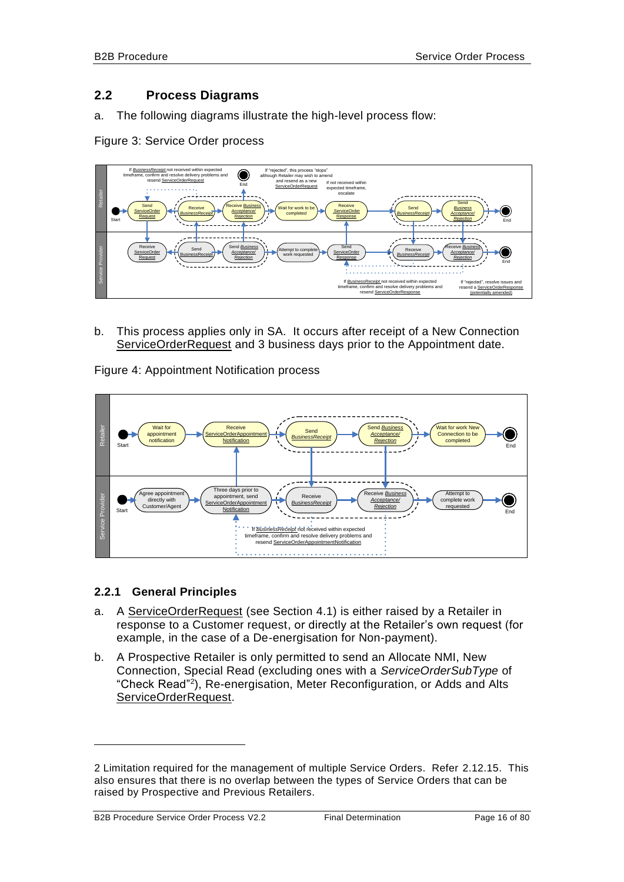# <span id="page-15-0"></span>**2.2 Process Diagrams**

a. The following diagrams illustrate the high-level process flow:

Figure 3: Service Order process



b. This process applies only in SA. It occurs after receipt of a New Connection ServiceOrderRequest and 3 business days prior to the Appointment date.

Figure 4: Appointment Notification process



#### <span id="page-15-1"></span>**2.2.1 General Principles**

- a. A ServiceOrderRequest (see Section [4.1\)](#page-58-1) is either raised by a Retailer in response to a Customer request, or directly at the Retailer's own request (for example, in the case of a De-energisation for Non-payment).
- <span id="page-15-2"></span>b. A Prospective Retailer is only permitted to send an Allocate NMI, New Connection, Special Read (excluding ones with a *ServiceOrderSubType* of "Check Read"<sup>2</sup> ), Re-energisation, Meter Reconfiguration, or Adds and Alts ServiceOrderRequest.

-

<sup>2</sup> Limitation required for the management of multiple Service Orders. Refer [2.12.15.](#page-40-3) This also ensures that there is no overlap between the types of Service Orders that can be raised by Prospective and Previous Retailers.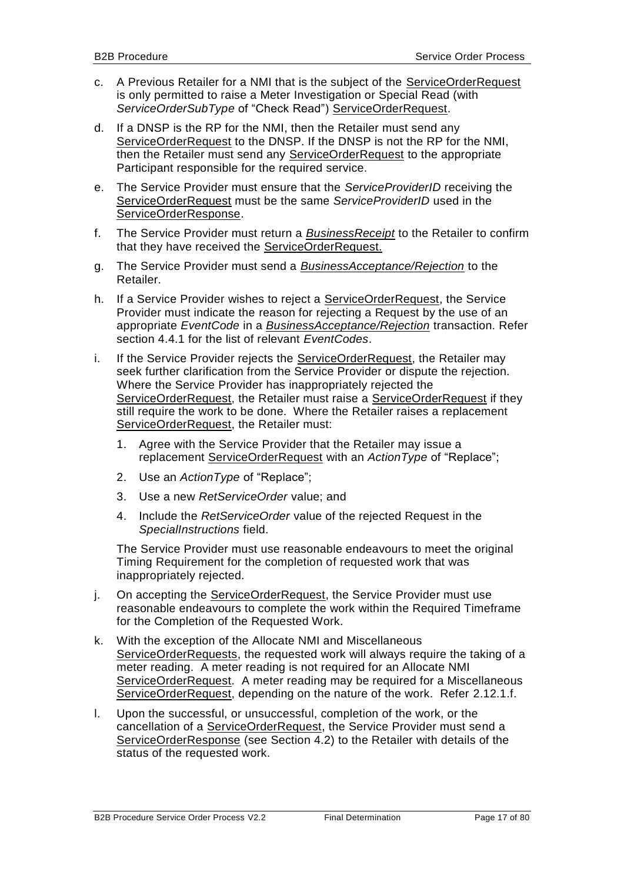- <span id="page-16-0"></span>c. A Previous Retailer for a NMI that is the subject of the ServiceOrderRequest is only permitted to raise a Meter Investigation or Special Read (with *ServiceOrderSubType* of "Check Read") ServiceOrderRequest.
- d. If a DNSP is the RP for the NMI, then the Retailer must send any ServiceOrderRequest to the DNSP. If the DNSP is not the RP for the NMI, then the Retailer must send any ServiceOrderRequest to the appropriate Participant responsible for the required service.
- e. The Service Provider must ensure that the *ServiceProviderID* receiving the ServiceOrderRequest must be the same *ServiceProviderID* used in the ServiceOrderResponse.
- f. The Service Provider must return a *BusinessReceipt* to the Retailer to confirm that they have received the ServiceOrderRequest.
- g. The Service Provider must send a *BusinessAcceptance/Rejection* to the Retailer.
- h. If a Service Provider wishes to reject a ServiceOrderRequest, the Service Provider must indicate the reason for rejecting a Request by the use of an appropriate *EventCode* in a *BusinessAcceptance/Rejection* transaction. Refer section [4.4.1](#page-78-0) for the list of relevant *EventCodes*.
- i. If the Service Provider rejects the ServiceOrderRequest, the Retailer may seek further clarification from the Service Provider or dispute the rejection. Where the Service Provider has inappropriately rejected the ServiceOrderRequest, the Retailer must raise a ServiceOrderRequest if they still require the work to be done. Where the Retailer raises a replacement ServiceOrderRequest, the Retailer must:
	- 1. Agree with the Service Provider that the Retailer may issue a replacement ServiceOrderRequest with an *ActionType* of "Replace";
	- 2. Use an *ActionType* of "Replace";
	- 3. Use a new *RetServiceOrder* value; and
	- 4. Include the *RetServiceOrder* value of the rejected Request in the *SpecialInstructions* field.

The Service Provider must use reasonable endeavours to meet the original Timing Requirement for the completion of requested work that was inappropriately rejected.

- j. On accepting the ServiceOrderRequest, the Service Provider must use reasonable endeavours to complete the work within the Required Timeframe for the Completion of the Requested Work.
- k. With the exception of the Allocate NMI and Miscellaneous ServiceOrderRequests, the requested work will always require the taking of a meter reading. A meter reading is not required for an Allocate NMI ServiceOrderRequest. A meter reading may be required for a Miscellaneous ServiceOrderRequest, depending on the nature of the work. Refer [2.12.1.](#page-24-2)f.
- l. Upon the successful, or unsuccessful, completion of the work, or the cancellation of a ServiceOrderRequest, the Service Provider must send a ServiceOrderResponse (see Section [4.2\)](#page-73-0) to the Retailer with details of the status of the requested work.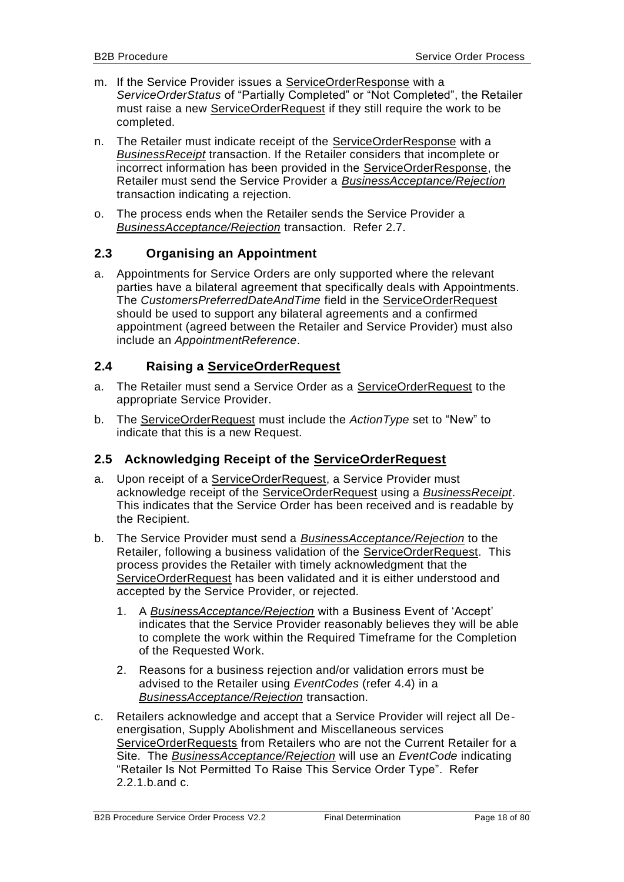- m. If the Service Provider issues a ServiceOrderResponse with a *ServiceOrderStatus* of "Partially Completed" or "Not Completed", the Retailer must raise a new ServiceOrderRequest if they still require the work to be completed.
- n. The Retailer must indicate receipt of the ServiceOrderResponse with a *BusinessReceipt* transaction. If the Retailer considers that incomplete or incorrect information has been provided in the ServiceOrderResponse, the Retailer must send the Service Provider a *BusinessAcceptance/Rejection* transaction indicating a rejection.
- o. The process ends when the Retailer sends the Service Provider a *BusinessAcceptance/Rejection* transaction. Refer [2.7.](#page-22-1)

# <span id="page-17-0"></span>**2.3 Organising an Appointment**

a. Appointments for Service Orders are only supported where the relevant parties have a bilateral agreement that specifically deals with Appointments. The *CustomersPreferredDateAndTime* field in the ServiceOrderRequest should be used to support any bilateral agreements and a confirmed appointment (agreed between the Retailer and Service Provider) must also include an *AppointmentReference*.

# <span id="page-17-1"></span>**2.4 Raising a ServiceOrderRequest**

- a. The Retailer must send a Service Order as a ServiceOrderRequest to the appropriate Service Provider.
- b. The ServiceOrderRequest must include the *ActionType* set to "New" to indicate that this is a new Request.

# <span id="page-17-2"></span>**2.5 Acknowledging Receipt of the ServiceOrderRequest**

- a. Upon receipt of a ServiceOrderRequest, a Service Provider must acknowledge receipt of the ServiceOrderRequest using a *BusinessReceipt*. This indicates that the Service Order has been received and is readable by the Recipient.
- b. The Service Provider must send a *BusinessAcceptance/Rejection* to the Retailer, following a business validation of the ServiceOrderRequest. This process provides the Retailer with timely acknowledgment that the ServiceOrderRequest has been validated and it is either understood and accepted by the Service Provider, or rejected.
	- 1. A *BusinessAcceptance/Rejection* with a Business Event of 'Accept' indicates that the Service Provider reasonably believes they will be able to complete the work within the Required Timeframe for the Completion of the Requested Work.
	- 2. Reasons for a business rejection and/or validation errors must be advised to the Retailer using *EventCodes* (refer [4.4\)](#page-77-0) in a *BusinessAcceptance/Rejection* transaction.
- c. Retailers acknowledge and accept that a Service Provider will reject all Deenergisation, Supply Abolishment and Miscellaneous services ServiceOrderRequests from Retailers who are not the Current Retailer for a Site. The *BusinessAcceptance/Rejection* will use an *EventCode* indicating "Retailer Is Not Permitted To Raise This Service Order Type". Refer [2.2.1.](#page-15-1)[b.](#page-15-2)and [c.](#page-16-0)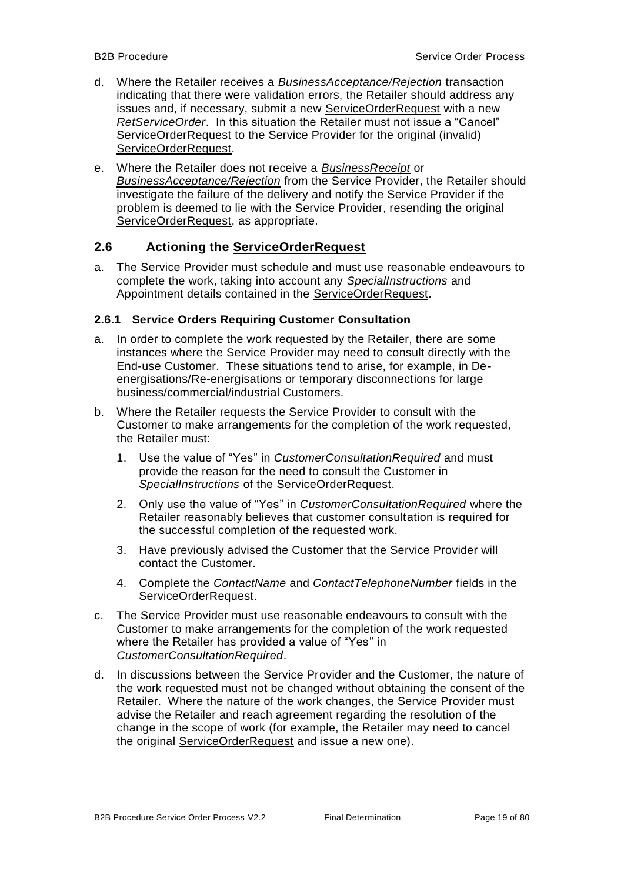- d. Where the Retailer receives a *BusinessAcceptance/Rejection* transaction indicating that there were validation errors, the Retailer should address any issues and, if necessary, submit a new ServiceOrderRequest with a new *RetServiceOrder*. In this situation the Retailer must not issue a "Cancel" ServiceOrderRequest to the Service Provider for the original (invalid) ServiceOrderRequest.
- e. Where the Retailer does not receive a *BusinessReceipt* or *BusinessAcceptance/Rejection* from the Service Provider, the Retailer should investigate the failure of the delivery and notify the Service Provider if the problem is deemed to lie with the Service Provider, resending the original ServiceOrderRequest, as appropriate.

# <span id="page-18-0"></span>**2.6 Actioning the ServiceOrderRequest**

a. The Service Provider must schedule and must use reasonable endeavours to complete the work, taking into account any *SpecialInstructions* and Appointment details contained in the ServiceOrderRequest.

#### <span id="page-18-1"></span>**2.6.1 Service Orders Requiring Customer Consultation**

- a. In order to complete the work requested by the Retailer, there are some instances where the Service Provider may need to consult directly with the End-use Customer. These situations tend to arise, for example, in Deenergisations/Re-energisations or temporary disconnections for large business/commercial/industrial Customers.
- b. Where the Retailer requests the Service Provider to consult with the Customer to make arrangements for the completion of the work requested, the Retailer must:
	- 1. Use the value of "Yes" in *CustomerConsultationRequired* and must provide the reason for the need to consult the Customer in *SpecialInstructions* of the ServiceOrderRequest.
	- 2. Only use the value of "Yes" in *CustomerConsultationRequired* where the Retailer reasonably believes that customer consultation is required for the successful completion of the requested work.
	- 3. Have previously advised the Customer that the Service Provider will contact the Customer.
	- 4. Complete the *ContactName* and *ContactTelephoneNumber* fields in the ServiceOrderRequest.
- c. The Service Provider must use reasonable endeavours to consult with the Customer to make arrangements for the completion of the work requested where the Retailer has provided a value of "Yes" in *CustomerConsultationRequired*.
- d. In discussions between the Service Provider and the Customer, the nature of the work requested must not be changed without obtaining the consent of the Retailer. Where the nature of the work changes, the Service Provider must advise the Retailer and reach agreement regarding the resolution of the change in the scope of work (for example, the Retailer may need to cancel the original ServiceOrderRequest and issue a new one).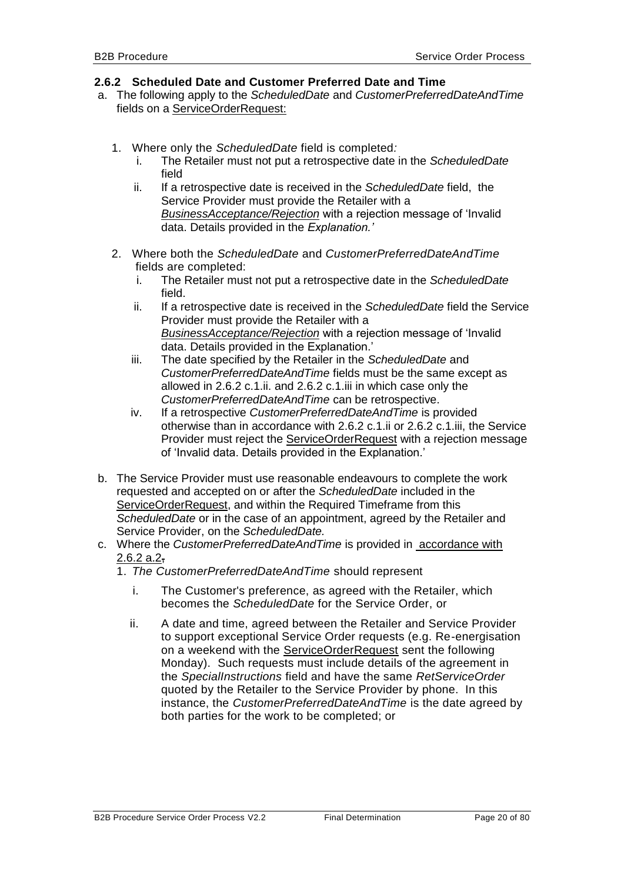#### <span id="page-19-2"></span><span id="page-19-0"></span>**2.6.2 Scheduled Date and Customer Preferred Date and Time**

- a. The following apply to the *ScheduledDate* and *CustomerPreferredDateAndTime*  fields on a ServiceOrderRequest:
	- 1. Where only the *ScheduledDate* field is completed*:*
		- i. The Retailer must not put a retrospective date in the *ScheduledDate* field
		- ii. If a retrospective date is received in the *ScheduledDate* field, the Service Provider must provide the Retailer with a *BusinessAcceptance/Rejection* with a rejection message of 'Invalid data. Details provided in the *Explanation.'*
	- 2. Where both the *ScheduledDate* and *CustomerPreferredDateAndTime* fields are completed:
		- i. The Retailer must not put a retrospective date in the *ScheduledDate* field.
		- ii. If a retrospective date is received in the *ScheduledDate* field the Service Provider must provide the Retailer with a *BusinessAcceptance/Rejection* with a rejection message of 'Invalid data. Details provided in the Explanation.'
		- iii. The date specified by the Retailer in the *ScheduledDate* and *CustomerPreferredDateAndTime* fields must be the same except as allowed in 2.6.2 c.1.ii. and 2.6.2 c.1.iii in which case only the *CustomerPreferredDateAndTime* can be retrospective.
		- iv. If a retrospective *CustomerPreferredDateAndTime* is provided otherwise than in accordance with 2.6.2 c.1.ii or 2.6.2 c.1.iii, the Service Provider must reject the ServiceOrderRequest with a rejection message of 'Invalid data. Details provided in the Explanation.'
- b. The Service Provider must use reasonable endeavours to complete the work requested and accepted on or after the *ScheduledDate* included in the ServiceOrderRequest, and within the Required Timeframe from this *ScheduledDate* or in the case of an appointment, agreed by the Retailer and Service Provider, on the *ScheduledDate.*
- <span id="page-19-3"></span><span id="page-19-1"></span>c. Where the *CustomerPreferredDateAndTime* is provided in accordance with  $2.6.2 a.2$ 
	- 1. *The CustomerPreferredDateAndTime* should represent
		- i. The Customer's preference, as agreed with the Retailer, which becomes the *ScheduledDate* for the Service Order, or
		- ii. A date and time, agreed between the Retailer and Service Provider to support exceptional Service Order requests (e.g. Re-energisation on a weekend with the ServiceOrderRequest sent the following Monday). Such requests must include details of the agreement in the *SpecialInstructions* field and have the same *RetServiceOrder* quoted by the Retailer to the Service Provider by phone. In this instance, the *CustomerPreferredDateAndTime* is the date agreed by both parties for the work to be completed; or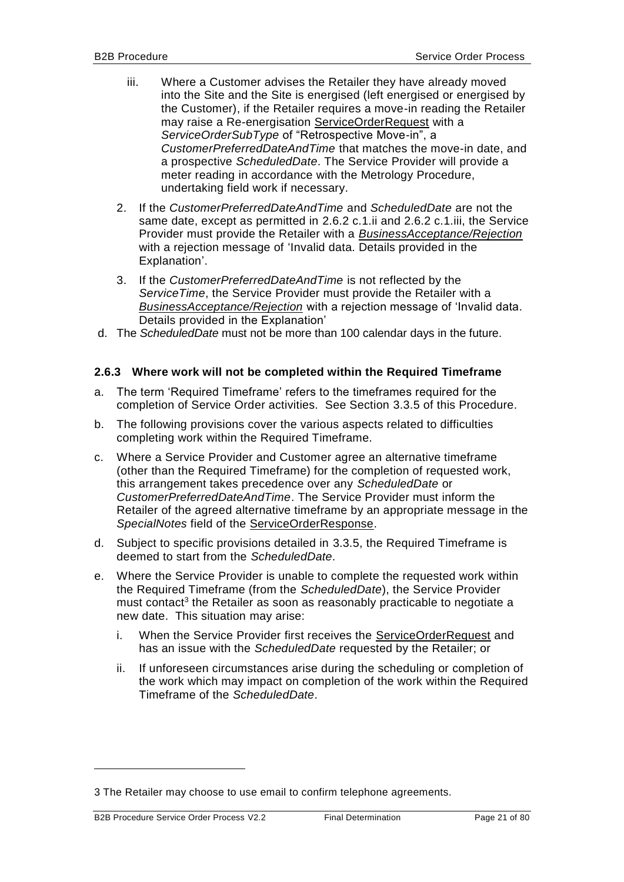- <span id="page-20-2"></span><span id="page-20-1"></span>iii. Where a Customer advises the Retailer they have already moved into the Site and the Site is energised (left energised or energised by the Customer), if the Retailer requires a move-in reading the Retailer may raise a Re-energisation ServiceOrderRequest with a *ServiceOrderSubType* of "Retrospective Move-in", a *CustomerPreferredDateAndTime* that matches the move-in date, and a prospective *ScheduledDate*. The Service Provider will provide a meter reading in accordance with the Metrology Procedure, undertaking field work if necessary.
- 2. If the *CustomerPreferredDateAndTime* and *ScheduledDate* are not the same date, except as permitted in [2.6.2](#page-19-0) [c.1.ii](#page-19-1) and [2.6.2](#page-19-0) [c.1.iii,](#page-20-1) the Service Provider must provide the Retailer with a *BusinessAcceptance/Rejection* with a rejection message of 'Invalid data. Details provided in the Explanation'.
- 3. If the *CustomerPreferredDateAndTime* is not reflected by the *ServiceTime*, the Service Provider must provide the Retailer with a *BusinessAcceptance/Rejection* with a rejection message of 'Invalid data. Details provided in the Explanation'
- d. The *ScheduledDate* must not be more than 100 calendar days in the future.

#### <span id="page-20-0"></span>**2.6.3 Where work will not be completed within the Required Timeframe**

- a. The term 'Required Timeframe' refers to the timeframes required for the completion of Service Order activities. See Section [3.3.5](#page-54-0) of this Procedure.
- b. The following provisions cover the various aspects related to difficulties completing work within the Required Timeframe.
- c. Where a Service Provider and Customer agree an alternative timeframe (other than the Required Timeframe) for the completion of requested work, this arrangement takes precedence over any *ScheduledDate* or *CustomerPreferredDateAndTime*. The Service Provider must inform the Retailer of the agreed alternative timeframe by an appropriate message in the *SpecialNotes* field of the ServiceOrderResponse.
- d. Subject to specific provisions detailed in [3.3.5,](#page-54-0) the Required Timeframe is deemed to start from the *ScheduledDate*.
- e. Where the Service Provider is unable to complete the requested work within the Required Timeframe (from the *ScheduledDate*), the Service Provider must contact<sup>3</sup> the Retailer as soon as reasonably practicable to negotiate a new date. This situation may arise:
	- i. When the Service Provider first receives the ServiceOrderRequest and has an issue with the *ScheduledDate* requested by the Retailer; or
	- ii. If unforeseen circumstances arise during the scheduling or completion of the work which may impact on completion of the work within the Required Timeframe of the *ScheduledDate*.

-

<sup>3</sup> The Retailer may choose to use email to confirm telephone agreements.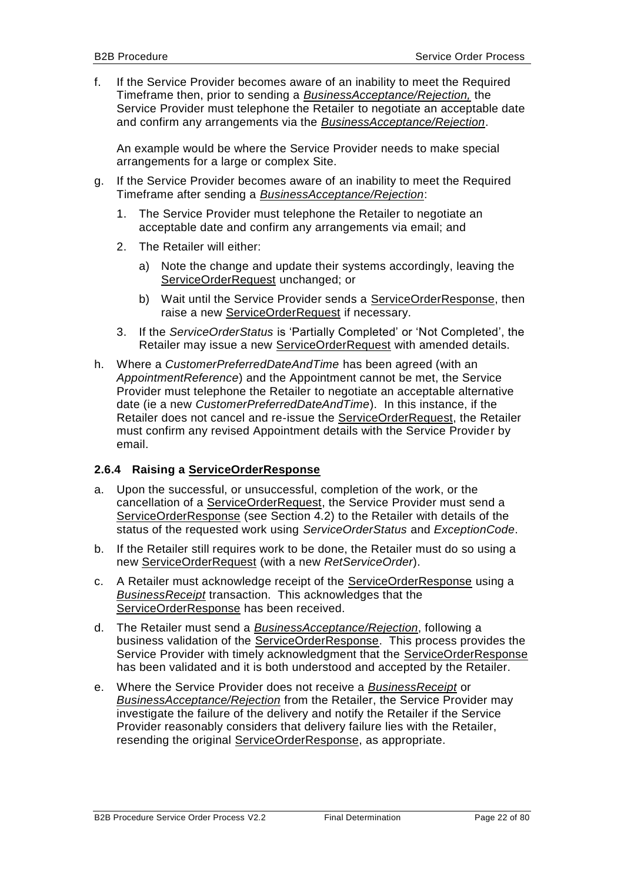f. If the Service Provider becomes aware of an inability to meet the Required Timeframe then, prior to sending a *BusinessAcceptance/Rejection,* the Service Provider must telephone the Retailer to negotiate an acceptable date and confirm any arrangements via the *BusinessAcceptance/Rejection*.

An example would be where the Service Provider needs to make special arrangements for a large or complex Site.

- g. If the Service Provider becomes aware of an inability to meet the Required Timeframe after sending a *BusinessAcceptance/Rejection*:
	- 1. The Service Provider must telephone the Retailer to negotiate an acceptable date and confirm any arrangements via email; and
	- 2. The Retailer will either:
		- a) Note the change and update their systems accordingly, leaving the ServiceOrderRequest unchanged; or
		- b) Wait until the Service Provider sends a ServiceOrderResponse, then raise a new ServiceOrderRequest if necessary.
	- 3. If the *ServiceOrderStatus* is 'Partially Completed' or 'Not Completed', the Retailer may issue a new ServiceOrderRequest with amended details.
- h. Where a *CustomerPreferredDateAndTime* has been agreed (with an *AppointmentReference*) and the Appointment cannot be met, the Service Provider must telephone the Retailer to negotiate an acceptable alternative date (ie a new *CustomerPreferredDateAndTime*). In this instance, if the Retailer does not cancel and re-issue the ServiceOrderRequest, the Retailer must confirm any revised Appointment details with the Service Provider by email.

#### <span id="page-21-0"></span>**2.6.4 Raising a ServiceOrderResponse**

- a. Upon the successful, or unsuccessful, completion of the work, or the cancellation of a ServiceOrderRequest, the Service Provider must send a ServiceOrderResponse (see Section [4.2\)](#page-73-0) to the Retailer with details of the status of the requested work using *ServiceOrderStatus* and *ExceptionCode*.
- b. If the Retailer still requires work to be done, the Retailer must do so using a new ServiceOrderRequest (with a new *RetServiceOrder*).
- c. A Retailer must acknowledge receipt of the ServiceOrderResponse using a *BusinessReceipt* transaction. This acknowledges that the ServiceOrderResponse has been received.
- d. The Retailer must send a *BusinessAcceptance/Rejection*, following a business validation of the ServiceOrderResponse. This process provides the Service Provider with timely acknowledgment that the ServiceOrderResponse has been validated and it is both understood and accepted by the Retailer.
- e. Where the Service Provider does not receive a *BusinessReceipt* or *BusinessAcceptance/Rejection* from the Retailer, the Service Provider may investigate the failure of the delivery and notify the Retailer if the Service Provider reasonably considers that delivery failure lies with the Retailer, resending the original ServiceOrderResponse, as appropriate.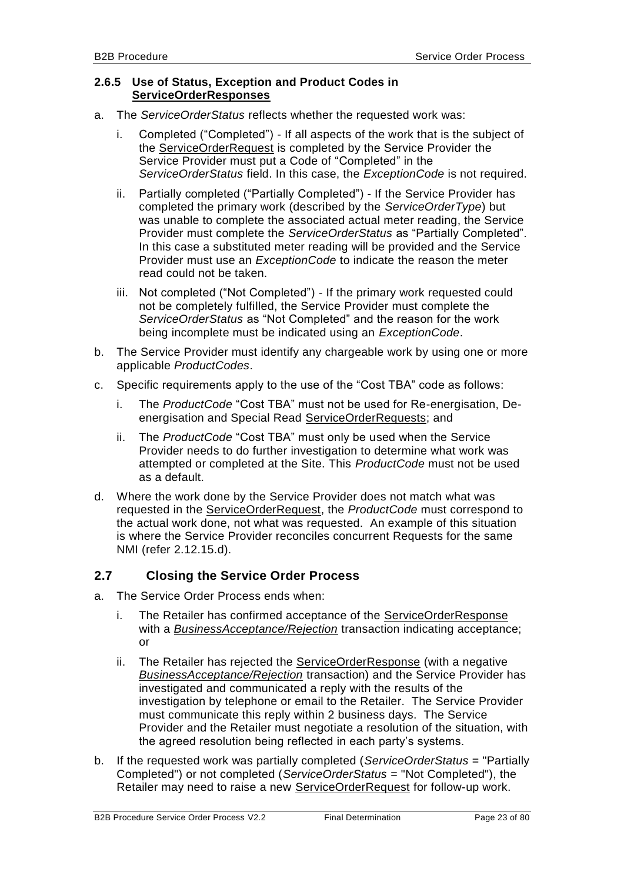#### <span id="page-22-0"></span>**2.6.5 Use of Status, Exception and Product Codes in ServiceOrderResponses**

- a. The *ServiceOrderStatus* reflects whether the requested work was:
	- i. Completed ("Completed") If all aspects of the work that is the subject of the ServiceOrderRequest is completed by the Service Provider the Service Provider must put a Code of "Completed" in the *ServiceOrderStatus* field. In this case, the *ExceptionCode* is not required.
	- ii. Partially completed ("Partially Completed") If the Service Provider has completed the primary work (described by the *ServiceOrderType*) but was unable to complete the associated actual meter reading, the Service Provider must complete the *ServiceOrderStatus* as "Partially Completed". In this case a substituted meter reading will be provided and the Service Provider must use an *ExceptionCode* to indicate the reason the meter read could not be taken.
	- iii. Not completed ("Not Completed") If the primary work requested could not be completely fulfilled, the Service Provider must complete the *ServiceOrderStatus* as "Not Completed" and the reason for the work being incomplete must be indicated using an *ExceptionCode*.
- b. The Service Provider must identify any chargeable work by using one or more applicable *ProductCodes*.
- c. Specific requirements apply to the use of the "Cost TBA" code as follows:
	- i. The *ProductCode* "Cost TBA" must not be used for Re-energisation, Deenergisation and Special Read ServiceOrderRequests; and
	- ii. The *ProductCode* "Cost TBA" must only be used when the Service Provider needs to do further investigation to determine what work was attempted or completed at the Site. This *ProductCode* must not be used as a default.
- d. Where the work done by the Service Provider does not match what was requested in the ServiceOrderRequest, the *ProductCode* must correspond to the actual work done, not what was requested. An example of this situation is where the Service Provider reconciles concurrent Requests for the same NMI (refer [2.12.15.](#page-40-3)d).

# <span id="page-22-1"></span>**2.7 Closing the Service Order Process**

- a. The Service Order Process ends when:
	- i. The Retailer has confirmed acceptance of the ServiceOrderResponse with a *BusinessAcceptance/Rejection* transaction indicating acceptance; or
	- ii. The Retailer has rejected the ServiceOrderResponse (with a negative *BusinessAcceptance/Rejection* transaction) and the Service Provider has investigated and communicated a reply with the results of the investigation by telephone or email to the Retailer. The Service Provider must communicate this reply within 2 business days. The Service Provider and the Retailer must negotiate a resolution of the situation, with the agreed resolution being reflected in each party's systems.
- b. If the requested work was partially completed (*ServiceOrderStatus* = "Partially Completed") or not completed (*ServiceOrderStatus* = "Not Completed"), the Retailer may need to raise a new ServiceOrderRequest for follow-up work.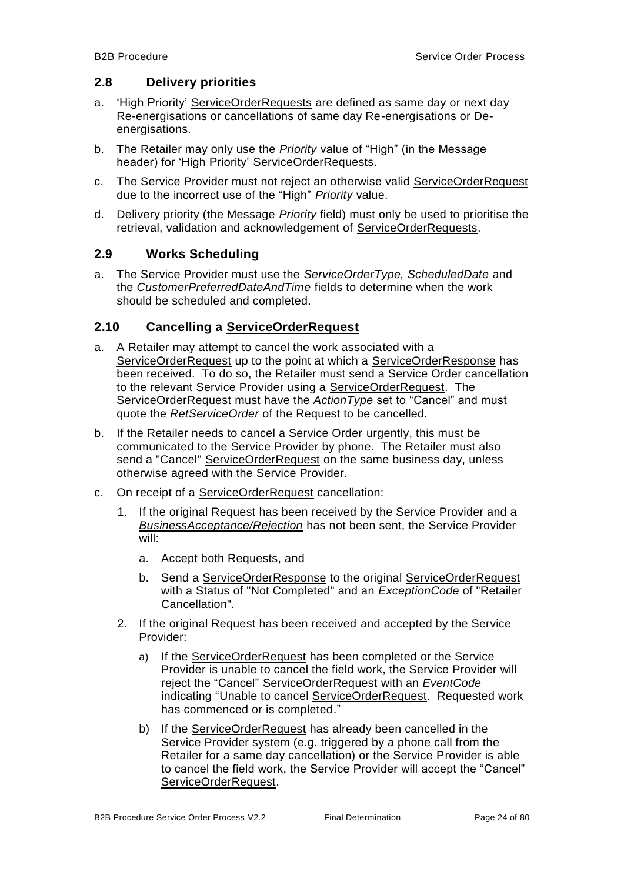# <span id="page-23-0"></span>**2.8 Delivery priorities**

- a. 'High Priority' ServiceOrderRequests are defined as same day or next day Re-energisations or cancellations of same day Re-energisations or Deenergisations.
- b. The Retailer may only use the *Priority* value of "High" (in the Message header) for 'High Priority' ServiceOrderRequests.
- c. The Service Provider must not reject an otherwise valid ServiceOrderRequest due to the incorrect use of the "High" *Priority* value.
- d. Delivery priority (the Message *Priority* field) must only be used to prioritise the retrieval, validation and acknowledgement of ServiceOrderRequests.

#### <span id="page-23-1"></span>**2.9 Works Scheduling**

a. The Service Provider must use the *ServiceOrderType, ScheduledDate* and the *CustomerPreferredDateAndTime* fields to determine when the work should be scheduled and completed.

# <span id="page-23-2"></span>**2.10 Cancelling a ServiceOrderRequest**

- a. A Retailer may attempt to cancel the work associated with a ServiceOrderRequest up to the point at which a ServiceOrderResponse has been received. To do so, the Retailer must send a Service Order cancellation to the relevant Service Provider using a ServiceOrderRequest. The ServiceOrderRequest must have the *ActionType* set to "Cancel" and must quote the *RetServiceOrder* of the Request to be cancelled.
- b. If the Retailer needs to cancel a Service Order urgently, this must be communicated to the Service Provider by phone. The Retailer must also send a "Cancel" ServiceOrderRequest on the same business day, unless otherwise agreed with the Service Provider.
- c. On receipt of a ServiceOrderRequest cancellation:
	- 1. If the original Request has been received by the Service Provider and a *BusinessAcceptance/Rejection* has not been sent, the Service Provider will:
		- a. Accept both Requests, and
		- b. Send a ServiceOrderResponse to the original ServiceOrderRequest with a Status of "Not Completed" and an *ExceptionCode* of "Retailer Cancellation".
	- 2. If the original Request has been received and accepted by the Service Provider:
		- a) If the ServiceOrderRequest has been completed or the Service Provider is unable to cancel the field work, the Service Provider will reject the "Cancel" ServiceOrderRequest with an *EventCode* indicating "Unable to cancel ServiceOrderRequest. Requested work has commenced or is completed."
		- b) If the ServiceOrderRequest has already been cancelled in the Service Provider system (e.g. triggered by a phone call from the Retailer for a same day cancellation) or the Service Provider is able to cancel the field work, the Service Provider will accept the "Cancel" ServiceOrderRequest.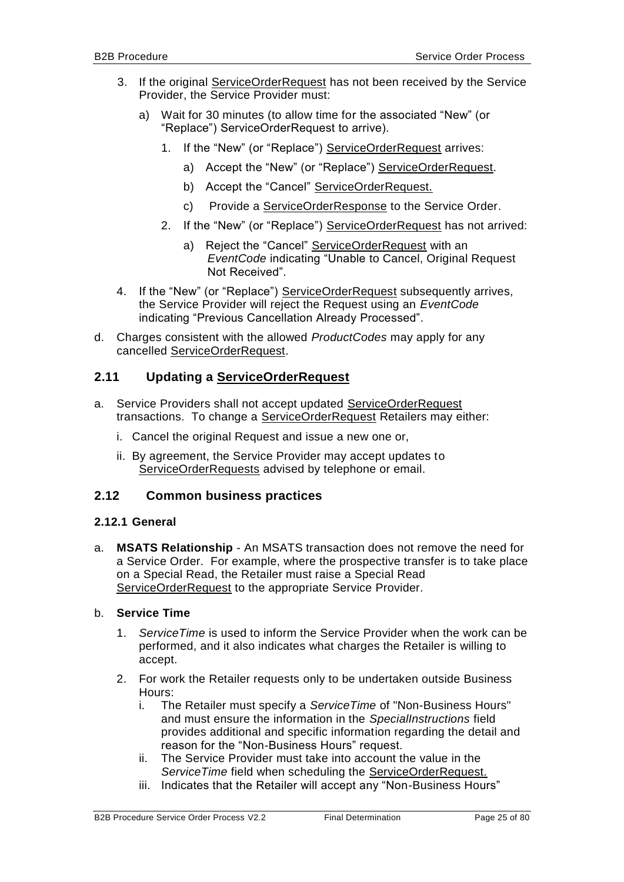- 3. If the original ServiceOrderRequest has not been received by the Service Provider, the Service Provider must:
	- a) Wait for 30 minutes (to allow time for the associated "New" (or "Replace") ServiceOrderRequest to arrive).
		- 1. If the "New" (or "Replace") ServiceOrderRequest arrives:
			- a) Accept the "New" (or "Replace") ServiceOrderRequest.
			- b) Accept the "Cancel" ServiceOrderRequest.
			- c) Provide a ServiceOrderResponse to the Service Order.
		- 2. If the "New" (or "Replace") ServiceOrderRequest has not arrived:
			- a) Reject the "Cancel" ServiceOrderRequest with an *EventCode* indicating "Unable to Cancel, Original Request Not Received".
- 4. If the "New" (or "Replace") ServiceOrderRequest subsequently arrives, the Service Provider will reject the Request using an *EventCode* indicating "Previous Cancellation Already Processed".
- d. Charges consistent with the allowed *ProductCodes* may apply for any cancelled ServiceOrderRequest.

# <span id="page-24-0"></span>**2.11 Updating a ServiceOrderRequest**

- a. Service Providers shall not accept updated ServiceOrderRequest transactions. To change a ServiceOrderRequest Retailers may either:
	- i. Cancel the original Request and issue a new one or,
	- ii. By agreement, the Service Provider may accept updates to ServiceOrderRequests advised by telephone or email.

#### <span id="page-24-2"></span><span id="page-24-1"></span>**2.12 Common business practices**

#### **2.12.1 General**

a. **MSATS Relationship** - An MSATS transaction does not remove the need for a Service Order. For example, where the prospective transfer is to take place on a Special Read, the Retailer must raise a Special Read ServiceOrderRequest to the appropriate Service Provider.

#### b. **Service Time**

- 1. *ServiceTime* is used to inform the Service Provider when the work can be performed, and it also indicates what charges the Retailer is willing to accept.
- 2. For work the Retailer requests only to be undertaken outside Business Hours:
	- i. The Retailer must specify a *ServiceTime* of "Non-Business Hours" and must ensure the information in the *SpecialInstructions* field provides additional and specific information regarding the detail and reason for the "Non-Business Hours" request.
	- ii. The Service Provider must take into account the value in the *ServiceTime* field when scheduling the ServiceOrderRequest.
	- iii. Indicates that the Retailer will accept any "Non-Business Hours"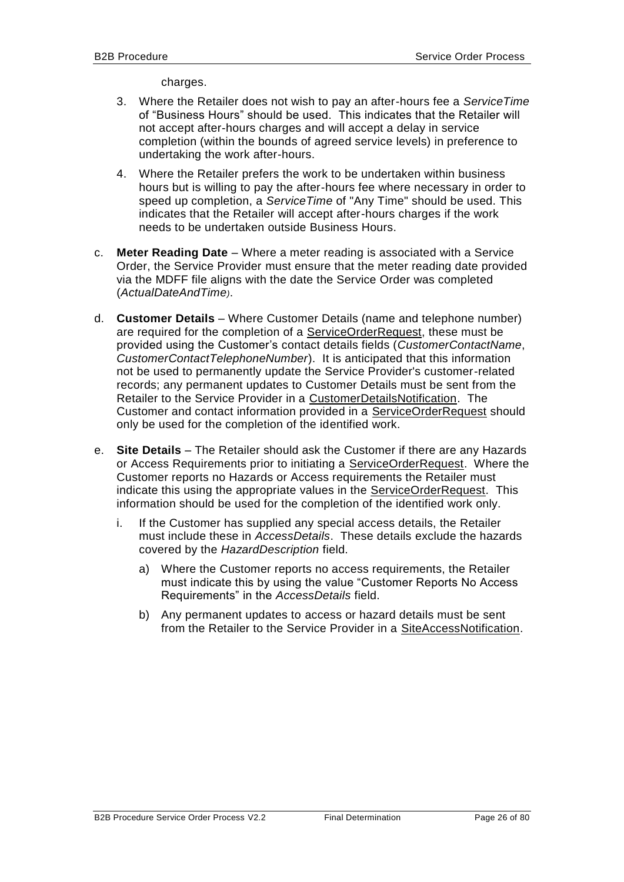charges.

- 3. Where the Retailer does not wish to pay an after-hours fee a *ServiceTime* of "Business Hours" should be used. This indicates that the Retailer will not accept after-hours charges and will accept a delay in service completion (within the bounds of agreed service levels) in preference to undertaking the work after-hours.
- 4. Where the Retailer prefers the work to be undertaken within business hours but is willing to pay the after-hours fee where necessary in order to speed up completion, a *ServiceTime* of "Any Time" should be used. This indicates that the Retailer will accept after-hours charges if the work needs to be undertaken outside Business Hours.
- c. **Meter Reading Date**  Where a meter reading is associated with a Service Order, the Service Provider must ensure that the meter reading date provided via the MDFF file aligns with the date the Service Order was completed (*ActualDateAndTime)*.
- d. **Customer Details**  Where Customer Details (name and telephone number) are required for the completion of a ServiceOrderRequest, these must be provided using the Customer's contact details fields (*CustomerContactName*, *CustomerContactTelephoneNumber*). It is anticipated that this information not be used to permanently update the Service Provider's customer-related records; any permanent updates to Customer Details must be sent from the Retailer to the Service Provider in a CustomerDetailsNotification. The Customer and contact information provided in a ServiceOrderRequest should only be used for the completion of the identified work.
- e. **Site Details**  The Retailer should ask the Customer if there are any Hazards or Access Requirements prior to initiating a ServiceOrderRequest. Where the Customer reports no Hazards or Access requirements the Retailer must indicate this using the appropriate values in the ServiceOrderRequest. This information should be used for the completion of the identified work only.
	- i. If the Customer has supplied any special access details, the Retailer must include these in *AccessDetails*. These details exclude the hazards covered by the *HazardDescription* field.
		- a) Where the Customer reports no access requirements, the Retailer must indicate this by using the value "Customer Reports No Access Requirements" in the *AccessDetails* field.
		- b) Any permanent updates to access or hazard details must be sent from the Retailer to the Service Provider in a SiteAccessNotification.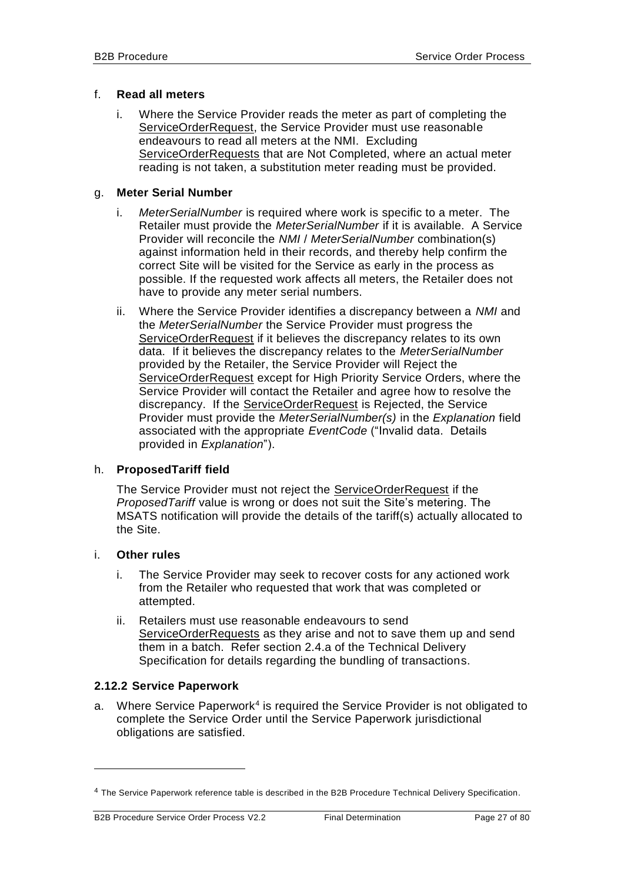#### f. **Read all meters**

i. Where the Service Provider reads the meter as part of completing the ServiceOrderRequest, the Service Provider must use reasonable endeavours to read all meters at the NMI. Excluding ServiceOrderRequests that are Not Completed, where an actual meter reading is not taken, a substitution meter reading must be provided.

#### g. **Meter Serial Number**

- i. *MeterSerialNumber* is required where work is specific to a meter. The Retailer must provide the *MeterSerialNumber* if it is available. A Service Provider will reconcile the *NMI* / *MeterSerialNumber* combination(s) against information held in their records, and thereby help confirm the correct Site will be visited for the Service as early in the process as possible. If the requested work affects all meters, the Retailer does not have to provide any meter serial numbers.
- ii. Where the Service Provider identifies a discrepancy between a *NMI* and the *MeterSerialNumber* the Service Provider must progress the ServiceOrderRequest if it believes the discrepancy relates to its own data. If it believes the discrepancy relates to the *MeterSerialNumber* provided by the Retailer, the Service Provider will Reject the ServiceOrderRequest except for High Priority Service Orders, where the Service Provider will contact the Retailer and agree how to resolve the discrepancy. If the **ServiceOrderRequest** is Rejected, the Service Provider must provide the *MeterSerialNumber(s)* in the *Explanation* field associated with the appropriate *EventCode* ("Invalid data. Details provided in *Explanation*").

#### h. **ProposedTariff field**

The Service Provider must not reject the ServiceOrderRequest if the *ProposedTariff* value is wrong or does not suit the Site's metering. The MSATS notification will provide the details of the tariff(s) actually allocated to the Site.

#### i. **Other rules**

-

- i. The Service Provider may seek to recover costs for any actioned work from the Retailer who requested that work that was completed or attempted.
- ii. Retailers must use reasonable endeavours to send ServiceOrderRequests as they arise and not to save them up and send them in a batch. Refer section 2.4.a of the Technical Delivery Specification for details regarding the bundling of transactions.

#### <span id="page-26-0"></span>**2.12.2 Service Paperwork**

a. Where Service Paperwork<sup>4</sup> is required the Service Provider is not obligated to complete the Service Order until the Service Paperwork jurisdictional obligations are satisfied.

<sup>&</sup>lt;sup>4</sup> The Service Paperwork reference table is described in the B2B Procedure Technical Delivery Specification.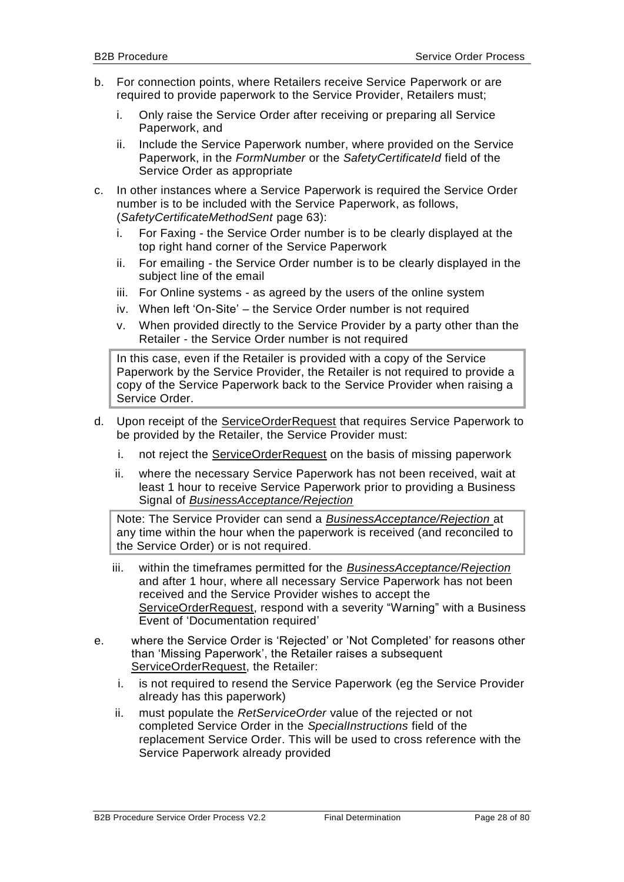- b. For connection points, where Retailers receive Service Paperwork or are required to provide paperwork to the Service Provider, Retailers must;
	- i. Only raise the Service Order after receiving or preparing all Service Paperwork, and
	- ii. Include the Service Paperwork number, where provided on the Service Paperwork, in the *FormNumber* or the *SafetyCertificateId* field of the Service Order as appropriate
- c. In other instances where a Service Paperwork is required the Service Order number is to be included with the Service Paperwork, as follows, (*SafetyCertificateMethodSent* page 63):
	- i. For Faxing the Service Order number is to be clearly displayed at the top right hand corner of the Service Paperwork
	- ii. For emailing the Service Order number is to be clearly displayed in the subject line of the email
	- iii. For Online systems as agreed by the users of the online system
	- iv. When left 'On-Site' the Service Order number is not required
	- v. When provided directly to the Service Provider by a party other than the Retailer - the Service Order number is not required

In this case, even if the Retailer is provided with a copy of the Service Paperwork by the Service Provider, the Retailer is not required to provide a copy of the Service Paperwork back to the Service Provider when raising a Service Order.

- d. Upon receipt of the ServiceOrderRequest that requires Service Paperwork to be provided by the Retailer, the Service Provider must:
	- i. not reject the ServiceOrderRequest on the basis of missing paperwork
	- ii. where the necessary Service Paperwork has not been received, wait at least 1 hour to receive Service Paperwork prior to providing a Business Signal of *BusinessAcceptance/Rejection*

Note: The Service Provider can send a *BusinessAcceptance/Rejection* at any time within the hour when the paperwork is received (and reconciled to the Service Order) or is not required.

- iii. within the timeframes permitted for the *BusinessAcceptance/Rejection* and after 1 hour, where all necessary Service Paperwork has not been received and the Service Provider wishes to accept the ServiceOrderRequest, respond with a severity "Warning" with a Business Event of 'Documentation required'
- e. where the Service Order is 'Rejected' or 'Not Completed' for reasons other than 'Missing Paperwork', the Retailer raises a subsequent ServiceOrderRequest, the Retailer:
	- i. is not required to resend the Service Paperwork (eg the Service Provider already has this paperwork)
	- ii. must populate the *RetServiceOrder* value of the rejected or not completed Service Order in the *SpecialInstructions* field of the replacement Service Order. This will be used to cross reference with the Service Paperwork already provided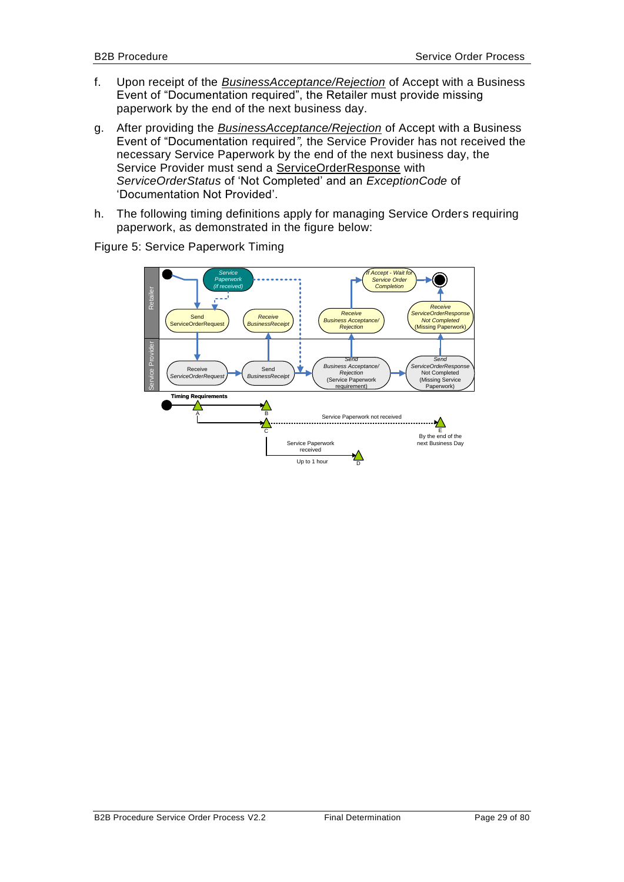- f. Upon receipt of the *BusinessAcceptance/Rejection* of Accept with a Business Event of "Documentation required", the Retailer must provide missing paperwork by the end of the next business day.
- g. After providing the *BusinessAcceptance/Rejection* of Accept with a Business Event of "Documentation required*",* the Service Provider has not received the necessary Service Paperwork by the end of the next business day, the Service Provider must send a ServiceOrderResponse with *ServiceOrderStatus* of 'Not Completed' and an *ExceptionCode* of 'Documentation Not Provided'.
- h. The following timing definitions apply for managing Service Orders requiring paperwork, as demonstrated in the figure below:

*If Accept - Wait for Service Service Order Paperwork*  $\bullet$ *Completion(if received)* Retailer *Receive Receive ServiceOrderResponse Receive* **Not Complete Business Acceptance Send Conserver Conserver Service OrderRequest (Business Receptance Second Service Order Service Order Service Service Service Service Service Service Service Service Service Service Service Service Ser BusinessRecei** Missing Paperwork Service Provider *Send ServiceOrderRequest Send Business Acceptance/ Rejection* (Service Paperwork *ServiceOrderResponse* Receive<br>*riceOrderRegu* Send Not Completed (Missing Service *BusinessReceipt* require Paperwork) **Timing Require** Λ A B Service Paperwork not received  $\mathcal{N}$ C F<br>
D Extraction Extraction of the next Business Day<br>
Up to 1 hour<br>
D Extraction ext Business Day<br>
Up to 1 hour Service Paperwork received

Figure 5: Service Paperwork Timing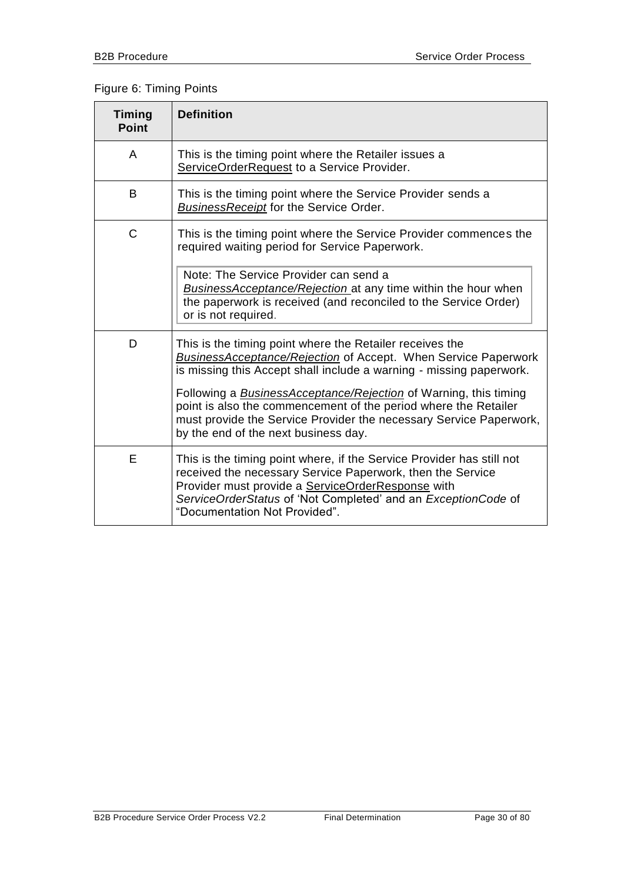# Figure 6: Timing Points

| <b>Timing</b><br><b>Point</b> | <b>Definition</b>                                                                                                                                                                                                                                                                                                                                                                                                                                                    |
|-------------------------------|----------------------------------------------------------------------------------------------------------------------------------------------------------------------------------------------------------------------------------------------------------------------------------------------------------------------------------------------------------------------------------------------------------------------------------------------------------------------|
| A                             | This is the timing point where the Retailer issues a<br>ServiceOrderRequest to a Service Provider.                                                                                                                                                                                                                                                                                                                                                                   |
| B                             | This is the timing point where the Service Provider sends a<br><b>BusinessReceipt</b> for the Service Order.                                                                                                                                                                                                                                                                                                                                                         |
| C                             | This is the timing point where the Service Provider commences the<br>required waiting period for Service Paperwork.                                                                                                                                                                                                                                                                                                                                                  |
|                               | Note: The Service Provider can send a<br><b>BusinessAcceptance/Rejection</b> at any time within the hour when<br>the paperwork is received (and reconciled to the Service Order)<br>or is not required.                                                                                                                                                                                                                                                              |
| D                             | This is the timing point where the Retailer receives the<br><b>BusinessAcceptance/Rejection of Accept. When Service Paperwork</b><br>is missing this Accept shall include a warning - missing paperwork.<br>Following a <b>BusinessAcceptance/Rejection</b> of Warning, this timing<br>point is also the commencement of the period where the Retailer<br>must provide the Service Provider the necessary Service Paperwork,<br>by the end of the next business day. |
| Е                             | This is the timing point where, if the Service Provider has still not<br>received the necessary Service Paperwork, then the Service<br>Provider must provide a ServiceOrderResponse with<br>ServiceOrderStatus of 'Not Completed' and an ExceptionCode of<br>"Documentation Not Provided".                                                                                                                                                                           |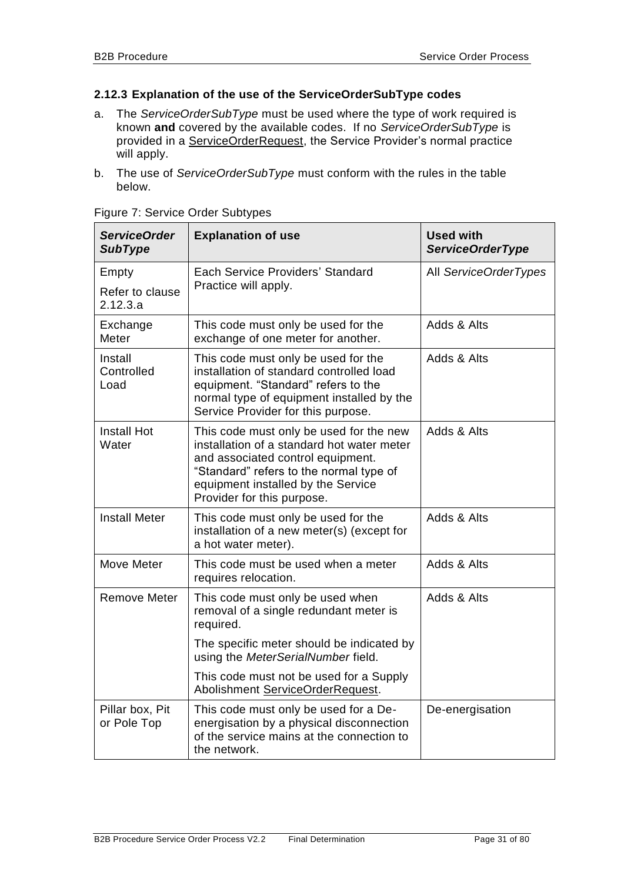#### <span id="page-30-1"></span><span id="page-30-0"></span>**2.12.3 Explanation of the use of the ServiceOrderSubType codes**

- <span id="page-30-2"></span>a. The *ServiceOrderSubType* must be used where the type of work required is known **and** covered by the available codes. If no *ServiceOrderSubType* is provided in a ServiceOrderRequest, the Service Provider's normal practice will apply.
- b. The use of *ServiceOrderSubType* must conform with the rules in the table below.

| <b>ServiceOrder</b><br><b>SubType</b> | <b>Explanation of use</b>                                                                                                                                                                                                                 | <b>Used with</b><br><b>ServiceOrderType</b> |
|---------------------------------------|-------------------------------------------------------------------------------------------------------------------------------------------------------------------------------------------------------------------------------------------|---------------------------------------------|
| Empty                                 | Each Service Providers' Standard<br>Practice will apply.                                                                                                                                                                                  | All ServiceOrderTypes                       |
| Refer to clause<br>2.12.3.a           |                                                                                                                                                                                                                                           |                                             |
| Exchange<br>Meter                     | This code must only be used for the<br>exchange of one meter for another.                                                                                                                                                                 | Adds & Alts                                 |
| Install<br>Controlled<br>Load         | This code must only be used for the<br>installation of standard controlled load<br>equipment. "Standard" refers to the<br>normal type of equipment installed by the<br>Service Provider for this purpose.                                 | Adds & Alts                                 |
| <b>Install Hot</b><br>Water           | This code must only be used for the new<br>installation of a standard hot water meter<br>and associated control equipment.<br>"Standard" refers to the normal type of<br>equipment installed by the Service<br>Provider for this purpose. | Adds & Alts                                 |
| <b>Install Meter</b>                  | This code must only be used for the<br>installation of a new meter(s) (except for<br>a hot water meter).                                                                                                                                  | Adds & Alts                                 |
| Move Meter                            | This code must be used when a meter<br>requires relocation.                                                                                                                                                                               | Adds & Alts                                 |
| <b>Remove Meter</b>                   | This code must only be used when<br>removal of a single redundant meter is<br>required.                                                                                                                                                   | Adds & Alts                                 |
|                                       | The specific meter should be indicated by<br>using the MeterSerialNumber field.                                                                                                                                                           |                                             |
|                                       | This code must not be used for a Supply<br>Abolishment ServiceOrderRequest.                                                                                                                                                               |                                             |
| Pillar box, Pit<br>or Pole Top        | This code must only be used for a De-<br>energisation by a physical disconnection<br>of the service mains at the connection to<br>the network.                                                                                            | De-energisation                             |

Figure 7: Service Order Subtypes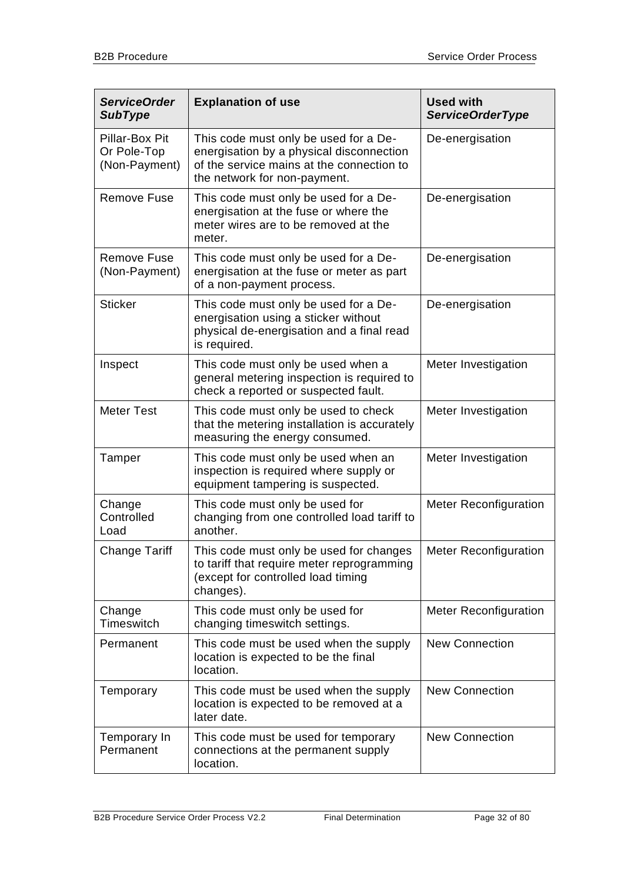| <b>ServiceOrder</b><br><b>SubType</b>          | <b>Explanation of use</b>                                                                                                                                      | <b>Used with</b><br><b>ServiceOrderType</b> |
|------------------------------------------------|----------------------------------------------------------------------------------------------------------------------------------------------------------------|---------------------------------------------|
| Pillar-Box Pit<br>Or Pole-Top<br>(Non-Payment) | This code must only be used for a De-<br>energisation by a physical disconnection<br>of the service mains at the connection to<br>the network for non-payment. | De-energisation                             |
| <b>Remove Fuse</b>                             | This code must only be used for a De-<br>energisation at the fuse or where the<br>meter wires are to be removed at the<br>meter.                               | De-energisation                             |
| <b>Remove Fuse</b><br>(Non-Payment)            | This code must only be used for a De-<br>energisation at the fuse or meter as part<br>of a non-payment process.                                                | De-energisation                             |
| <b>Sticker</b>                                 | This code must only be used for a De-<br>energisation using a sticker without<br>physical de-energisation and a final read<br>is required.                     | De-energisation                             |
| Inspect                                        | This code must only be used when a<br>general metering inspection is required to<br>check a reported or suspected fault.                                       | Meter Investigation                         |
| <b>Meter Test</b>                              | This code must only be used to check<br>that the metering installation is accurately<br>measuring the energy consumed.                                         | Meter Investigation                         |
| Tamper                                         | This code must only be used when an<br>inspection is required where supply or<br>equipment tampering is suspected.                                             | Meter Investigation                         |
| Change<br>Controlled<br>Load                   | This code must only be used for<br>changing from one controlled load tariff to<br>another.                                                                     | <b>Meter Reconfiguration</b>                |
| <b>Change Tariff</b>                           | This code must only be used for changes<br>to tariff that require meter reprogramming<br>(except for controlled load timing<br>changes).                       | <b>Meter Reconfiguration</b>                |
| Change<br>Timeswitch                           | This code must only be used for<br>changing timeswitch settings.                                                                                               | <b>Meter Reconfiguration</b>                |
| Permanent                                      | This code must be used when the supply<br>location is expected to be the final<br>location.                                                                    | <b>New Connection</b>                       |
| Temporary                                      | This code must be used when the supply<br>location is expected to be removed at a<br>later date.                                                               | <b>New Connection</b>                       |
| Temporary In<br>Permanent                      | This code must be used for temporary<br>connections at the permanent supply<br>location.                                                                       | <b>New Connection</b>                       |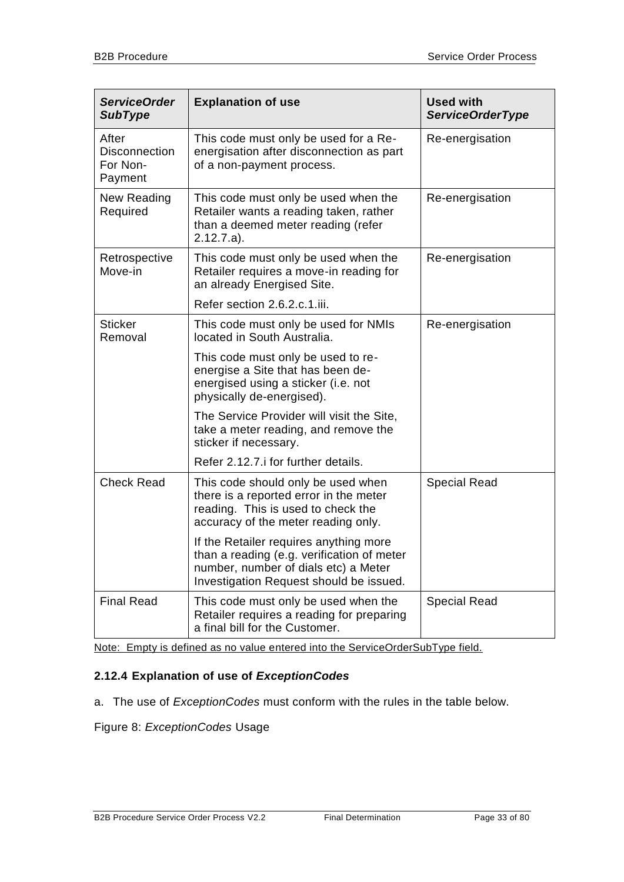| <b>ServiceOrder</b><br><b>SubType</b>                | <b>Explanation of use</b>                                                                                                                                               | <b>Used with</b><br><b>ServiceOrderType</b> |
|------------------------------------------------------|-------------------------------------------------------------------------------------------------------------------------------------------------------------------------|---------------------------------------------|
| After<br><b>Disconnection</b><br>For Non-<br>Payment | This code must only be used for a Re-<br>energisation after disconnection as part<br>of a non-payment process.                                                          | Re-energisation                             |
| New Reading<br>Required                              | This code must only be used when the<br>Retailer wants a reading taken, rather<br>than a deemed meter reading (refer<br>$2.12.7.a$ ).                                   | Re-energisation                             |
| Retrospective<br>Move-in                             | This code must only be used when the<br>Retailer requires a move-in reading for<br>an already Energised Site.                                                           | Re-energisation                             |
|                                                      | Refer section 2.6.2.c.1.iii.                                                                                                                                            |                                             |
| <b>Sticker</b><br>Removal                            | This code must only be used for NMIs<br>located in South Australia.                                                                                                     | Re-energisation                             |
|                                                      | This code must only be used to re-<br>energise a Site that has been de-<br>energised using a sticker (i.e. not<br>physically de-energised).                             |                                             |
|                                                      | The Service Provider will visit the Site,<br>take a meter reading, and remove the<br>sticker if necessary.                                                              |                                             |
|                                                      | Refer 2.12.7. i for further details.                                                                                                                                    |                                             |
| <b>Check Read</b>                                    | This code should only be used when<br>there is a reported error in the meter<br>reading. This is used to check the<br>accuracy of the meter reading only.               | <b>Special Read</b>                         |
|                                                      | If the Retailer requires anything more<br>than a reading (e.g. verification of meter<br>number, number of dials etc) a Meter<br>Investigation Request should be issued. |                                             |
| <b>Final Read</b>                                    | This code must only be used when the<br>Retailer requires a reading for preparing<br>a final bill for the Customer.                                                     | <b>Special Read</b>                         |

Note: Empty is defined as no value entered into the ServiceOrderSubType field.

# <span id="page-32-0"></span>**2.12.4 Explanation of use of** *ExceptionCodes*

a. The use of *ExceptionCodes* must conform with the rules in the table below.

Figure 8: *ExceptionCodes* Usage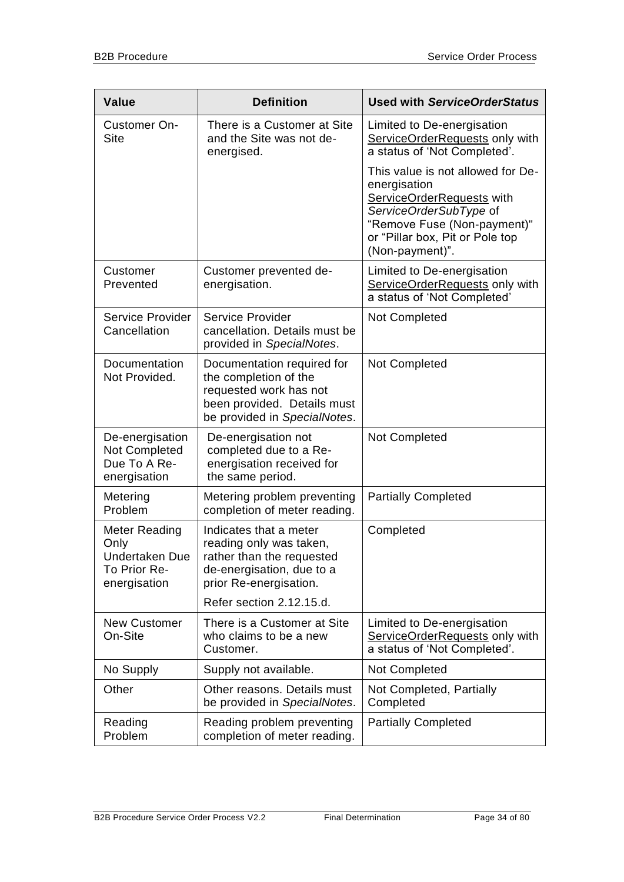| <b>Value</b>                                                                   | <b>Definition</b>                                                                                                                            | <b>Used with ServiceOrderStatus</b>                                                                                                                                                           |
|--------------------------------------------------------------------------------|----------------------------------------------------------------------------------------------------------------------------------------------|-----------------------------------------------------------------------------------------------------------------------------------------------------------------------------------------------|
| Customer On-<br><b>Site</b>                                                    | There is a Customer at Site<br>and the Site was not de-<br>energised.                                                                        | Limited to De-energisation<br>ServiceOrderRequests only with<br>a status of 'Not Completed'.                                                                                                  |
|                                                                                |                                                                                                                                              | This value is not allowed for De-<br>energisation<br>ServiceOrderRequests with<br>ServiceOrderSubType of<br>"Remove Fuse (Non-payment)"<br>or "Pillar box, Pit or Pole top<br>(Non-payment)". |
| Customer<br>Prevented                                                          | Customer prevented de-<br>energisation.                                                                                                      | Limited to De-energisation<br>ServiceOrderRequests only with<br>a status of 'Not Completed'                                                                                                   |
| Service Provider<br>Cancellation                                               | Service Provider<br>cancellation. Details must be<br>provided in SpecialNotes.                                                               | Not Completed                                                                                                                                                                                 |
| Documentation<br>Not Provided.                                                 | Documentation required for<br>the completion of the<br>requested work has not<br>been provided. Details must<br>be provided in SpecialNotes. | Not Completed                                                                                                                                                                                 |
| De-energisation<br>Not Completed<br>Due To A Re-<br>energisation               | De-energisation not<br>completed due to a Re-<br>energisation received for<br>the same period.                                               | Not Completed                                                                                                                                                                                 |
| Metering<br>Problem                                                            | Metering problem preventing<br>completion of meter reading.                                                                                  | <b>Partially Completed</b>                                                                                                                                                                    |
| Meter Reading<br>Only<br><b>Undertaken Due</b><br>To Prior Re-<br>energisation | Indicates that a meter<br>reading only was taken,<br>rather than the requested<br>de-energisation, due to a<br>prior Re-energisation.        | Completed                                                                                                                                                                                     |
|                                                                                | Refer section 2.12.15.d.                                                                                                                     |                                                                                                                                                                                               |
| <b>New Customer</b><br>On-Site                                                 | There is a Customer at Site<br>who claims to be a new<br>Customer.                                                                           | Limited to De-energisation<br>ServiceOrderRequests only with<br>a status of 'Not Completed'.                                                                                                  |
| No Supply                                                                      | Supply not available.                                                                                                                        | Not Completed                                                                                                                                                                                 |
| Other                                                                          | Other reasons. Details must<br>be provided in SpecialNotes.                                                                                  | Not Completed, Partially<br>Completed                                                                                                                                                         |
| Reading<br>Problem                                                             | Reading problem preventing<br>completion of meter reading.                                                                                   | <b>Partially Completed</b>                                                                                                                                                                    |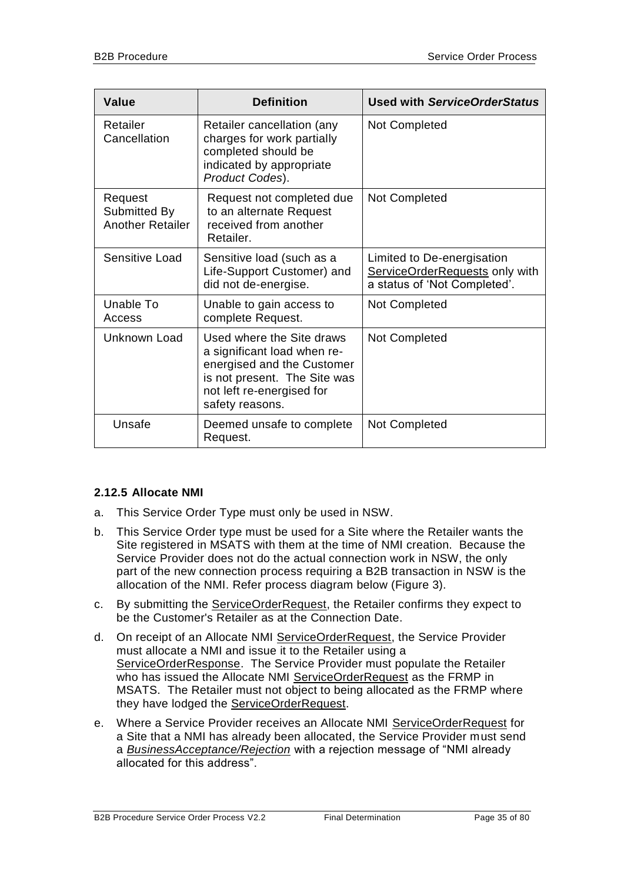| <b>Value</b>                                       | <b>Definition</b>                                                                                                                                                      | <b>Used with ServiceOrderStatus</b>                                                          |
|----------------------------------------------------|------------------------------------------------------------------------------------------------------------------------------------------------------------------------|----------------------------------------------------------------------------------------------|
| Retailer<br>Cancellation                           | Retailer cancellation (any<br>charges for work partially<br>completed should be<br>indicated by appropriate<br>Product Codes).                                         | Not Completed                                                                                |
| Request<br>Submitted By<br><b>Another Retailer</b> | Request not completed due<br>to an alternate Request<br>received from another<br>Retailer.                                                                             | Not Completed                                                                                |
| Sensitive Load                                     | Sensitive load (such as a<br>Life-Support Customer) and<br>did not de-energise.                                                                                        | Limited to De-energisation<br>ServiceOrderRequests only with<br>a status of 'Not Completed'. |
| Unable To<br>Access                                | Unable to gain access to<br>complete Request.                                                                                                                          | Not Completed                                                                                |
| Unknown Load                                       | Used where the Site draws<br>a significant load when re-<br>energised and the Customer<br>is not present. The Site was<br>not left re-energised for<br>safety reasons. | Not Completed                                                                                |
| Unsafe                                             | Deemed unsafe to complete<br>Request.                                                                                                                                  | Not Completed                                                                                |

#### <span id="page-34-0"></span>**2.12.5 Allocate NMI**

- a. This Service Order Type must only be used in NSW.
- b. This Service Order type must be used for a Site where the Retailer wants the Site registered in MSATS with them at the time of NMI creation. Because the Service Provider does not do the actual connection work in NSW, the only part of the new connection process requiring a B2B transaction in NSW is the allocation of the NMI. Refer process diagram below (Figure 3).
- c. By submitting the ServiceOrderRequest, the Retailer confirms they expect to be the Customer's Retailer as at the Connection Date.
- d. On receipt of an Allocate NMI ServiceOrderRequest, the Service Provider must allocate a NMI and issue it to the Retailer using a ServiceOrderResponse. The Service Provider must populate the Retailer who has issued the Allocate NMI ServiceOrderRequest as the FRMP in MSATS. The Retailer must not object to being allocated as the FRMP where they have lodged the ServiceOrderRequest.
- e. Where a Service Provider receives an Allocate NMI ServiceOrderRequest for a Site that a NMI has already been allocated, the Service Provider must send a *BusinessAcceptance/Rejection* with a rejection message of "NMI already allocated for this address".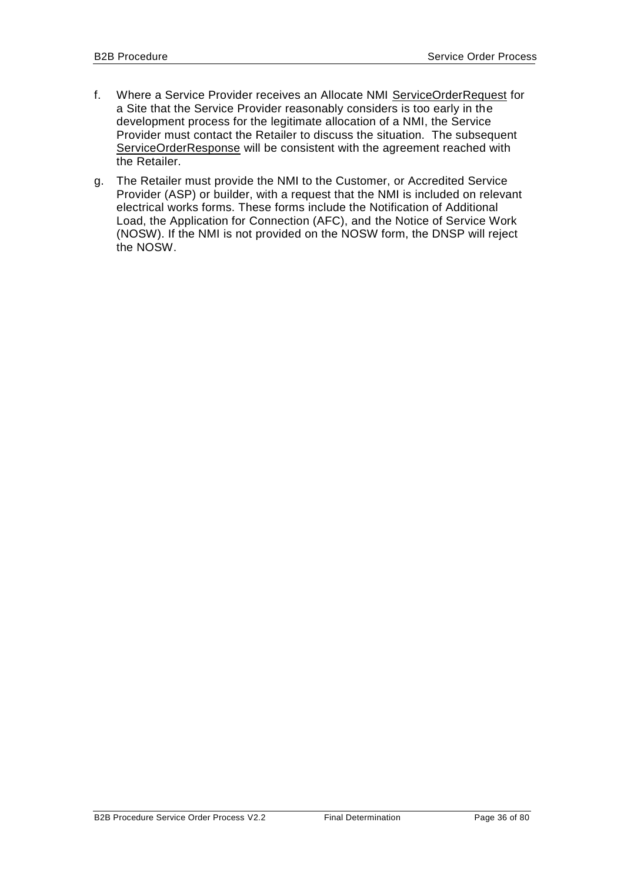- f. Where a Service Provider receives an Allocate NMI ServiceOrderRequest for a Site that the Service Provider reasonably considers is too early in the development process for the legitimate allocation of a NMI, the Service Provider must contact the Retailer to discuss the situation. The subsequent ServiceOrderResponse will be consistent with the agreement reached with the Retailer.
- g. The Retailer must provide the NMI to the Customer, or Accredited Service Provider (ASP) or builder, with a request that the NMI is included on relevant electrical works forms. These forms include the Notification of Additional Load, the Application for Connection (AFC), and the Notice of Service Work (NOSW). If the NMI is not provided on the NOSW form, the DNSP will reject the NOSW.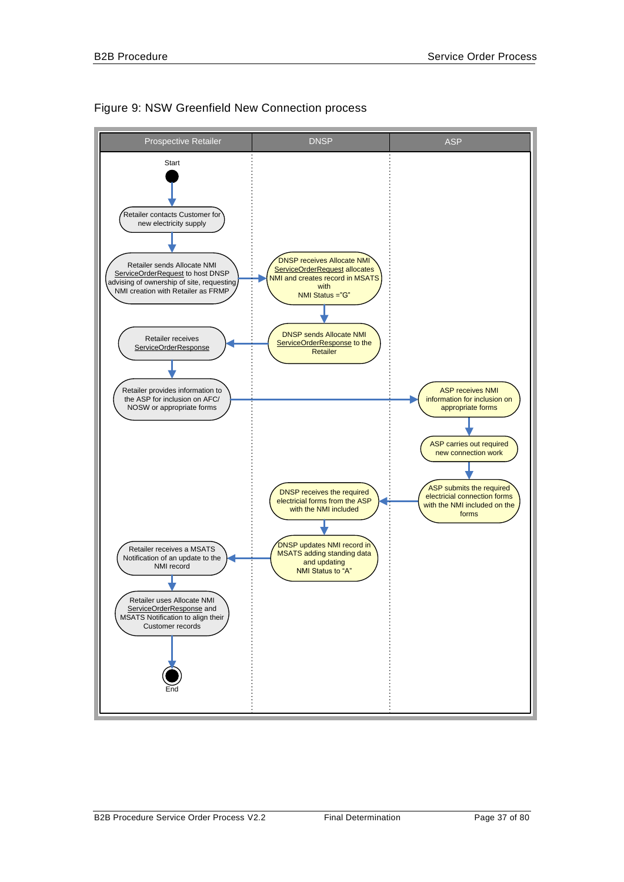

### Figure 9: NSW Greenfield New Connection process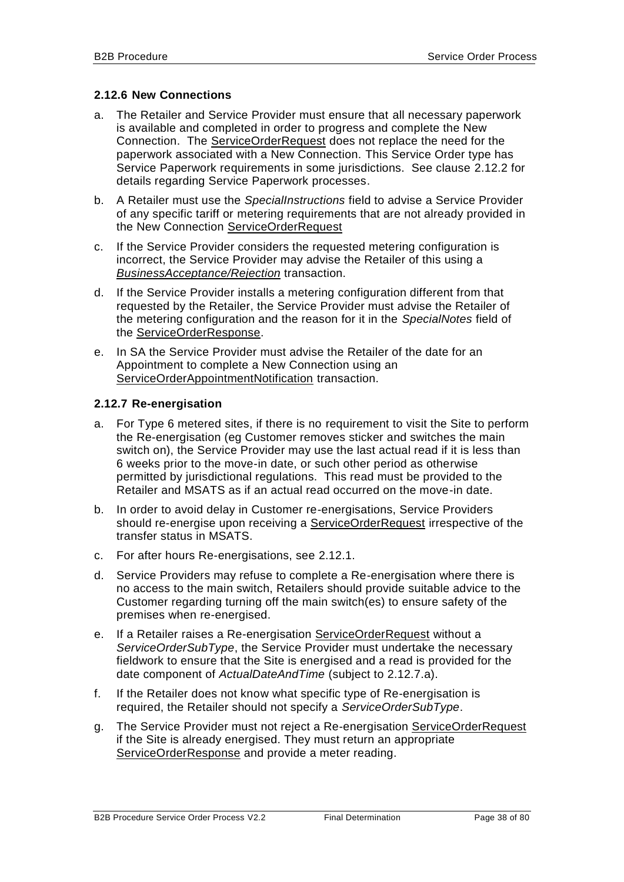### <span id="page-37-2"></span><span id="page-37-1"></span>**2.12.6 New Connections**

- a. The Retailer and Service Provider must ensure that all necessary paperwork is available and completed in order to progress and complete the New Connection. The ServiceOrderRequest does not replace the need for the paperwork associated with a New Connection. This Service Order type has Service Paperwork requirements in some jurisdictions. See clause [2.12.2](#page-26-0) for details regarding Service Paperwork processes.
- b. A Retailer must use the *SpecialInstructions* field to advise a Service Provider of any specific tariff or metering requirements that are not already provided in the New Connection ServiceOrderRequest
- c. If the Service Provider considers the requested metering configuration is incorrect, the Service Provider may advise the Retailer of this using a *BusinessAcceptance/Rejection* transaction.
- d. If the Service Provider installs a metering configuration different from that requested by the Retailer, the Service Provider must advise the Retailer of the metering configuration and the reason for it in the *SpecialNotes* field of the ServiceOrderResponse.
- e. In SA the Service Provider must advise the Retailer of the date for an Appointment to complete a New Connection using an ServiceOrderAppointmentNotification transaction.

### <span id="page-37-0"></span>**2.12.7 Re-energisation**

- a. For Type 6 metered sites, if there is no requirement to visit the Site to perform the Re-energisation (eg Customer removes sticker and switches the main switch on), the Service Provider may use the last actual read if it is less than 6 weeks prior to the move-in date, or such other period as otherwise permitted by jurisdictional regulations. This read must be provided to the Retailer and MSATS as if an actual read occurred on the move-in date.
- b. In order to avoid delay in Customer re-energisations, Service Providers should re-energise upon receiving a ServiceOrderRequest irrespective of the transfer status in MSATS.
- c. For after hours Re-energisations, see [2.12.1.](#page-24-0)
- d. Service Providers may refuse to complete a Re-energisation where there is no access to the main switch, Retailers should provide suitable advice to the Customer regarding turning off the main switch(es) to ensure safety of the premises when re-energised.
- e. If a Retailer raises a Re-energisation ServiceOrderRequest without a *ServiceOrderSubType*, the Service Provider must undertake the necessary fieldwork to ensure that the Site is energised and a read is provided for the date component of *ActualDateAndTime* (subject to [2.12.7.](#page-37-0)a).
- f. If the Retailer does not know what specific type of Re-energisation is required, the Retailer should not specify a *ServiceOrderSubType*.
- g. The Service Provider must not reject a Re-energisation ServiceOrderRequest if the Site is already energised. They must return an appropriate ServiceOrderResponse and provide a meter reading.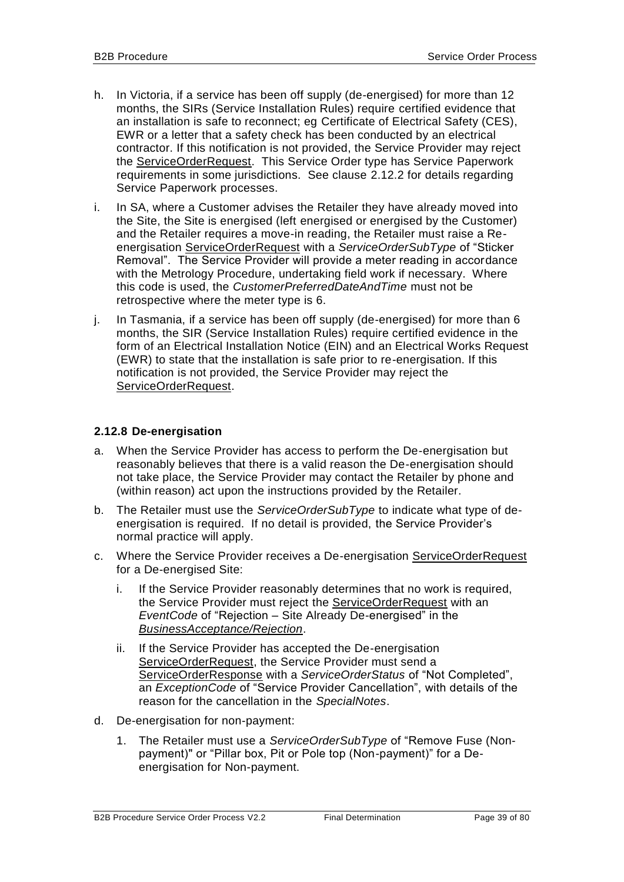- h. In Victoria, if a service has been off supply (de-energised) for more than 12 months, the SIRs (Service Installation Rules) require certified evidence that an installation is safe to reconnect; eg Certificate of Electrical Safety (CES), EWR or a letter that a safety check has been conducted by an electrical contractor. If this notification is not provided, the Service Provider may reject the ServiceOrderRequest. This Service Order type has Service Paperwork requirements in some jurisdictions. See clause [2.12.2](#page-26-0) for details regarding Service Paperwork processes.
- i. In SA, where a Customer advises the Retailer they have already moved into the Site, the Site is energised (left energised or energised by the Customer) and the Retailer requires a move-in reading, the Retailer must raise a Reenergisation ServiceOrderRequest with a *ServiceOrderSubType* of "Sticker Removal". The Service Provider will provide a meter reading in accordance with the Metrology Procedure, undertaking field work if necessary. Where this code is used, the *CustomerPreferredDateAndTime* must not be retrospective where the meter type is 6.
- j. In Tasmania, if a service has been off supply (de-energised) for more than 6 months, the SIR (Service Installation Rules) require certified evidence in the form of an Electrical Installation Notice (EIN) and an Electrical Works Request (EWR) to state that the installation is safe prior to re-energisation. If this notification is not provided, the Service Provider may reject the ServiceOrderRequest.

### **2.12.8 De-energisation**

- a. When the Service Provider has access to perform the De-energisation but reasonably believes that there is a valid reason the De-energisation should not take place, the Service Provider may contact the Retailer by phone and (within reason) act upon the instructions provided by the Retailer.
- b. The Retailer must use the *ServiceOrderSubType* to indicate what type of deenergisation is required. If no detail is provided, the Service Provider's normal practice will apply.
- c. Where the Service Provider receives a De-energisation ServiceOrderRequest for a De-energised Site:
	- i. If the Service Provider reasonably determines that no work is required, the Service Provider must reject the ServiceOrderRequest with an *EventCode* of "Rejection – Site Already De-energised" in the *BusinessAcceptance/Rejection*.
	- ii. If the Service Provider has accepted the De-energisation ServiceOrderRequest, the Service Provider must send a ServiceOrderResponse with a *ServiceOrderStatus* of "Not Completed", an *ExceptionCode* of "Service Provider Cancellation", with details of the reason for the cancellation in the *SpecialNotes*.
- d. De-energisation for non-payment:
	- 1. The Retailer must use a *ServiceOrderSubType* of "Remove Fuse (Nonpayment)" or "Pillar box, Pit or Pole top (Non-payment)" for a Deenergisation for Non-payment.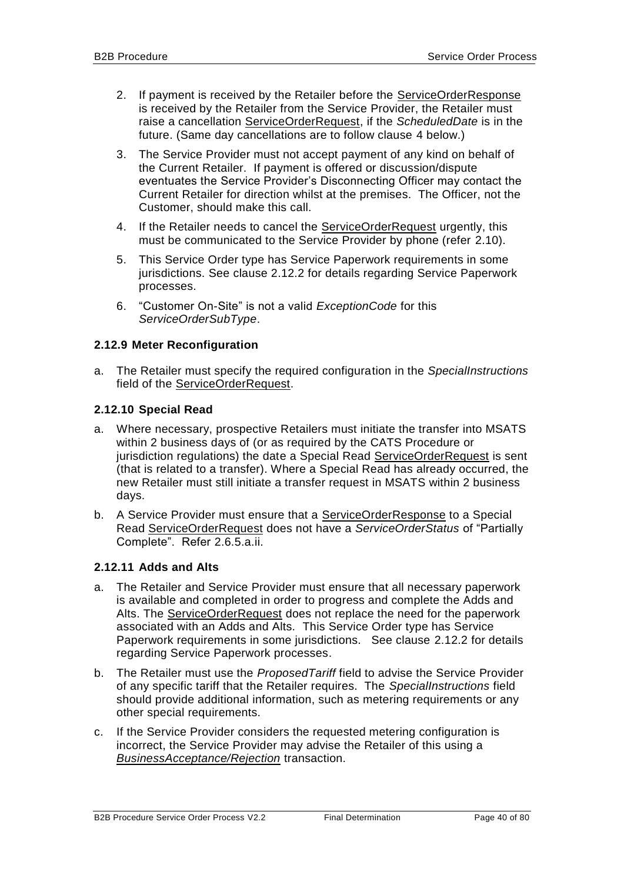- <span id="page-39-2"></span><span id="page-39-1"></span>2. If payment is received by the Retailer before the ServiceOrderResponse is received by the Retailer from the Service Provider, the Retailer must raise a cancellation ServiceOrderRequest, if the *ScheduledDate* is in the future. (Same day cancellations are to follow clause [4](#page-39-0) below.)
- 3. The Service Provider must not accept payment of any kind on behalf of the Current Retailer. If payment is offered or discussion/dispute eventuates the Service Provider's Disconnecting Officer may contact the Current Retailer for direction whilst at the premises. The Officer, not the Customer, should make this call.
- <span id="page-39-0"></span>4. If the Retailer needs to cancel the ServiceOrderRequest urgently, this must be communicated to the Service Provider by phone (refer [2.10\)](#page-23-0).
- 5. This Service Order type has Service Paperwork requirements in some jurisdictions. See clause [2.12.2](#page-26-0) for details regarding Service Paperwork processes.
- <span id="page-39-3"></span>6. "Customer On-Site" is not a valid *ExceptionCode* for this *ServiceOrderSubType*.

## **2.12.9 Meter Reconfiguration**

a. The Retailer must specify the required configuration in the *SpecialInstructions* field of the ServiceOrderRequest.

### <span id="page-39-4"></span>**2.12.10 Special Read**

- a. Where necessary, prospective Retailers must initiate the transfer into MSATS within 2 business days of (or as required by the CATS Procedure or jurisdiction regulations) the date a Special Read ServiceOrderRequest is sent (that is related to a transfer). Where a Special Read has already occurred, the new Retailer must still initiate a transfer request in MSATS within 2 business days.
- b. A Service Provider must ensure that a ServiceOrderResponse to a Special Read ServiceOrderRequest does not have a *ServiceOrderStatus* of "Partially Complete". Refer [2.6.5](#page-22-0)[.a.](#page-22-1)[ii.](#page-22-2)

### **2.12.11 Adds and Alts**

- a. The Retailer and Service Provider must ensure that all necessary paperwork is available and completed in order to progress and complete the Adds and Alts. The ServiceOrderRequest does not replace the need for the paperwork associated with an Adds and Alts. This Service Order type has Service Paperwork requirements in some jurisdictions. See clause [2.12.2](#page-26-0) for details regarding Service Paperwork processes.
- b. The Retailer must use the *ProposedTariff* field to advise the Service Provider of any specific tariff that the Retailer requires. The *SpecialInstructions* field should provide additional information, such as metering requirements or any other special requirements.
- c. If the Service Provider considers the requested metering configuration is incorrect, the Service Provider may advise the Retailer of this using a *BusinessAcceptance/Rejection* transaction.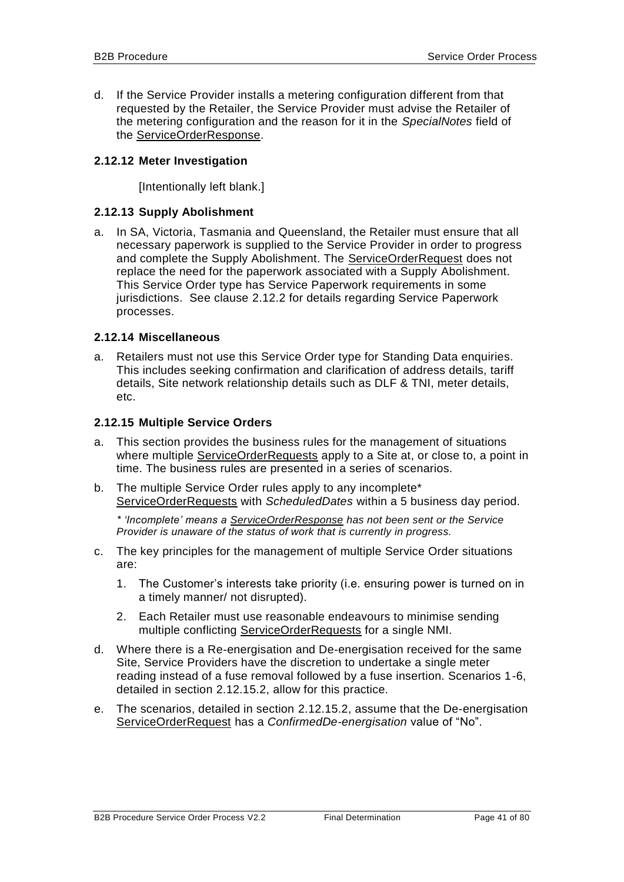d. If the Service Provider installs a metering configuration different from that requested by the Retailer, the Service Provider must advise the Retailer of the metering configuration and the reason for it in the *SpecialNotes* field of the **ServiceOrderResponse**.

### <span id="page-40-0"></span>**2.12.12 Meter Investigation**

[Intentionally left blank.]

### **2.12.13 Supply Abolishment**

a. In SA, Victoria, Tasmania and Queensland, the Retailer must ensure that all necessary paperwork is supplied to the Service Provider in order to progress and complete the Supply Abolishment. The ServiceOrderRequest does not replace the need for the paperwork associated with a Supply Abolishment. This Service Order type has Service Paperwork requirements in some jurisdictions. See clause [2.12.2](#page-26-0) for details regarding Service Paperwork processes.

### **2.12.14 Miscellaneous**

a. Retailers must not use this Service Order type for Standing Data enquiries. This includes seeking confirmation and clarification of address details, tariff details, Site network relationship details such as DLF & TNI, meter details, etc.

### **2.12.15 Multiple Service Orders**

- <span id="page-40-1"></span>a. This section provides the business rules for the management of situations where multiple ServiceOrderRequests apply to a Site at, or close to, a point in time. The business rules are presented in a series of scenarios.
- b. The multiple Service Order rules apply to any incomplete\* ServiceOrderRequests with *ScheduledDates* within a 5 business day period.

*\* 'Incomplete' means a ServiceOrderResponse has not been sent or the Service Provider is unaware of the status of work that is currently in progress.*

- c. The key principles for the management of multiple Service Order situations are:
	- 1. The Customer's interests take priority (i.e. ensuring power is turned on in a timely manner/ not disrupted).
	- 2. Each Retailer must use reasonable endeavours to minimise sending multiple conflicting ServiceOrderRequests for a single NMI.
- d. Where there is a Re-energisation and De-energisation received for the same Site, Service Providers have the discretion to undertake a single meter reading instead of a fuse removal followed by a fuse insertion. Scenarios 1-6, detailed in section [2.12.15.2,](#page-43-0) allow for this practice.
- e. The scenarios, detailed in section [2.12.15.2,](#page-43-0) assume that the De-energisation ServiceOrderRequest has a *ConfirmedDe-energisation* value of "No".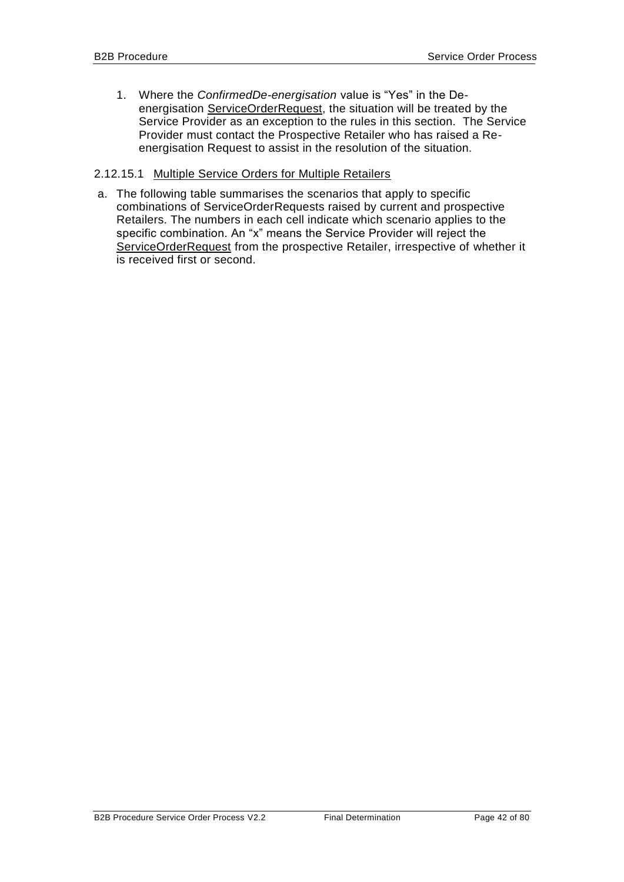1. Where the *ConfirmedDe-energisation* value is "Yes" in the Deenergisation ServiceOrderRequest, the situation will be treated by the Service Provider as an exception to the rules in this section. The Service Provider must contact the Prospective Retailer who has raised a Reenergisation Request to assist in the resolution of the situation.

### 2.12.15.1 Multiple Service Orders for Multiple Retailers

a. The following table summarises the scenarios that apply to specific combinations of ServiceOrderRequests raised by current and prospective Retailers. The numbers in each cell indicate which scenario applies to the specific combination. An "x" means the Service Provider will reject the ServiceOrderRequest from the prospective Retailer, irrespective of whether it is received first or second.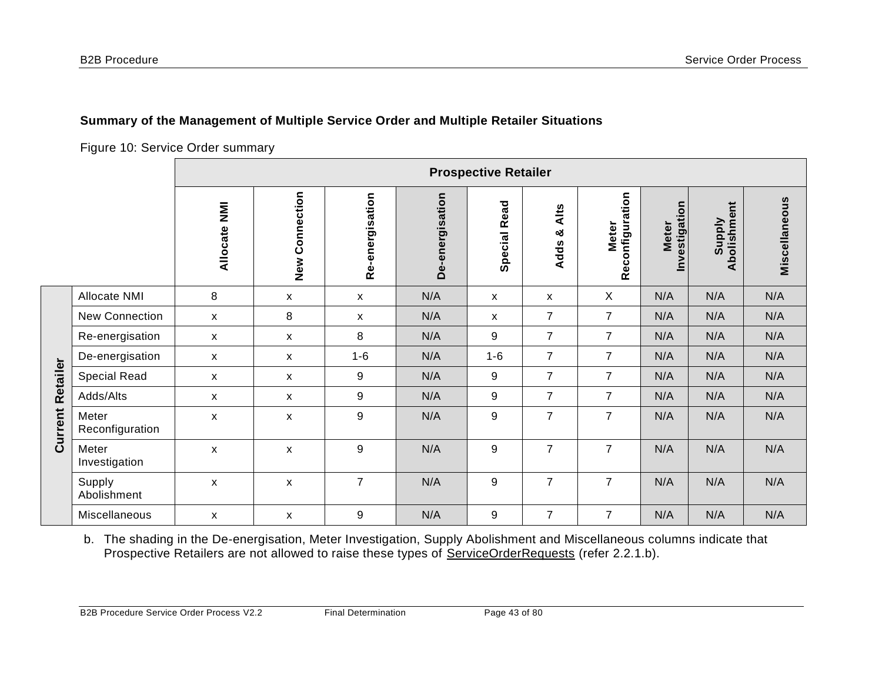**Current Retailer**

**Current Retailer** 

## **Summary of the Management of Multiple Service Order and Multiple Retailer Situations**

Figure 10: Service Order summary

|                          | <b>Prospective Retailer</b> |                           |                 |                 |                           |                    |                                            |                               |                              |               |
|--------------------------|-----------------------------|---------------------------|-----------------|-----------------|---------------------------|--------------------|--------------------------------------------|-------------------------------|------------------------------|---------------|
|                          | Allocate NMI                | Connection<br>New         | Re-energisation | De-energisation | <b>Special Read</b>       | Alts<br>න්<br>Adds | onfiguration<br><b>Meter</b><br><b>Rec</b> | Investigation<br><b>Meter</b> | Abolishment<br><b>Supply</b> | Miscellaneous |
| Allocate NMI             | 8                           | X                         | X               | N/A             | $\boldsymbol{\mathsf{x}}$ | X                  | X                                          | N/A                           | N/A                          | N/A           |
| <b>New Connection</b>    | X                           | 8                         | X               | N/A             | X                         | $\overline{7}$     | $\overline{7}$                             | N/A                           | N/A                          | N/A           |
| Re-energisation          | X                           | X                         | 8               | N/A             | 9                         | $\overline{7}$     | $\overline{7}$                             | N/A                           | N/A                          | N/A           |
| De-energisation          | X                           | X                         | $1 - 6$         | N/A             | $1 - 6$                   | $\overline{7}$     | $\overline{7}$                             | N/A                           | N/A                          | N/A           |
| <b>Special Read</b>      | X                           | X                         | 9               | N/A             | 9                         | $\overline{7}$     | $\overline{7}$                             | N/A                           | N/A                          | N/A           |
| Adds/Alts                | X                           | $\boldsymbol{\mathsf{X}}$ | 9               | N/A             | 9                         | $\overline{7}$     | $\overline{7}$                             | N/A                           | N/A                          | N/A           |
| Meter<br>Reconfiguration | X                           | X                         | 9               | N/A             | 9                         | $\overline{7}$     | $\overline{7}$                             | N/A                           | N/A                          | N/A           |
| Meter<br>Investigation   | X                           | X                         | 9               | N/A             | 9                         | $\overline{7}$     | $\overline{7}$                             | N/A                           | N/A                          | N/A           |
| Supply<br>Abolishment    | X                           | X                         | $\overline{7}$  | N/A             | 9                         | $\overline{7}$     | $\overline{7}$                             | N/A                           | N/A                          | N/A           |
| Miscellaneous            | X                           | X                         | 9               | N/A             | 9                         | $\overline{7}$     | $\overline{7}$                             | N/A                           | N/A                          | N/A           |

b. The shading in the De-energisation, Meter Investigation, Supply Abolishment and Miscellaneous columns indicate that Prospective Retailers are not allowed to raise these types of ServiceOrderRequests (refer [2.2.1.](#page-15-0)b).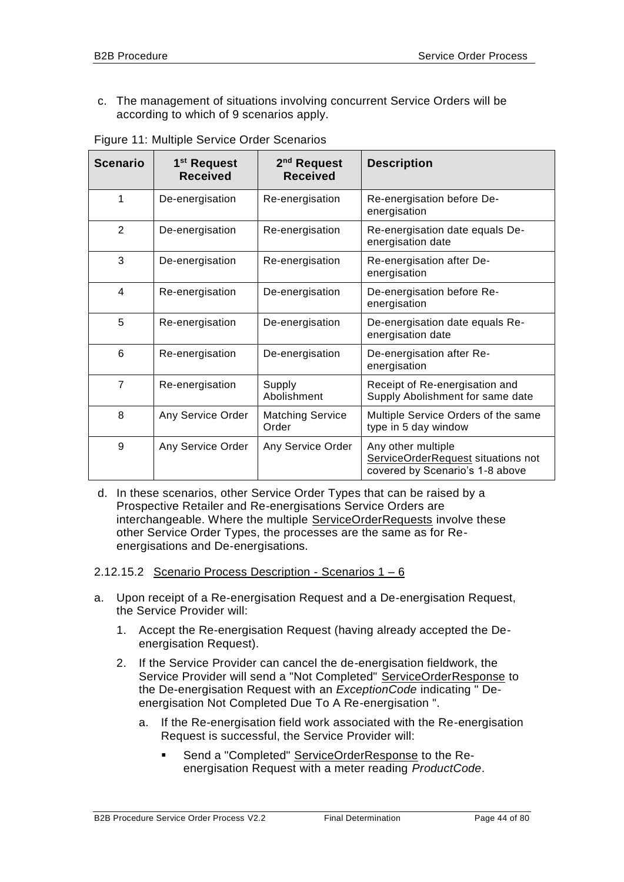c. The management of situations involving concurrent Service Orders will be according to which of 9 scenarios apply.

<span id="page-43-1"></span>

| <b>Scenario</b> | 1 <sup>st</sup> Request<br><b>Received</b> | 2 <sup>nd</sup> Request<br><b>Received</b> | <b>Description</b>                                                                          |
|-----------------|--------------------------------------------|--------------------------------------------|---------------------------------------------------------------------------------------------|
| 1               | De-energisation                            | Re-energisation                            | Re-energisation before De-<br>energisation                                                  |
| 2               | De-energisation                            | Re-energisation                            | Re-energisation date equals De-<br>energisation date                                        |
| 3               | De-energisation                            | Re-energisation                            | Re-energisation after De-<br>energisation                                                   |
| $\overline{4}$  | Re-energisation                            | De-energisation                            | De-energisation before Re-<br>energisation                                                  |
| 5               | Re-energisation                            | De-energisation                            | De-energisation date equals Re-<br>energisation date                                        |
| 6               | Re-energisation                            | De-energisation                            | De-energisation after Re-<br>energisation                                                   |
| $\overline{7}$  | Re-energisation                            | Supply<br>Abolishment                      | Receipt of Re-energisation and<br>Supply Abolishment for same date                          |
| 8               | Any Service Order                          | <b>Matching Service</b><br>Order           | Multiple Service Orders of the same<br>type in 5 day window                                 |
| 9               | Any Service Order                          | Any Service Order                          | Any other multiple<br>ServiceOrderRequest situations not<br>covered by Scenario's 1-8 above |

Figure 11: Multiple Service Order Scenarios

d. In these scenarios, other Service Order Types that can be raised by a Prospective Retailer and Re-energisations Service Orders are interchangeable. Where the multiple ServiceOrderRequests involve these other Service Order Types, the processes are the same as for Reenergisations and De-energisations.

### <span id="page-43-0"></span>2.12.15.2 Scenario Process Description - Scenarios 1 – 6

- a. Upon receipt of a Re-energisation Request and a De-energisation Request, the Service Provider will:
	- 1. Accept the Re-energisation Request (having already accepted the Deenergisation Request).
	- 2. If the Service Provider can cancel the de-energisation fieldwork, the Service Provider will send a "Not Completed" ServiceOrderResponse to the De-energisation Request with an *ExceptionCode* indicating " Deenergisation Not Completed Due To A Re-energisation ".
		- a. If the Re-energisation field work associated with the Re-energisation Request is successful, the Service Provider will:
			- Send a "Completed" ServiceOrderResponse to the Reenergisation Request with a meter reading *ProductCode*.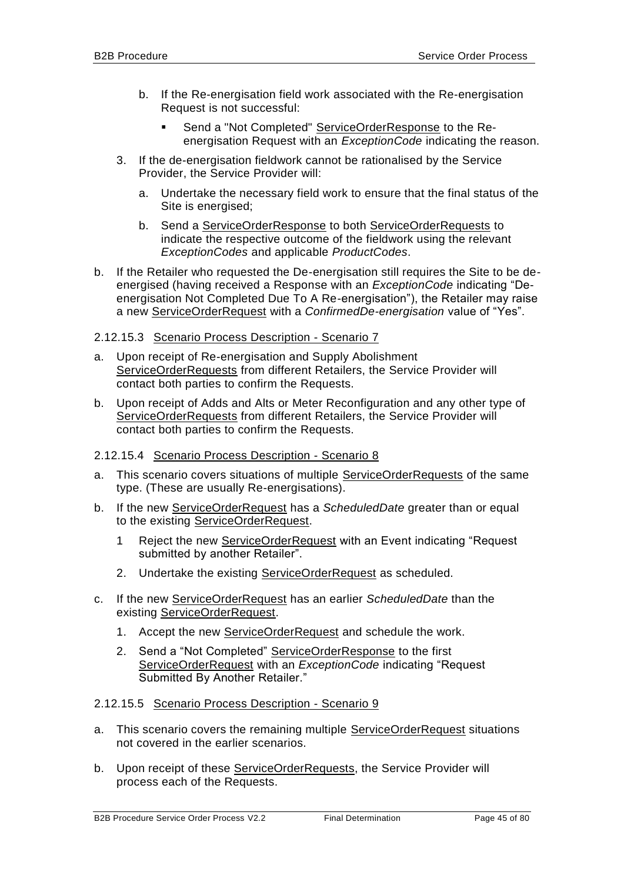- b. If the Re-energisation field work associated with the Re-energisation Request is not successful:
	- Send a "Not Completed" ServiceOrderResponse to the Reenergisation Request with an *ExceptionCode* indicating the reason.
- 3. If the de-energisation fieldwork cannot be rationalised by the Service Provider, the Service Provider will:
	- a. Undertake the necessary field work to ensure that the final status of the Site is energised;
	- b. Send a ServiceOrderResponse to both ServiceOrderRequests to indicate the respective outcome of the fieldwork using the relevant *ExceptionCodes* and applicable *ProductCodes*.
- b. If the Retailer who requested the De-energisation still requires the Site to be deenergised (having received a Response with an *ExceptionCode* indicating "Deenergisation Not Completed Due To A Re-energisation"), the Retailer may raise a new ServiceOrderRequest with a *ConfirmedDe-energisation* value of "Yes".
- 2.12.15.3 Scenario Process Description Scenario 7
- a. Upon receipt of Re-energisation and Supply Abolishment ServiceOrderRequests from different Retailers, the Service Provider will contact both parties to confirm the Requests.
- b. Upon receipt of Adds and Alts or Meter Reconfiguration and any other type of ServiceOrderRequests from different Retailers, the Service Provider will contact both parties to confirm the Requests.
- 2.12.15.4 Scenario Process Description Scenario 8
- a. This scenario covers situations of multiple ServiceOrderRequests of the same type. (These are usually Re-energisations).
- b. If the new ServiceOrderRequest has a *ScheduledDate* greater than or equal to the existing ServiceOrderRequest.
	- 1 Reject the new ServiceOrderRequest with an Event indicating "Request submitted by another Retailer".
	- 2. Undertake the existing ServiceOrderRequest as scheduled.
- c. If the new ServiceOrderRequest has an earlier *ScheduledDate* than the existing ServiceOrderRequest.
	- 1. Accept the new ServiceOrderRequest and schedule the work.
	- 2. Send a "Not Completed" ServiceOrderResponse to the first ServiceOrderRequest with an *ExceptionCode* indicating "Request Submitted By Another Retailer."

### 2.12.15.5 Scenario Process Description - Scenario 9

- a. This scenario covers the remaining multiple ServiceOrderRequest situations not covered in the earlier scenarios.
- b. Upon receipt of these ServiceOrderRequests, the Service Provider will process each of the Requests.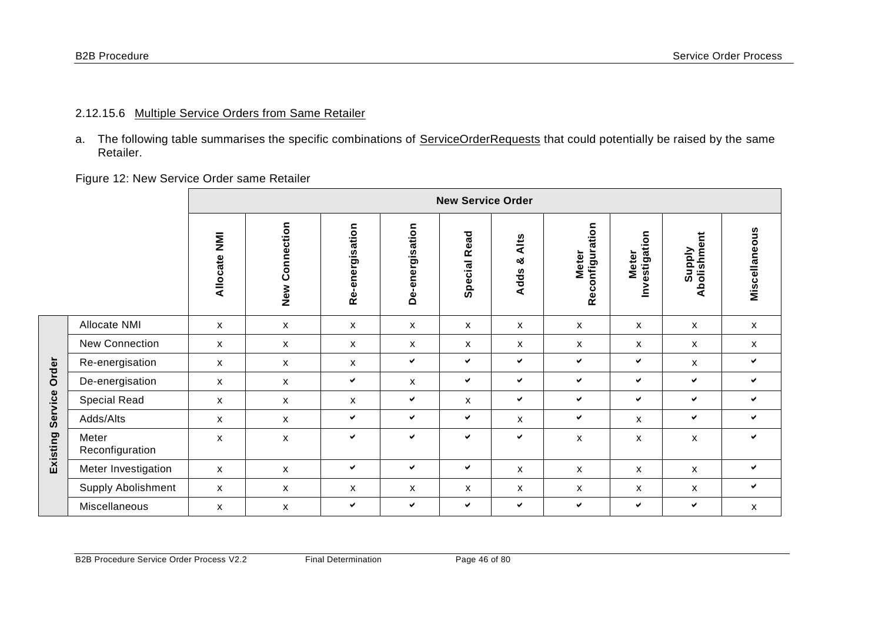**Existing Service Order**

Existing Service Order

a. The following table summarises the specific combinations of ServiceOrderRequests that could potentially be raised by the same Retailer.

Figure 12: New Service Order same Retailer

|                           | <b>New Service Order</b> |                |                 |                 |                 |                          |                                 |                               |                       |               |
|---------------------------|--------------------------|----------------|-----------------|-----------------|-----------------|--------------------------|---------------------------------|-------------------------------|-----------------------|---------------|
|                           | <b>MN</b><br>Allocate    | New Connection | Re-energisation | De-energisation | Read<br>Special | Alts<br>ೲ<br><b>Adds</b> | Reconfiguration<br><b>Meter</b> | Investigation<br><b>Meter</b> | Supply<br>Abolishment | Miscellaneous |
| Allocate NMI              | $\mathsf{x}$             | X              | X               | $\mathsf{x}$    | $\mathsf{x}$    | $\mathsf{x}$             | X                               | X                             | X                     | $\mathsf{x}$  |
| New Connection            | $\mathsf{x}$             | X              | X               | X               | $\mathsf{x}$    | X                        | X                               | X                             | X                     | $\mathsf{x}$  |
| Re-energisation           | $\mathsf{x}$             | $\mathsf{x}$   | $\mathsf{x}$    | $\checkmark$    | ✔               | $\checkmark$             | ✔                               | $\checkmark$                  | X                     | ✔             |
| De-energisation           | $\mathsf{x}$             | X              | $\checkmark$    | X               | ✓               | $\checkmark$             | $\checkmark$                    | $\checkmark$                  | $\checkmark$          | ✔             |
| <b>Special Read</b>       | $\mathsf{x}$             | X              | $\mathsf{x}$    | ✔               | $\mathsf{x}$    | $\checkmark$             | ✓                               | $\checkmark$                  | $\checkmark$          | ✔             |
| Adds/Alts                 | $\mathsf{x}$             | X              | $\checkmark$    | $\checkmark$    | ✓               | X                        | $\checkmark$                    | X                             | $\checkmark$          | $\checkmark$  |
| Meter<br>Reconfiguration  | X                        | X              | $\checkmark$    | $\checkmark$    | ✔               | $\checkmark$             | X                               | X                             | $\pmb{\mathsf{x}}$    | ✔             |
| Meter Investigation       | $\mathsf{x}$             | X              | $\checkmark$    | $\checkmark$    | $\checkmark$    | X                        | X                               | X                             | X                     | ✔             |
| <b>Supply Abolishment</b> | $\mathsf{x}$             | X              | X               | X               | $\mathsf{x}$    | X                        | X                               | X                             | X                     | $\checkmark$  |
| Miscellaneous             | X                        | X              | $\checkmark$    | $\checkmark$    | ✓               | $\checkmark$             | ✔                               | $\checkmark$                  | $\checkmark$          | X             |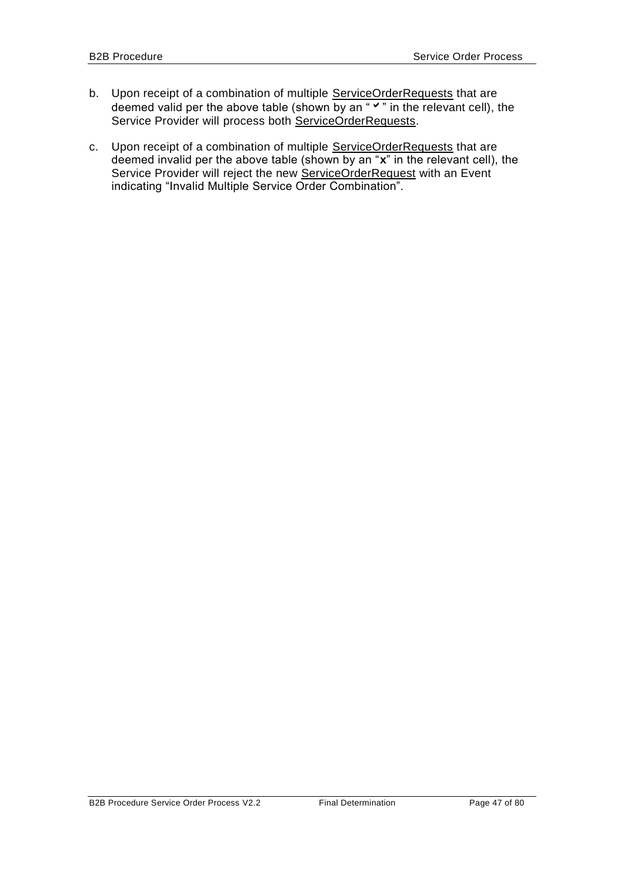- b. Upon receipt of a combination of multiple ServiceOrderRequests that are deemed valid per the above table (shown by an " $\checkmark$ " in the relevant cell), the Service Provider will process both ServiceOrderRequests.
- c. Upon receipt of a combination of multiple ServiceOrderRequests that are deemed invalid per the above table (shown by an "**x**" in the relevant cell), the Service Provider will reject the new ServiceOrderRequest with an Event indicating "Invalid Multiple Service Order Combination".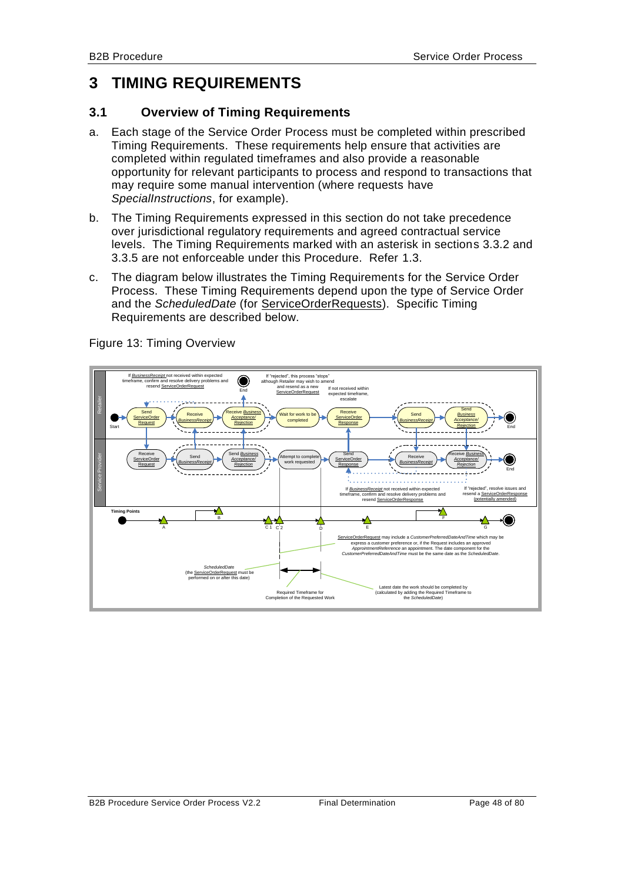# **3 TIMING REQUIREMENTS**

## **3.1 Overview of Timing Requirements**

- a. Each stage of the Service Order Process must be completed within prescribed Timing Requirements. These requirements help ensure that activities are completed within regulated timeframes and also provide a reasonable opportunity for relevant participants to process and respond to transactions that may require some manual intervention (where requests have *SpecialInstructions*, for example).
- b. The Timing Requirements expressed in this section do not take precedence over jurisdictional regulatory requirements and agreed contractual service levels. The Timing Requirements marked with an asterisk in sections [3.3.2](#page-51-0) and [3.3.5](#page-54-0) are not enforceable under this Procedure. Refer [1.3.](#page-7-0)
- c. The diagram below illustrates the Timing Requirements for the Service Order Process. These Timing Requirements depend upon the type of Service Order and the *ScheduledDate* (for ServiceOrderRequests). Specific Timing Requirements are described below.



Figure 13: Timing Overview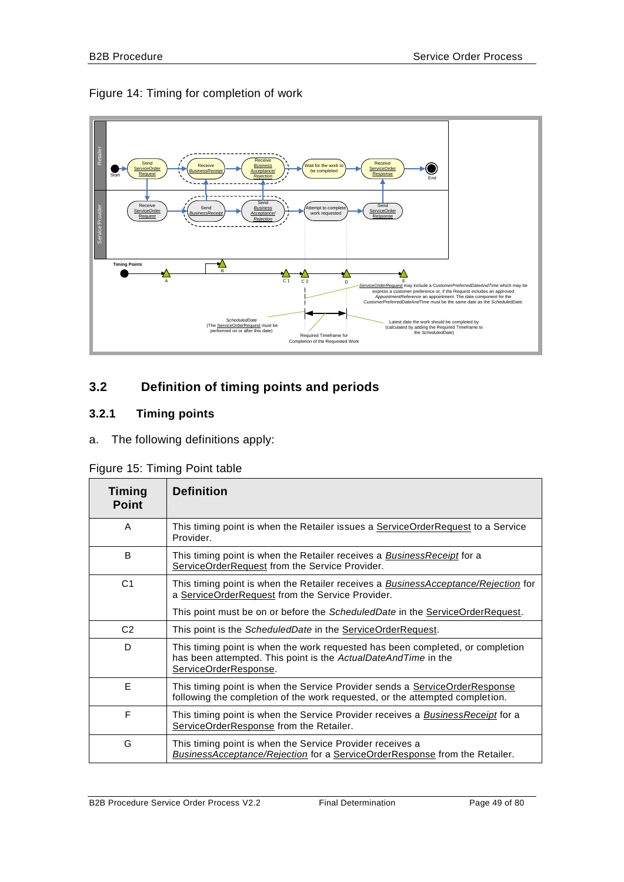## Figure 14: Timing for completion of work



# **3.2 Definition of timing points and periods**

# **3.2.1 Timing points**

a. The following definitions apply:

|  |  |  | Figure 15: Timing Point table |
|--|--|--|-------------------------------|
|--|--|--|-------------------------------|

| Timing<br><b>Point</b> | <b>Definition</b>                                                                                                                                                         |
|------------------------|---------------------------------------------------------------------------------------------------------------------------------------------------------------------------|
| A                      | This timing point is when the Retailer issues a <b>ServiceOrderRequest</b> to a Service<br>Provider.                                                                      |
| B                      | This timing point is when the Retailer receives a <b>Business Receipt</b> for a<br>ServiceOrderRequest from the Service Provider.                                         |
| C <sub>1</sub>         | This timing point is when the Retailer receives a <b>BusinessAcceptance/Rejection</b> for<br>a ServiceOrderRequest from the Service Provider.                             |
|                        | This point must be on or before the ScheduledDate in the ServiceOrderRequest.                                                                                             |
| C <sub>2</sub>         | This point is the ScheduledDate in the ServiceOrderRequest.                                                                                                               |
| D                      | This timing point is when the work requested has been completed, or completion<br>has been attempted. This point is the ActualDateAndTime in the<br>ServiceOrderResponse. |
| E                      | This timing point is when the Service Provider sends a ServiceOrderResponse<br>following the completion of the work requested, or the attempted completion.               |
| F                      | This timing point is when the Service Provider receives a <b>BusinessReceipt</b> for a<br>ServiceOrderResponse from the Retailer.                                         |
| G                      | This timing point is when the Service Provider receives a<br><i>BusinessAcceptance/Rejection</i> for a ServiceOrderResponse from the Retailer.                            |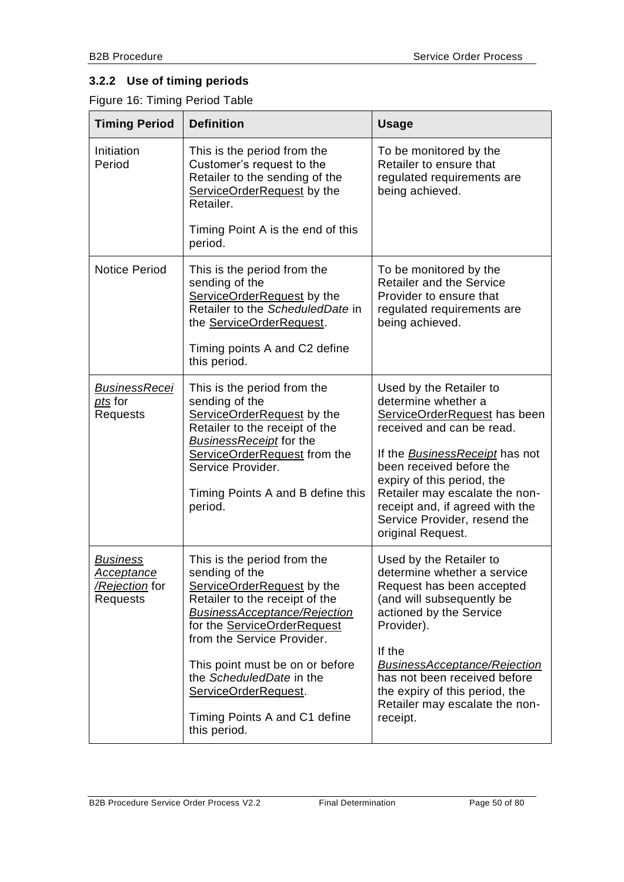# **3.2.2 Use of timing periods**

Figure 16: Timing Period Table

| <b>Timing Period</b>                                        | <b>Definition</b>                                                                                                                                                                                                                                                                                                                                                | <b>Usage</b>                                                                                                                                                                                                                                                                                                                      |
|-------------------------------------------------------------|------------------------------------------------------------------------------------------------------------------------------------------------------------------------------------------------------------------------------------------------------------------------------------------------------------------------------------------------------------------|-----------------------------------------------------------------------------------------------------------------------------------------------------------------------------------------------------------------------------------------------------------------------------------------------------------------------------------|
| Initiation<br>Period                                        | This is the period from the<br>Customer's request to the<br>Retailer to the sending of the<br>ServiceOrderRequest by the<br>Retailer.                                                                                                                                                                                                                            | To be monitored by the<br>Retailer to ensure that<br>regulated requirements are<br>being achieved.                                                                                                                                                                                                                                |
|                                                             | Timing Point A is the end of this<br>period.                                                                                                                                                                                                                                                                                                                     |                                                                                                                                                                                                                                                                                                                                   |
| <b>Notice Period</b>                                        | This is the period from the<br>sending of the<br>ServiceOrderRequest by the<br>Retailer to the ScheduledDate in<br>the ServiceOrderRequest.<br>Timing points A and C2 define<br>this period.                                                                                                                                                                     | To be monitored by the<br><b>Retailer and the Service</b><br>Provider to ensure that<br>regulated requirements are<br>being achieved.                                                                                                                                                                                             |
| <b>BusinessRecei</b><br>pts for<br><b>Requests</b>          | This is the period from the<br>sending of the<br>ServiceOrderRequest by the<br>Retailer to the receipt of the<br><b>BusinessReceipt for the</b><br>ServiceOrderRequest from the<br>Service Provider.<br>Timing Points A and B define this<br>period.                                                                                                             | Used by the Retailer to<br>determine whether a<br>ServiceOrderRequest has been<br>received and can be read.<br>If the BusinessReceipt has not<br>been received before the<br>expiry of this period, the<br>Retailer may escalate the non-<br>receipt and, if agreed with the<br>Service Provider, resend the<br>original Request. |
| <b>Business</b><br>Acceptance<br>/Rejection for<br>Requests | This is the period from the<br>sending of the<br>ServiceOrderRequest by the<br>Retailer to the receipt of the<br><b>BusinessAcceptance/Rejection</b><br>for the <b>ServiceOrderRequest</b><br>from the Service Provider.<br>This point must be on or before<br>the ScheduledDate in the<br>ServiceOrderRequest.<br>Timing Points A and C1 define<br>this period. | Used by the Retailer to<br>determine whether a service<br>Request has been accepted<br>(and will subsequently be<br>actioned by the Service<br>Provider).<br>If the<br><b>BusinessAcceptance/Rejection</b><br>has not been received before<br>the expiry of this period, the<br>Retailer may escalate the non-<br>receipt.        |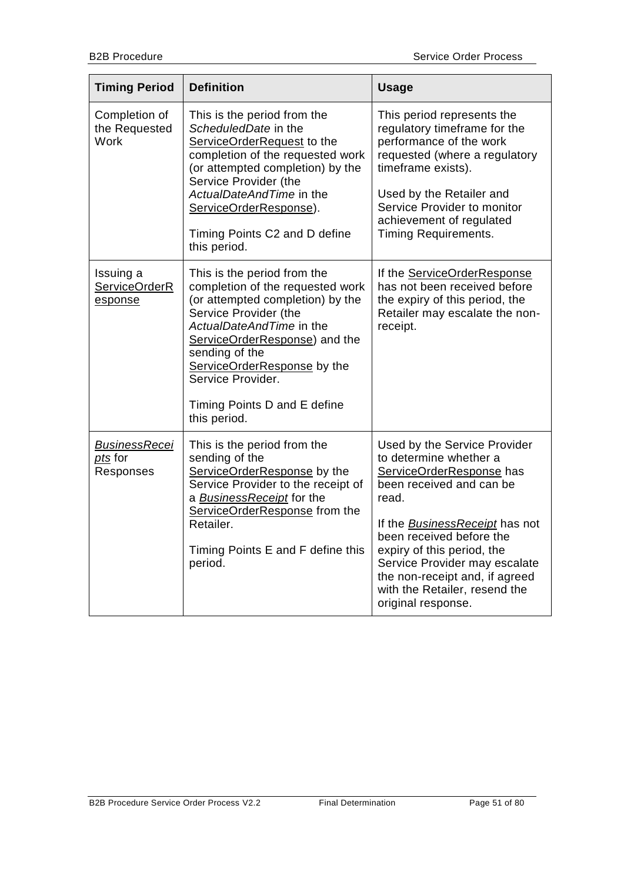| <b>Timing Period</b>                                | <b>Definition</b>                                                                                                                                                                                                                                                                                               | <b>Usage</b>                                                                                                                                                                                                                                                                                                                                  |
|-----------------------------------------------------|-----------------------------------------------------------------------------------------------------------------------------------------------------------------------------------------------------------------------------------------------------------------------------------------------------------------|-----------------------------------------------------------------------------------------------------------------------------------------------------------------------------------------------------------------------------------------------------------------------------------------------------------------------------------------------|
| Completion of<br>the Requested<br><b>Work</b>       | This is the period from the<br>ScheduledDate in the<br>ServiceOrderRequest to the<br>completion of the requested work<br>(or attempted completion) by the<br>Service Provider (the<br>ActualDateAndTime in the<br>ServiceOrderResponse).<br>Timing Points C2 and D define<br>this period.                       | This period represents the<br>regulatory timeframe for the<br>performance of the work<br>requested (where a regulatory<br>timeframe exists).<br>Used by the Retailer and<br>Service Provider to monitor<br>achievement of regulated<br><b>Timing Requirements.</b>                                                                            |
| Issuing a<br>ServiceOrderR<br>esponse               | This is the period from the<br>completion of the requested work<br>(or attempted completion) by the<br>Service Provider (the<br>ActualDateAndTime in the<br>ServiceOrderResponse) and the<br>sending of the<br>ServiceOrderResponse by the<br>Service Provider.<br>Timing Points D and E define<br>this period. | If the ServiceOrderResponse<br>has not been received before<br>the expiry of this period, the<br>Retailer may escalate the non-<br>receipt.                                                                                                                                                                                                   |
| <b>BusinessRecei</b><br><u>pts</u> for<br>Responses | This is the period from the<br>sending of the<br>ServiceOrderResponse by the<br>Service Provider to the receipt of<br>a BusinessReceipt for the<br>ServiceOrderResponse from the<br>Retailer.<br>Timing Points E and F define this<br>period.                                                                   | Used by the Service Provider<br>to determine whether a<br>ServiceOrderResponse has<br>been received and can be<br>read.<br>If the BusinessReceipt has not<br>been received before the<br>expiry of this period, the<br>Service Provider may escalate<br>the non-receipt and, if agreed<br>with the Retailer, resend the<br>original response. |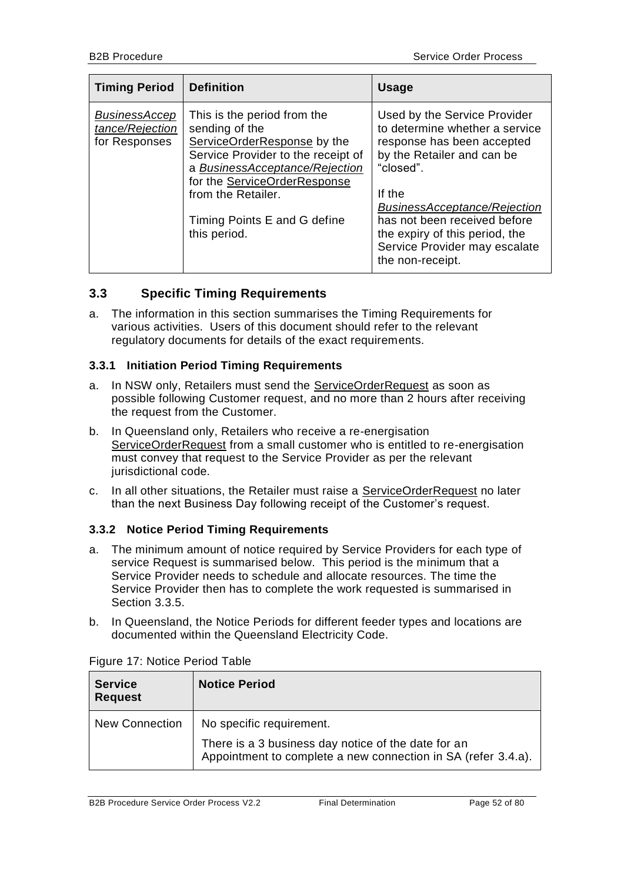| <b>Timing Period</b>                                     | <b>Definition</b>                                                                                                                                                                                                                                          | <b>Usage</b>                                                                                                                                                                                                                                                                                                    |
|----------------------------------------------------------|------------------------------------------------------------------------------------------------------------------------------------------------------------------------------------------------------------------------------------------------------------|-----------------------------------------------------------------------------------------------------------------------------------------------------------------------------------------------------------------------------------------------------------------------------------------------------------------|
| <b>BusinessAccep</b><br>tance/Rejection<br>for Responses | This is the period from the<br>sending of the<br>ServiceOrderResponse by the<br>Service Provider to the receipt of<br>a BusinessAcceptance/Rejection<br>for the ServiceOrderResponse<br>from the Retailer.<br>Timing Points E and G define<br>this period. | Used by the Service Provider<br>to determine whether a service<br>response has been accepted<br>by the Retailer and can be<br>"closed".<br>If the<br><b>BusinessAcceptance/Rejection</b><br>has not been received before<br>the expiry of this period, the<br>Service Provider may escalate<br>the non-receipt. |

# **3.3 Specific Timing Requirements**

a. The information in this section summarises the Timing Requirements for various activities. Users of this document should refer to the relevant regulatory documents for details of the exact requirements.

## **3.3.1 Initiation Period Timing Requirements**

- a. In NSW only, Retailers must send the ServiceOrderRequest as soon as possible following Customer request, and no more than 2 hours after receiving the request from the Customer.
- b. In Queensland only, Retailers who receive a re-energisation ServiceOrderRequest from a small customer who is entitled to re-energisation must convey that request to the Service Provider as per the relevant jurisdictional code.
- c. In all other situations, the Retailer must raise a ServiceOrderRequest no later than the next Business Day following receipt of the Customer's request.

## <span id="page-51-0"></span>**3.3.2 Notice Period Timing Requirements**

- a. The minimum amount of notice required by Service Providers for each type of service Request is summarised below. This period is the minimum that a Service Provider needs to schedule and allocate resources. The time the Service Provider then has to complete the work requested is summarised in Section [3.3.5.](#page-54-0)
- b. In Queensland, the Notice Periods for different feeder types and locations are documented within the Queensland Electricity Code.

| <b>Service</b><br><b>Request</b> | <b>Notice Period</b>                                                                                                 |
|----------------------------------|----------------------------------------------------------------------------------------------------------------------|
| <b>New Connection</b>            | No specific requirement.                                                                                             |
|                                  | There is a 3 business day notice of the date for an<br>Appointment to complete a new connection in SA (refer 3.4.a). |

Figure 17: Notice Period Table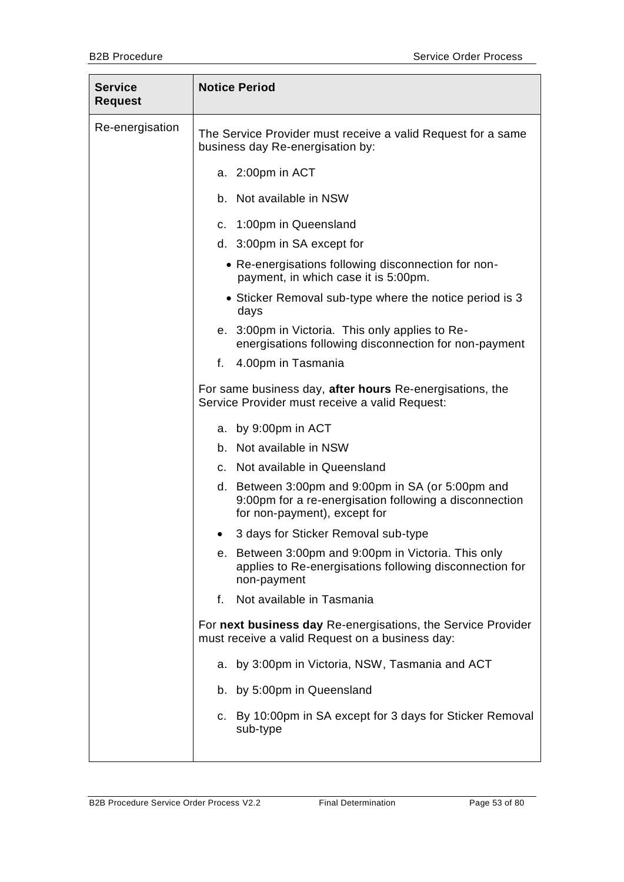| <b>Notice Period</b>                                                                                                                        |
|---------------------------------------------------------------------------------------------------------------------------------------------|
| The Service Provider must receive a valid Request for a same<br>business day Re-energisation by:                                            |
| a. 2:00pm in ACT                                                                                                                            |
| b. Not available in NSW                                                                                                                     |
| c. 1:00pm in Queensland                                                                                                                     |
| d. 3:00pm in SA except for                                                                                                                  |
| • Re-energisations following disconnection for non-<br>payment, in which case it is 5:00pm.                                                 |
| • Sticker Removal sub-type where the notice period is 3<br>days                                                                             |
| e. 3:00pm in Victoria. This only applies to Re-<br>energisations following disconnection for non-payment                                    |
| 4.00pm in Tasmania<br>f.                                                                                                                    |
| For same business day, after hours Re-energisations, the<br>Service Provider must receive a valid Request:                                  |
| a. by 9:00pm in ACT                                                                                                                         |
| b. Not available in NSW                                                                                                                     |
| c. Not available in Queensland                                                                                                              |
| d. Between 3:00pm and 9:00pm in SA (or 5:00pm and<br>9:00pm for a re-energisation following a disconnection<br>for non-payment), except for |
| 3 days for Sticker Removal sub-type                                                                                                         |
| e. Between 3:00pm and 9:00pm in Victoria. This only<br>applies to Re-energisations following disconnection for<br>non-payment               |
| Not available in Tasmania<br>f.                                                                                                             |
| For next business day Re-energisations, the Service Provider<br>must receive a valid Request on a business day:                             |
| a. by 3:00pm in Victoria, NSW, Tasmania and ACT                                                                                             |
| b. by 5:00pm in Queensland                                                                                                                  |
| c. By 10:00pm in SA except for 3 days for Sticker Removal<br>sub-type                                                                       |
|                                                                                                                                             |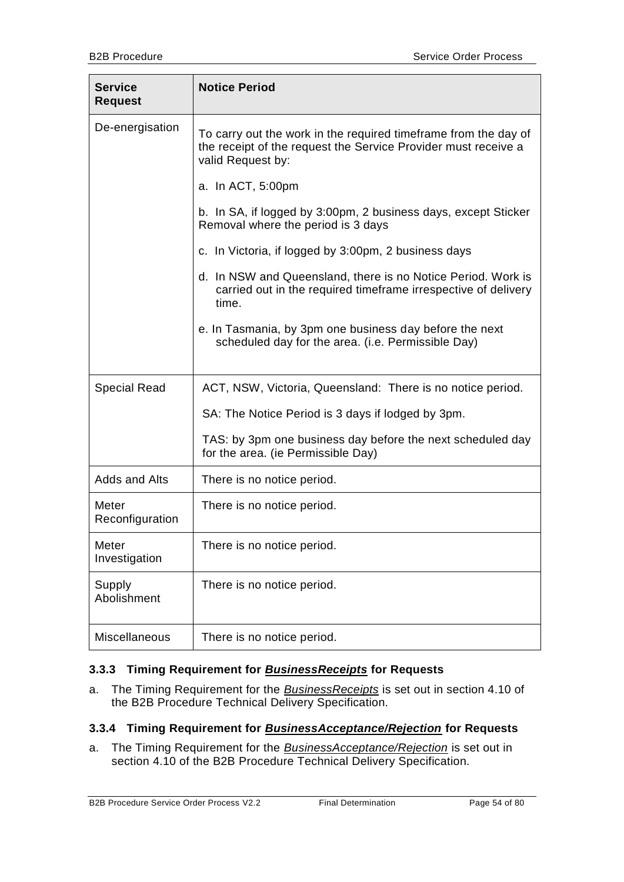| <b>Service</b><br><b>Request</b> | <b>Notice Period</b>                                                                                                                                   |
|----------------------------------|--------------------------------------------------------------------------------------------------------------------------------------------------------|
| De-energisation                  | To carry out the work in the required timeframe from the day of<br>the receipt of the request the Service Provider must receive a<br>valid Request by: |
|                                  | a. In ACT, 5:00pm                                                                                                                                      |
|                                  | b. In SA, if logged by 3:00pm, 2 business days, except Sticker<br>Removal where the period is 3 days                                                   |
|                                  | c. In Victoria, if logged by 3:00pm, 2 business days                                                                                                   |
|                                  | d. In NSW and Queensland, there is no Notice Period. Work is<br>carried out in the required timeframe irrespective of delivery<br>time.                |
|                                  | e. In Tasmania, by 3pm one business day before the next<br>scheduled day for the area. (i.e. Permissible Day)                                          |
| <b>Special Read</b>              | ACT, NSW, Victoria, Queensland: There is no notice period.                                                                                             |
|                                  | SA: The Notice Period is 3 days if lodged by 3pm.                                                                                                      |
|                                  | TAS: by 3pm one business day before the next scheduled day<br>for the area. (ie Permissible Day)                                                       |
| Adds and Alts                    | There is no notice period.                                                                                                                             |
| Meter<br>Reconfiguration         | There is no notice period.                                                                                                                             |
| Meter<br>Investigation           | There is no notice period.                                                                                                                             |
| Supply<br>Abolishment            | There is no notice period.                                                                                                                             |
| Miscellaneous                    | There is no notice period.                                                                                                                             |

## **3.3.3 Timing Requirement for** *BusinessReceipts* **for Requests**

a. The Timing Requirement for the *BusinessReceipts* is set out in section 4.10 of the B2B Procedure Technical Delivery Specification.

### **3.3.4 Timing Requirement for** *BusinessAcceptance/Rejection* **for Requests**

a. The Timing Requirement for the *BusinessAcceptance/Rejection* is set out in section 4.10 of the B2B Procedure Technical Delivery Specification.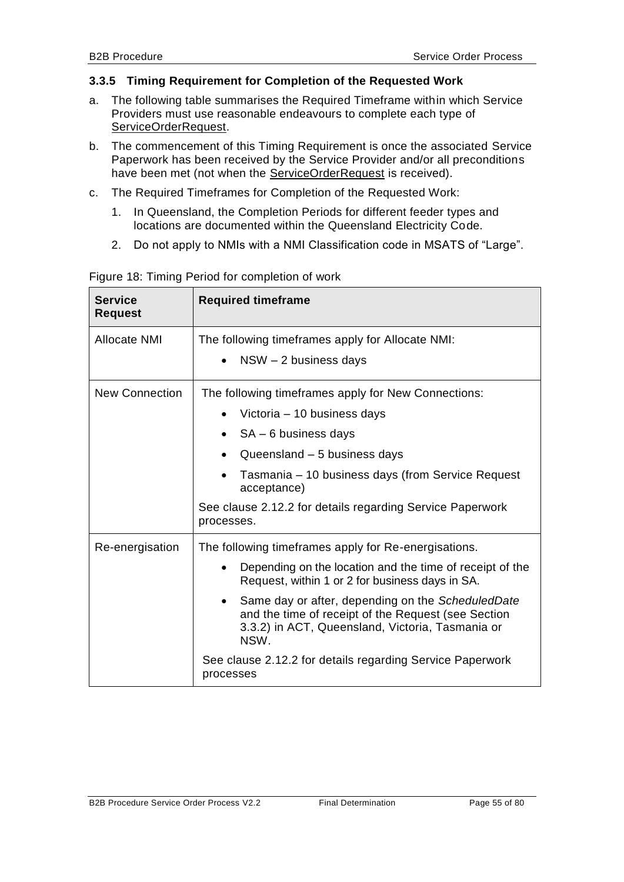### <span id="page-54-0"></span>**3.3.5 Timing Requirement for Completion of the Requested Work**

- a. The following table summarises the Required Timeframe within which Service Providers must use reasonable endeavours to complete each type of ServiceOrderRequest.
- b. The commencement of this Timing Requirement is once the associated Service Paperwork has been received by the Service Provider and/or all preconditions have been met (not when the ServiceOrderRequest is received).
- c. The Required Timeframes for Completion of the Requested Work:
	- 1. In Queensland, the Completion Periods for different feeder types and locations are documented within the Queensland Electricity Code.
	- 2. Do not apply to NMIs with a NMI Classification code in MSATS of "Large".

| <b>Service</b><br><b>Request</b> | <b>Required timeframe</b>                                                                                                                                                                                                                                                                                                                                                                                                          |  |
|----------------------------------|------------------------------------------------------------------------------------------------------------------------------------------------------------------------------------------------------------------------------------------------------------------------------------------------------------------------------------------------------------------------------------------------------------------------------------|--|
| Allocate NMI                     | The following timeframes apply for Allocate NMI:<br>$NSW - 2$ business days                                                                                                                                                                                                                                                                                                                                                        |  |
| <b>New Connection</b>            | The following timeframes apply for New Connections:<br>Victoria - 10 business days<br>$SA - 6$ business days<br>Queensland - 5 business days<br>Tasmania – 10 business days (from Service Request<br>acceptance)<br>See clause 2.12.2 for details regarding Service Paperwork<br>processes.                                                                                                                                        |  |
| Re-energisation                  | The following timeframes apply for Re-energisations.<br>Depending on the location and the time of receipt of the<br>Request, within 1 or 2 for business days in SA.<br>Same day or after, depending on the ScheduledDate<br>$\bullet$<br>and the time of receipt of the Request (see Section<br>3.3.2) in ACT, Queensland, Victoria, Tasmania or<br>NSW.<br>See clause 2.12.2 for details regarding Service Paperwork<br>processes |  |

Figure 18: Timing Period for completion of work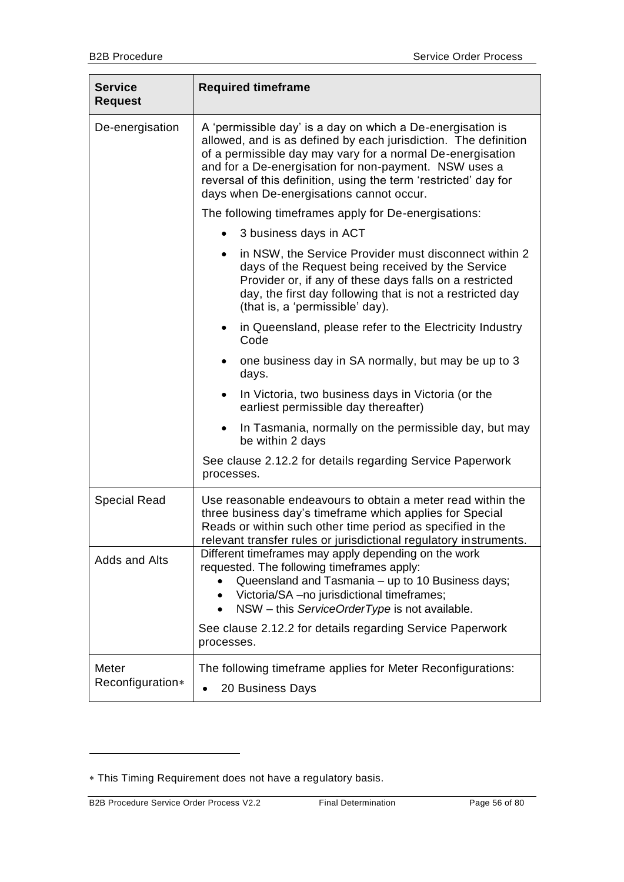| <b>Service</b><br><b>Request</b> | <b>Required timeframe</b>                                                                                                                                                                                                                                                                                                                                            |
|----------------------------------|----------------------------------------------------------------------------------------------------------------------------------------------------------------------------------------------------------------------------------------------------------------------------------------------------------------------------------------------------------------------|
| De-energisation                  | A 'permissible day' is a day on which a De-energisation is<br>allowed, and is as defined by each jurisdiction. The definition<br>of a permissible day may vary for a normal De-energisation<br>and for a De-energisation for non-payment. NSW uses a<br>reversal of this definition, using the term 'restricted' day for<br>days when De-energisations cannot occur. |
|                                  | The following timeframes apply for De-energisations:                                                                                                                                                                                                                                                                                                                 |
|                                  | 3 business days in ACT                                                                                                                                                                                                                                                                                                                                               |
|                                  | in NSW, the Service Provider must disconnect within 2<br>days of the Request being received by the Service<br>Provider or, if any of these days falls on a restricted<br>day, the first day following that is not a restricted day<br>(that is, a 'permissible' day).                                                                                                |
|                                  | in Queensland, please refer to the Electricity Industry<br>٠<br>Code                                                                                                                                                                                                                                                                                                 |
|                                  | one business day in SA normally, but may be up to 3<br>days.                                                                                                                                                                                                                                                                                                         |
|                                  | In Victoria, two business days in Victoria (or the<br>earliest permissible day thereafter)                                                                                                                                                                                                                                                                           |
|                                  | In Tasmania, normally on the permissible day, but may<br>$\bullet$<br>be within 2 days                                                                                                                                                                                                                                                                               |
|                                  | See clause 2.12.2 for details regarding Service Paperwork<br>processes.                                                                                                                                                                                                                                                                                              |
| <b>Special Read</b>              | Use reasonable endeavours to obtain a meter read within the<br>three business day's timeframe which applies for Special<br>Reads or within such other time period as specified in the<br>relevant transfer rules or jurisdictional regulatory instruments                                                                                                            |
| Adds and Alts                    | Different timeframes may apply depending on the work<br>requested. The following timeframes apply:<br>Queensland and Tasmania - up to 10 Business days;<br>Victoria/SA - no jurisdictional timeframes;<br>NSW - this ServiceOrderType is not available.<br>$\bullet$<br>See clause 2.12.2 for details regarding Service Paperwork                                    |
|                                  | processes.                                                                                                                                                                                                                                                                                                                                                           |
| Meter<br>Reconfiguration*        | The following timeframe applies for Meter Reconfigurations:<br>20 Business Days                                                                                                                                                                                                                                                                                      |

-

This Timing Requirement does not have a regulatory basis.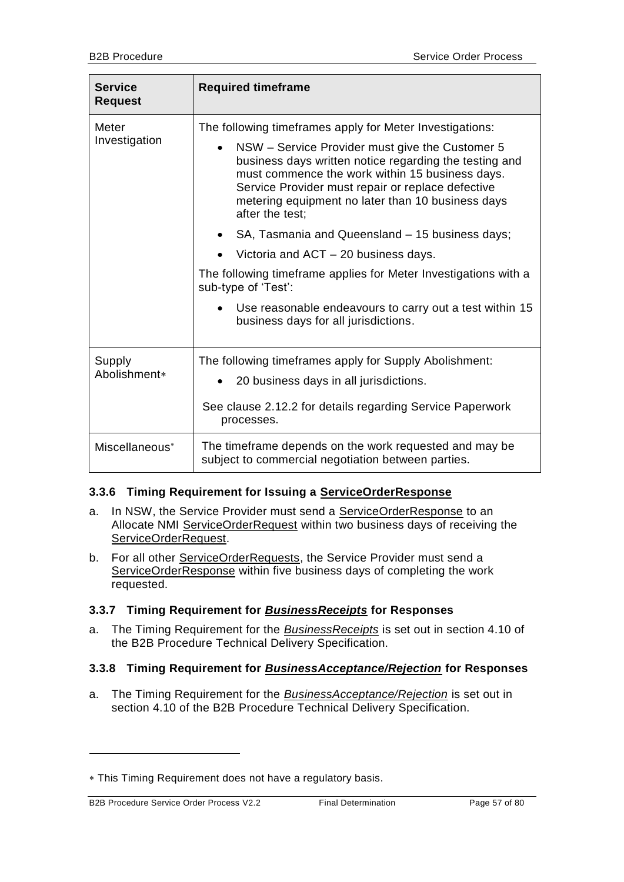| <b>Service</b><br><b>Request</b> | <b>Required timeframe</b>                                                                                                                                                                                                                                                                                                                                                                                                                                                                                                                                                                                                                                  |
|----------------------------------|------------------------------------------------------------------------------------------------------------------------------------------------------------------------------------------------------------------------------------------------------------------------------------------------------------------------------------------------------------------------------------------------------------------------------------------------------------------------------------------------------------------------------------------------------------------------------------------------------------------------------------------------------------|
| Meter<br>Investigation           | The following timeframes apply for Meter Investigations:<br>NSW - Service Provider must give the Customer 5<br>$\bullet$<br>business days written notice regarding the testing and<br>must commence the work within 15 business days.<br>Service Provider must repair or replace defective<br>metering equipment no later than 10 business days<br>after the test;<br>SA, Tasmania and Queensland - 15 business days;<br>Victoria and ACT - 20 business days.<br>The following timeframe applies for Meter Investigations with a<br>sub-type of 'Test':<br>Use reasonable endeavours to carry out a test within 15<br>business days for all jurisdictions. |
| Supply<br>Abolishment*           | The following timeframes apply for Supply Abolishment:<br>20 business days in all jurisdictions.<br>See clause 2.12.2 for details regarding Service Paperwork<br>processes.                                                                                                                                                                                                                                                                                                                                                                                                                                                                                |
| Miscellaneous <sup>*</sup>       | The timeframe depends on the work requested and may be<br>subject to commercial negotiation between parties.                                                                                                                                                                                                                                                                                                                                                                                                                                                                                                                                               |

## **3.3.6 Timing Requirement for Issuing a ServiceOrderResponse**

- a. In NSW, the Service Provider must send a ServiceOrderResponse to an Allocate NMI ServiceOrderRequest within two business days of receiving the ServiceOrderRequest.
- b. For all other ServiceOrderRequests, the Service Provider must send a ServiceOrderResponse within five business days of completing the work requested.

# **3.3.7 Timing Requirement for** *BusinessReceipts* **for Responses**

a. The Timing Requirement for the *BusinessReceipts* is set out in section 4.10 of the B2B Procedure Technical Delivery Specification.

## **3.3.8 Timing Requirement for** *BusinessAcceptance/Rejection* **for Responses**

a. The Timing Requirement for the *BusinessAcceptance/Rejection* is set out in section 4.10 of the B2B Procedure Technical Delivery Specification.

-

This Timing Requirement does not have a regulatory basis.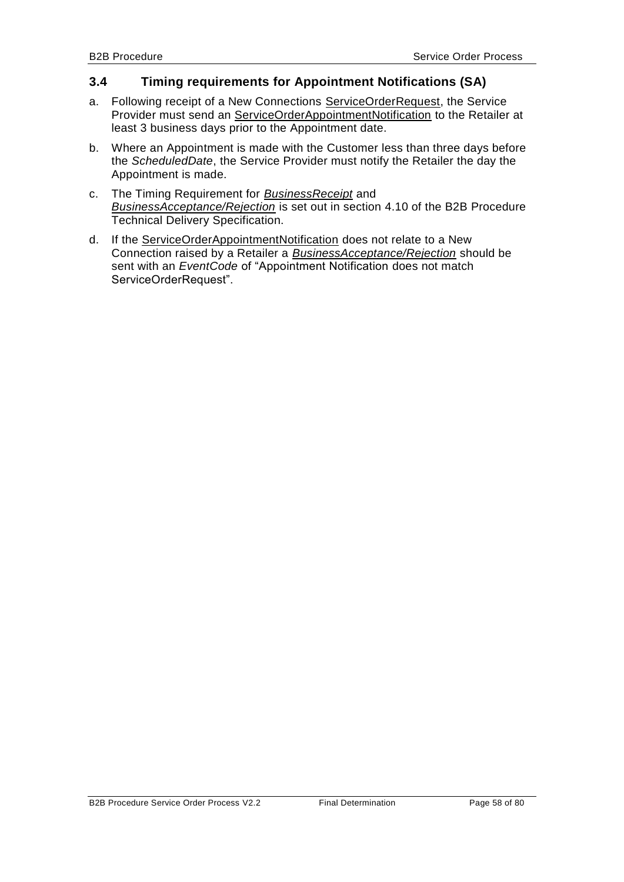## <span id="page-57-0"></span>**3.4 Timing requirements for Appointment Notifications (SA)**

- a. Following receipt of a New Connections ServiceOrderRequest, the Service Provider must send an ServiceOrderAppointmentNotification to the Retailer at least 3 business days prior to the Appointment date.
- b. Where an Appointment is made with the Customer less than three days before the *ScheduledDate*, the Service Provider must notify the Retailer the day the Appointment is made.
- c. The Timing Requirement for *BusinessReceipt* and *BusinessAcceptance/Rejection* is set out in section 4.10 of the B2B Procedure Technical Delivery Specification.
- d. If the ServiceOrderAppointmentNotification does not relate to a New Connection raised by a Retailer a *BusinessAcceptance/Rejection* should be sent with an *EventCode* of "Appointment Notification does not match ServiceOrderRequest".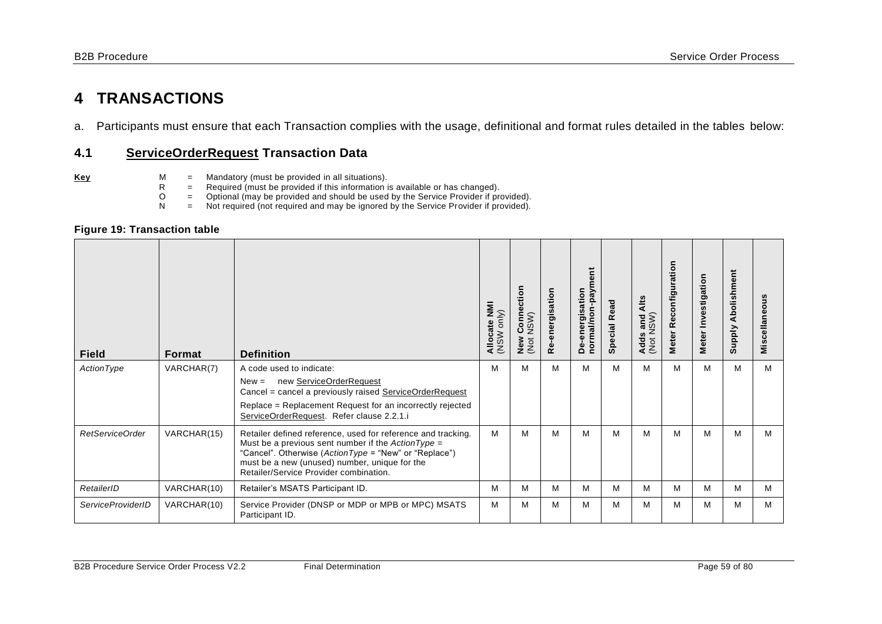# **4 TRANSACTIONS**

a. Participants must ensure that each Transaction complies with the usage, definitional and format rules detailed in the tables below:

## **4.1 ServiceOrderRequest Transaction Data**

- 
- **Key** M = Mandatory (must be provided in all situations).<br>R = Required (must be provided if this information in
	- $R$  = Required (must be provided if this information is available or has changed).<br>  $Q$  = Optional (may be provided and should be used by the Service Provider if pro
	- O = Optional (may be provided and should be used by the Service Provider if provided).<br>
	N = Not required (not required and may be ignored by the Service Provider if provided).
		- Not required (not required and may be ignored by the Service Provider if provided).

#### **Figure 19: Transaction table**

| <b>Field</b>             | Format      | <b>Definition</b>                                                                                                                                                                                                                                                        | Allocate NMI<br>(NSW only) | ection<br>É<br>NSW)<br>$\circ$<br>ပ<br>New<br>(Not | Re-energisation | normal/non-payment<br>De-energisation | <b>Special Read</b> | Alts<br>(Not NSW)<br>and<br>Adds | Reconfiguration<br><b>Meter</b> | Meter Investigation | Abolishment<br><b>Supply</b> | Miscellaneous |
|--------------------------|-------------|--------------------------------------------------------------------------------------------------------------------------------------------------------------------------------------------------------------------------------------------------------------------------|----------------------------|----------------------------------------------------|-----------------|---------------------------------------|---------------------|----------------------------------|---------------------------------|---------------------|------------------------------|---------------|
| ActionType               | VARCHAR(7)  | A code used to indicate:<br>new ServiceOrderRequest<br>$New =$<br>Cancel = cancel a previously raised ServiceOrderRequest                                                                                                                                                | M                          | M                                                  | M               | M                                     | м                   | M                                | м                               | M                   | M                            | M             |
|                          |             | Replace = Replacement Request for an incorrectly rejected<br>ServiceOrderRequest. Refer clause 2.2.1.i                                                                                                                                                                   |                            |                                                    |                 |                                       |                     |                                  |                                 |                     |                              |               |
| RetServiceOrder          | VARCHAR(15) | Retailer defined reference, used for reference and tracking.<br>Must be a previous sent number if the $ActionType =$<br>"Cancel". Otherwise (ActionType = "New" or "Replace")<br>must be a new (unused) number, unique for the<br>Retailer/Service Provider combination. | м                          | м                                                  | м               | м                                     | м                   | М                                | м                               | M                   | M                            | м             |
| RetailerID               | VARCHAR(10) | Retailer's MSATS Participant ID.                                                                                                                                                                                                                                         | M                          | M                                                  | M               | M                                     | м                   | M                                | M                               | M                   | M                            | м             |
| <b>ServiceProviderID</b> | VARCHAR(10) | Service Provider (DNSP or MDP or MPB or MPC) MSATS<br>Participant ID.                                                                                                                                                                                                    | M                          | M                                                  | м               | М                                     | м                   | M                                | м                               | M                   | M                            | м             |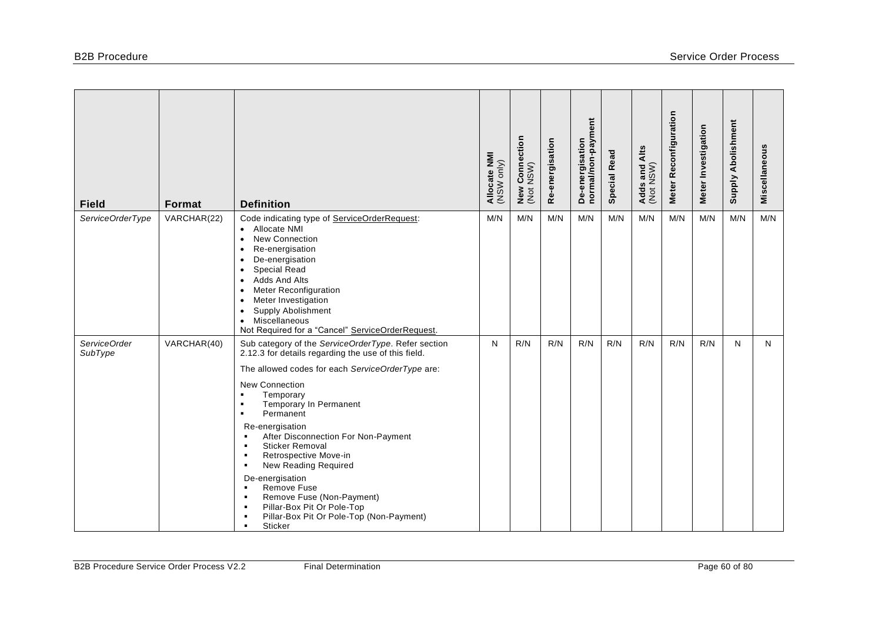| <b>Field</b>            | Format      | <b>Definition</b>                                                                                                                                                                                                                                                                                                                                                                                                                                                                                                                                                                                                                                                                                                                                            | Allocate NMI<br>(NSW only) | Connection<br>NSW)<br>New<br>(Not | Re-energisation | normal/non-payment<br>De-energisation | <b>Special Read</b> | Adds and Alts<br>(Not NSW) | Meter Reconfiguration | Meter Investigation | Supply Abolishment | Miscellaneous |
|-------------------------|-------------|--------------------------------------------------------------------------------------------------------------------------------------------------------------------------------------------------------------------------------------------------------------------------------------------------------------------------------------------------------------------------------------------------------------------------------------------------------------------------------------------------------------------------------------------------------------------------------------------------------------------------------------------------------------------------------------------------------------------------------------------------------------|----------------------------|-----------------------------------|-----------------|---------------------------------------|---------------------|----------------------------|-----------------------|---------------------|--------------------|---------------|
| ServiceOrderType        | VARCHAR(22) | Code indicating type of ServiceOrderRequest:<br>Allocate NMI<br>$\bullet$<br><b>New Connection</b><br>$\bullet$<br>Re-energisation<br>$\bullet$<br>De-energisation<br>$\bullet$<br><b>Special Read</b><br>$\bullet$<br>Adds And Alts<br>$\bullet$<br>Meter Reconfiguration<br>$\bullet$<br>Meter Investigation<br>$\bullet$<br>Supply Abolishment<br>$\bullet$<br>Miscellaneous<br>$\bullet$<br>Not Required for a "Cancel" ServiceOrderRequest.                                                                                                                                                                                                                                                                                                             | M/N                        | M/N                               | M/N             | M/N                                   | M/N                 | M/N                        | M/N                   | M/N                 | M/N                | M/N           |
| ServiceOrder<br>SubType | VARCHAR(40) | Sub category of the ServiceOrderType. Refer section<br>2.12.3 for details regarding the use of this field.<br>The allowed codes for each ServiceOrderType are:<br><b>New Connection</b><br>Temporary<br>$\blacksquare$<br>Temporary In Permanent<br>$\blacksquare$<br>Permanent<br>$\blacksquare$<br>Re-energisation<br>After Disconnection For Non-Payment<br>$\blacksquare$<br><b>Sticker Removal</b><br>$\blacksquare$<br>Retrospective Move-in<br>$\blacksquare$<br>New Reading Required<br>$\blacksquare$<br>De-energisation<br>Remove Fuse<br>$\blacksquare$<br>Remove Fuse (Non-Payment)<br>$\blacksquare$<br>Pillar-Box Pit Or Pole-Top<br>$\blacksquare$<br>Pillar-Box Pit Or Pole-Top (Non-Payment)<br>$\blacksquare$<br>Sticker<br>$\blacksquare$ | $\mathsf{N}$               | R/N                               | R/N             | R/N                                   | R/N                 | R/N                        | R/N                   | R/N                 | N                  | N             |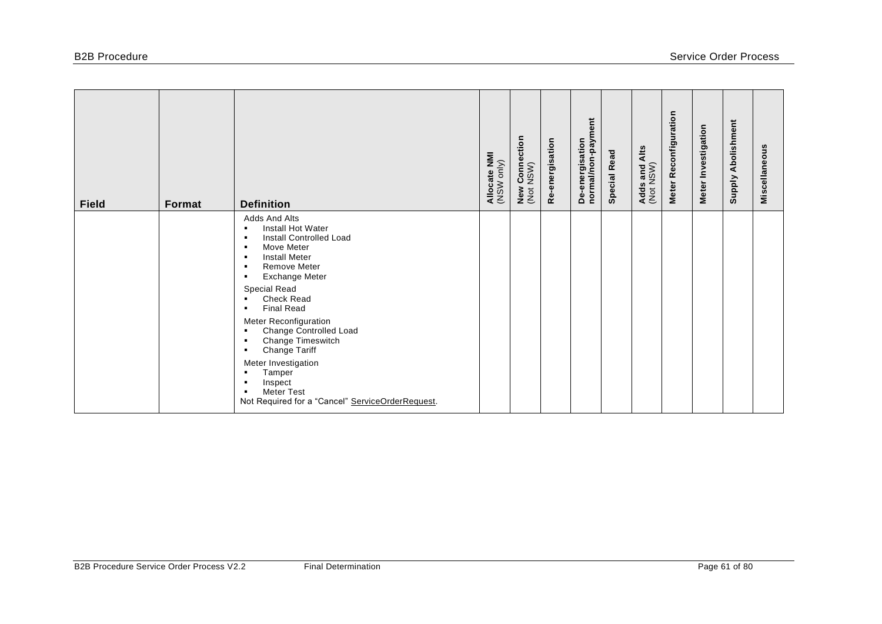| <b>Field</b> | Format | <b>Definition</b>                                                                                                                                                                                                                              | Allocate NMI<br>(NSW only) | <b>New Connection</b><br>(Not NSW) | Re-energisation | De-energisation<br>normal/non-payment | <b>Special Read</b> | Alts<br>Adds and /<br>(Not NSW) | Meter Reconfiguration | Meter Investigation | Abolishment<br>Supply | Miscellaneous |
|--------------|--------|------------------------------------------------------------------------------------------------------------------------------------------------------------------------------------------------------------------------------------------------|----------------------------|------------------------------------|-----------------|---------------------------------------|---------------------|---------------------------------|-----------------------|---------------------|-----------------------|---------------|
|              |        | Adds And Alts<br>Install Hot Water<br>$\blacksquare$<br>Install Controlled Load<br>$\blacksquare$<br>Move Meter<br><b>Install Meter</b><br>$\blacksquare$<br><b>Remove Meter</b><br>$\blacksquare$<br><b>Exchange Meter</b><br>$\blacksquare$  |                            |                                    |                 |                                       |                     |                                 |                       |                     |                       |               |
|              |        | Special Read<br><b>Check Read</b><br><b>Final Read</b><br>$\blacksquare$<br>Meter Reconfiguration<br>Change Controlled Load<br>$\blacksquare$<br>Change Timeswitch<br>$\blacksquare$<br>Change Tariff<br>$\blacksquare$<br>Meter Investigation |                            |                                    |                 |                                       |                     |                                 |                       |                     |                       |               |
|              |        | Tamper<br>Inspect<br><b>Meter Test</b><br>$\blacksquare$<br>Not Required for a "Cancel" ServiceOrderRequest.                                                                                                                                   |                            |                                    |                 |                                       |                     |                                 |                       |                     |                       |               |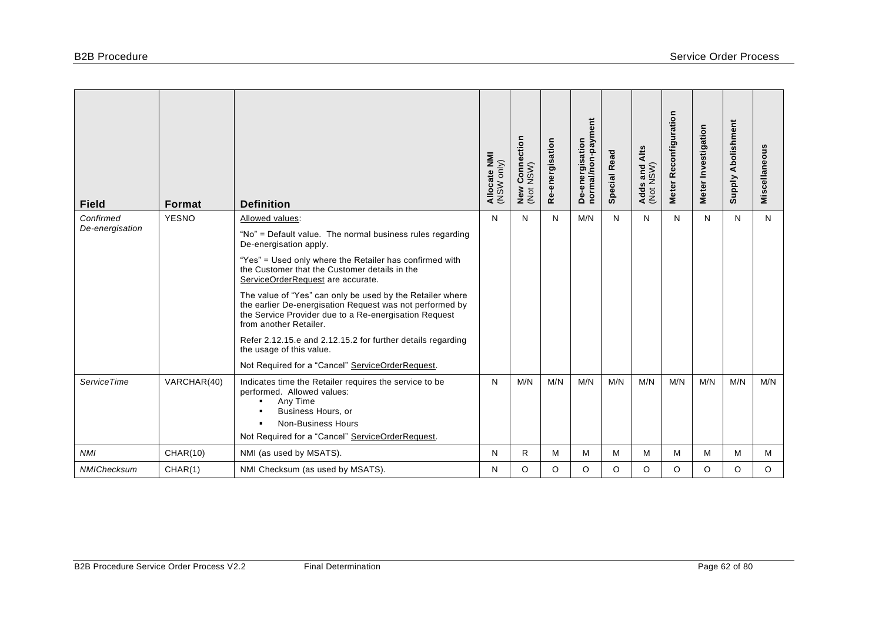| <b>Field</b>                 | Format       | <b>Definition</b>                                                                                                                                                                                         | Allocate NMI<br>(NSW only) | Connection<br>NSW)<br>New<br>(Not | Re-energisation | De-energisation<br>normal/non-payment | <b>Special Read</b> | Alts<br>Adds and /<br>(Not NSW) | Meter Reconfiguration | Meter Investigation | <b>Supply Abolishment</b> | Miscellaneous |
|------------------------------|--------------|-----------------------------------------------------------------------------------------------------------------------------------------------------------------------------------------------------------|----------------------------|-----------------------------------|-----------------|---------------------------------------|---------------------|---------------------------------|-----------------------|---------------------|---------------------------|---------------|
| Confirmed<br>De-energisation | <b>YESNO</b> | Allowed values:                                                                                                                                                                                           | N                          | N                                 | N               | M/N                                   | N                   | N                               | N                     | N                   | N                         | N             |
|                              |              | "No" = Default value. The normal business rules regarding<br>De-energisation apply.                                                                                                                       |                            |                                   |                 |                                       |                     |                                 |                       |                     |                           |               |
|                              |              | "Yes" = Used only where the Retailer has confirmed with<br>the Customer that the Customer details in the<br>ServiceOrderRequest are accurate.                                                             |                            |                                   |                 |                                       |                     |                                 |                       |                     |                           |               |
|                              |              | The value of "Yes" can only be used by the Retailer where<br>the earlier De-energisation Request was not performed by<br>the Service Provider due to a Re-energisation Request<br>from another Retailer.  |                            |                                   |                 |                                       |                     |                                 |                       |                     |                           |               |
|                              |              | Refer 2.12.15.e and 2.12.15.2 for further details regarding<br>the usage of this value.                                                                                                                   |                            |                                   |                 |                                       |                     |                                 |                       |                     |                           |               |
|                              |              | Not Required for a "Cancel" ServiceOrderRequest.                                                                                                                                                          |                            |                                   |                 |                                       |                     |                                 |                       |                     |                           |               |
| <b>ServiceTime</b>           | VARCHAR(40)  | Indicates time the Retailer requires the service to be<br>performed. Allowed values:<br>Any Time<br>$\blacksquare$<br>Business Hours, or<br>$\blacksquare$<br><b>Non-Business Hours</b><br>$\blacksquare$ | N                          | M/N                               | M/N             | M/N                                   | M/N                 | M/N                             | M/N                   | M/N                 | M/N                       | M/N           |
|                              |              | Not Required for a "Cancel" ServiceOrderRequest.                                                                                                                                                          |                            |                                   |                 |                                       |                     |                                 |                       |                     |                           |               |
| <b>NMI</b>                   | CHAR(10)     | NMI (as used by MSATS).                                                                                                                                                                                   | N                          | R                                 | M               | м                                     | M                   | М                               | м                     | M                   | M                         | M             |
| NMIChecksum                  | CHAR(1)      | NMI Checksum (as used by MSATS).                                                                                                                                                                          | N                          | O                                 | O               | O                                     | O                   | O                               | $\circ$               | O                   | O                         | $\circ$       |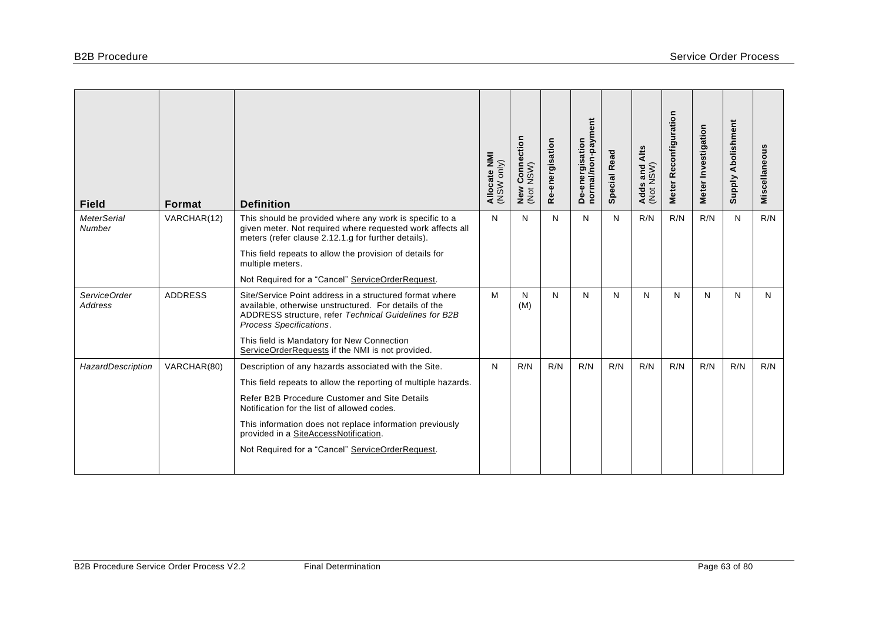| <b>Field</b>                   | Format         | <b>Definition</b>                                                                                                                                                                                    | Allocate NMI<br>(NSW only) | ction<br>Connee<br>NSW)<br>New<br>(Not | Re-energisation | normal/non-payment<br>De-energisation | <b>Special Read</b> | Alts<br>Adds and<br>(Not NSW) | Reconfiguration<br><b>Meter</b> | Meter Investigation | <b>Supply Abolishment</b> | Miscellaneous |
|--------------------------------|----------------|------------------------------------------------------------------------------------------------------------------------------------------------------------------------------------------------------|----------------------------|----------------------------------------|-----------------|---------------------------------------|---------------------|-------------------------------|---------------------------------|---------------------|---------------------------|---------------|
| <b>MeterSerial</b><br>Number   | VARCHAR(12)    | This should be provided where any work is specific to a<br>given meter. Not required where requested work affects all<br>meters (refer clause 2.12.1.g for further details).                         | N                          | N                                      | N               | N                                     | N                   | R/N                           | R/N                             | R/N                 | N                         | R/N           |
|                                |                | This field repeats to allow the provision of details for<br>multiple meters.                                                                                                                         |                            |                                        |                 |                                       |                     |                               |                                 |                     |                           |               |
|                                |                | Not Required for a "Cancel" ServiceOrderRequest.                                                                                                                                                     |                            |                                        |                 |                                       |                     |                               |                                 |                     |                           |               |
| ServiceOrder<br><b>Address</b> | <b>ADDRESS</b> | Site/Service Point address in a structured format where<br>available, otherwise unstructured. For details of the<br>ADDRESS structure, refer Technical Guidelines for B2B<br>Process Specifications. | M                          | N<br>(M)                               | N               | N                                     | N                   | N                             | N                               | N                   | N                         | N             |
|                                |                | This field is Mandatory for New Connection<br>ServiceOrderRequests if the NMI is not provided.                                                                                                       |                            |                                        |                 |                                       |                     |                               |                                 |                     |                           |               |
| HazardDescription              | VARCHAR(80)    | Description of any hazards associated with the Site.                                                                                                                                                 | N                          | R/N                                    | R/N             | R/N                                   | R/N                 | R/N                           | R/N                             | R/N                 | R/N                       | R/N           |
|                                |                | This field repeats to allow the reporting of multiple hazards.                                                                                                                                       |                            |                                        |                 |                                       |                     |                               |                                 |                     |                           |               |
|                                |                | Refer B2B Procedure Customer and Site Details<br>Notification for the list of allowed codes.                                                                                                         |                            |                                        |                 |                                       |                     |                               |                                 |                     |                           |               |
|                                |                | This information does not replace information previously<br>provided in a SiteAccessNotification.                                                                                                    |                            |                                        |                 |                                       |                     |                               |                                 |                     |                           |               |
|                                |                | Not Required for a "Cancel" ServiceOrderRequest.                                                                                                                                                     |                            |                                        |                 |                                       |                     |                               |                                 |                     |                           |               |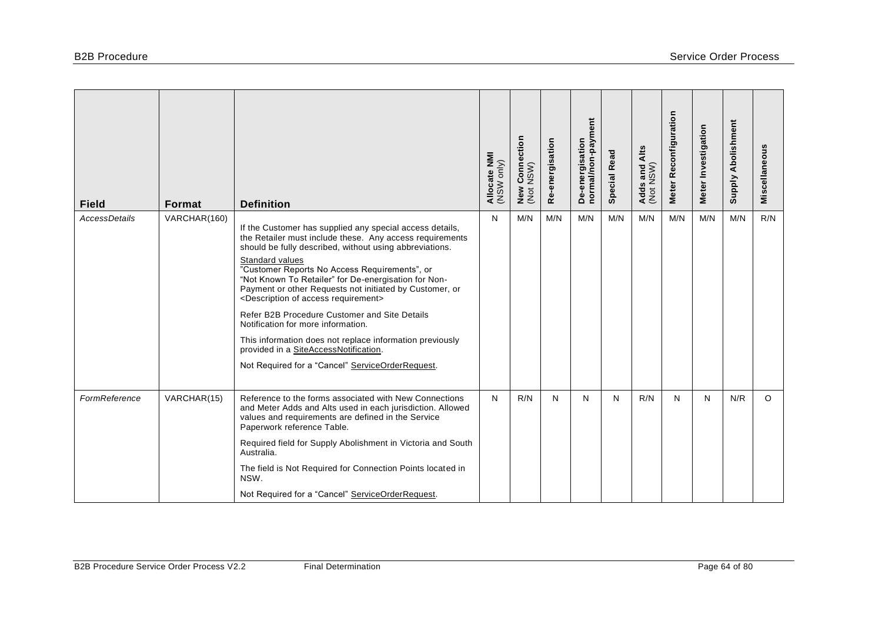| <b>Field</b>         | <b>Format</b> | <b>Definition</b>                                                                                                                                                                                                                                                                                                                                                                                                                                                                                                                                                                                                                                                                         | Allocate NMI<br>(NSW only) | / Connection<br>: NSW)<br>New<br>(Not | Re-energisation | ent<br>De-energisation<br>normal/non-paym | <b>Special Read</b> | Adds and Alts<br>(Not NSW) | Meter Reconfiguration | Meter Investigation | Supply Abolishment | Miscellaneous |
|----------------------|---------------|-------------------------------------------------------------------------------------------------------------------------------------------------------------------------------------------------------------------------------------------------------------------------------------------------------------------------------------------------------------------------------------------------------------------------------------------------------------------------------------------------------------------------------------------------------------------------------------------------------------------------------------------------------------------------------------------|----------------------------|---------------------------------------|-----------------|-------------------------------------------|---------------------|----------------------------|-----------------------|---------------------|--------------------|---------------|
| <b>AccessDetails</b> | VARCHAR(160)  | If the Customer has supplied any special access details,<br>the Retailer must include these. Any access requirements<br>should be fully described, without using abbreviations.<br>Standard values<br>"Customer Reports No Access Requirements", or<br>"Not Known To Retailer" for De-energisation for Non-<br>Payment or other Requests not initiated by Customer, or<br><description access="" of="" requirement=""><br/>Refer B2B Procedure Customer and Site Details<br/>Notification for more information.<br/>This information does not replace information previously<br/>provided in a SiteAccessNotification.<br/>Not Required for a "Cancel" ServiceOrderRequest.</description> | N                          | M/N                                   | M/N             | M/N                                       | M/N                 | M/N                        | M/N                   | M/N                 | M/N                | R/N           |
| FormReference        | VARCHAR(15)   | Reference to the forms associated with New Connections<br>and Meter Adds and Alts used in each jurisdiction. Allowed<br>values and requirements are defined in the Service<br>Paperwork reference Table.<br>Required field for Supply Abolishment in Victoria and South<br>Australia.<br>The field is Not Required for Connection Points located in<br>NSW.<br>Not Required for a "Cancel" ServiceOrderRequest.                                                                                                                                                                                                                                                                           | N                          | R/N                                   | N               | N                                         | N                   | R/N                        | N                     | N                   | N/R                | $\circ$       |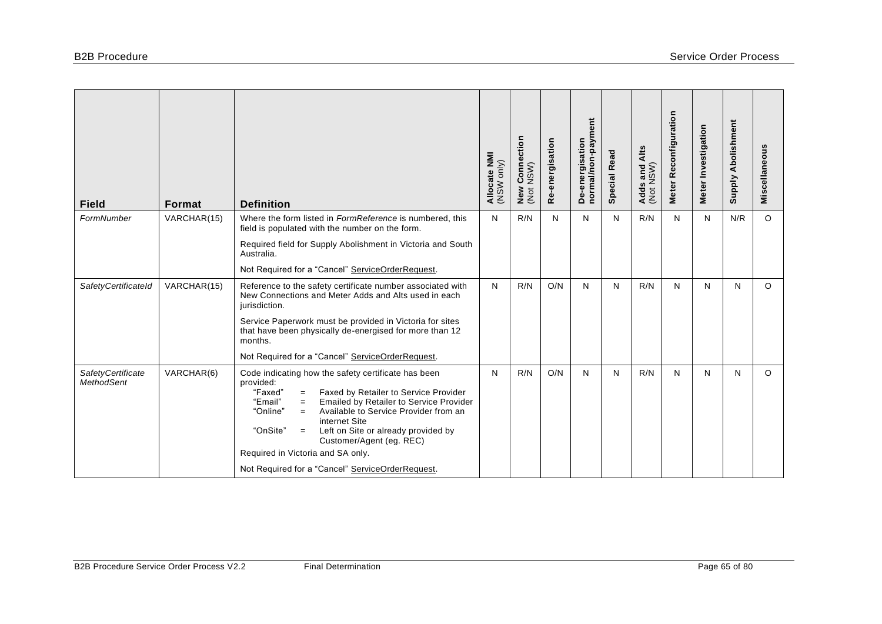| <b>Field</b>                                  | Format      | <b>Definition</b>                                                                                                                                                                                                                                                                                                                                           | Allocate NMI<br>(NSW only) | r Connection<br>NSW)<br>New<br>(Not | Re-energisation | De-energisation<br>normal/non-payment | <b>Special Read</b> | Adds and Alts<br>(Not NSW) | Meter Reconfiguration | Meter Investigation | Supply Abolishment | Miscellaneous |
|-----------------------------------------------|-------------|-------------------------------------------------------------------------------------------------------------------------------------------------------------------------------------------------------------------------------------------------------------------------------------------------------------------------------------------------------------|----------------------------|-------------------------------------|-----------------|---------------------------------------|---------------------|----------------------------|-----------------------|---------------------|--------------------|---------------|
| FormNumber                                    | VARCHAR(15) | Where the form listed in FormReference is numbered, this<br>field is populated with the number on the form.                                                                                                                                                                                                                                                 | N                          | R/N                                 | N               | N                                     | N                   | R/N                        | N                     | N                   | N/R                | $\circ$       |
|                                               |             | Required field for Supply Abolishment in Victoria and South<br>Australia.                                                                                                                                                                                                                                                                                   |                            |                                     |                 |                                       |                     |                            |                       |                     |                    |               |
|                                               |             | Not Required for a "Cancel" ServiceOrderRequest.                                                                                                                                                                                                                                                                                                            |                            |                                     |                 |                                       |                     |                            |                       |                     |                    |               |
| SafetyCertificateId                           | VARCHAR(15) | Reference to the safety certificate number associated with<br>New Connections and Meter Adds and Alts used in each<br>jurisdiction.                                                                                                                                                                                                                         | N                          | R/N                                 | O/N             | N                                     | N                   | R/N                        | N                     | N                   | N                  | $\circ$       |
|                                               |             | Service Paperwork must be provided in Victoria for sites<br>that have been physically de-energised for more than 12<br>months.                                                                                                                                                                                                                              |                            |                                     |                 |                                       |                     |                            |                       |                     |                    |               |
|                                               |             | Not Required for a "Cancel" ServiceOrderRequest.                                                                                                                                                                                                                                                                                                            |                            |                                     |                 |                                       |                     |                            |                       |                     |                    |               |
| <b>SafetyCertificate</b><br><b>MethodSent</b> | VARCHAR(6)  | Code indicating how the safety certificate has been<br>provided:<br>"Faxed"<br>Faxed by Retailer to Service Provider<br>$=$<br>"Email"<br>Emailed by Retailer to Service Provider<br>$=$<br>"Online"<br>Available to Service Provider from an<br>$=$<br>internet Site<br>"OnSite"<br>Left on Site or already provided by<br>$=$<br>Customer/Agent (eg. REC) | N                          | R/N                                 | O/N             | N                                     | N                   | R/N                        | N                     | N                   | N                  | $\Omega$      |
|                                               |             | Required in Victoria and SA only.                                                                                                                                                                                                                                                                                                                           |                            |                                     |                 |                                       |                     |                            |                       |                     |                    |               |
|                                               |             | Not Required for a "Cancel" ServiceOrderRequest.                                                                                                                                                                                                                                                                                                            |                            |                                     |                 |                                       |                     |                            |                       |                     |                    |               |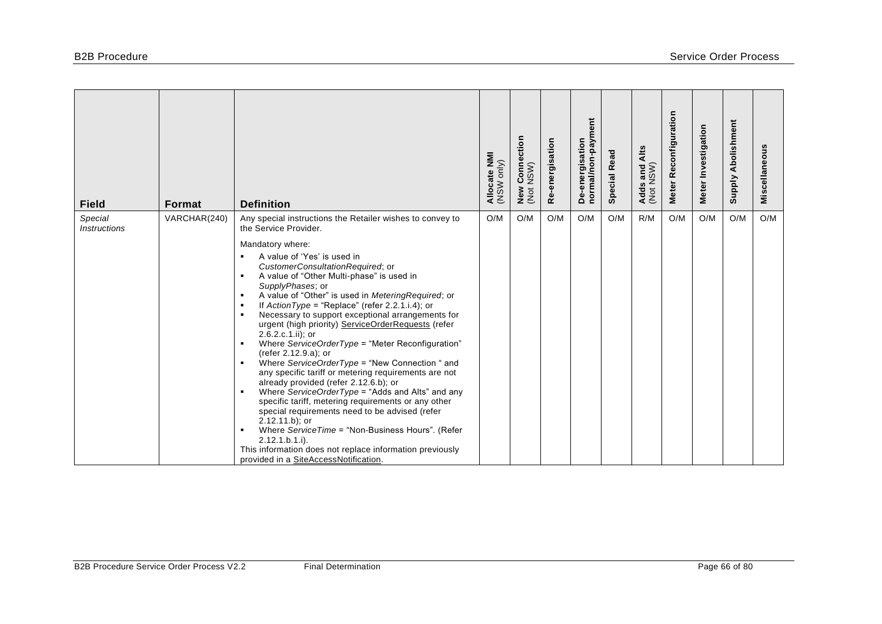| <b>Field</b>                          | <b>Format</b> | <b>Definition</b>                                                                                                                                                                                                                                                                                                                                                                                                                                                                                                                                                                                                                                                                                                                                                                                                                                                                                                                                                                                                                                                                                                                                                                                                                       | Allocate NMI<br>(NSW only) | ction<br>Conned<br>NSW)<br>New<br>(Not | Re-energisation | De-energisation<br>normal/non-payment | <b>Special Read</b> | Alts<br>Adds and /<br>(Not NSW) | Reconfiguration<br>Meter | Meter Investigation | Abolishment<br><b>Supply</b> | Miscellaneous |
|---------------------------------------|---------------|-----------------------------------------------------------------------------------------------------------------------------------------------------------------------------------------------------------------------------------------------------------------------------------------------------------------------------------------------------------------------------------------------------------------------------------------------------------------------------------------------------------------------------------------------------------------------------------------------------------------------------------------------------------------------------------------------------------------------------------------------------------------------------------------------------------------------------------------------------------------------------------------------------------------------------------------------------------------------------------------------------------------------------------------------------------------------------------------------------------------------------------------------------------------------------------------------------------------------------------------|----------------------------|----------------------------------------|-----------------|---------------------------------------|---------------------|---------------------------------|--------------------------|---------------------|------------------------------|---------------|
| Special<br><i><b>Instructions</b></i> | VARCHAR(240)  | Any special instructions the Retailer wishes to convey to<br>the Service Provider.<br>Mandatory where:<br>A value of 'Yes' is used in<br>$\blacksquare$<br>CustomerConsultationRequired; or<br>A value of "Other Multi-phase" is used in<br>$\blacksquare$<br>SupplyPhases; or<br>A value of "Other" is used in MeteringRequired; or<br>$\blacksquare$<br>If $ActionType = "Replace"$ (refer 2.2.1.i.4); or<br>$\blacksquare$<br>Necessary to support exceptional arrangements for<br>٠<br>urgent (high priority) ServiceOrderRequests (refer<br>2.6.2.c.1.ii); or<br>Where ServiceOrderType = "Meter Reconfiguration"<br>$\blacksquare$<br>(refer 2.12.9.a); or<br>Where ServiceOrderType = "New Connection " and<br>$\blacksquare$<br>any specific tariff or metering requirements are not<br>already provided (refer 2.12.6.b); or<br>Where ServiceOrderType = "Adds and Alts" and any<br>$\blacksquare$<br>specific tariff, metering requirements or any other<br>special requirements need to be advised (refer<br>$2.12.11.b$ ; or<br>Where ServiceTime = "Non-Business Hours". (Refer<br>$\blacksquare$<br>$2.12.1.b.1.i$ .<br>This information does not replace information previously<br>provided in a SiteAccessNotification. | O/M                        | O/M                                    | O/M             | O/M                                   | O/M                 | R/M                             | O/M                      | O/M                 | O/M                          | O/M           |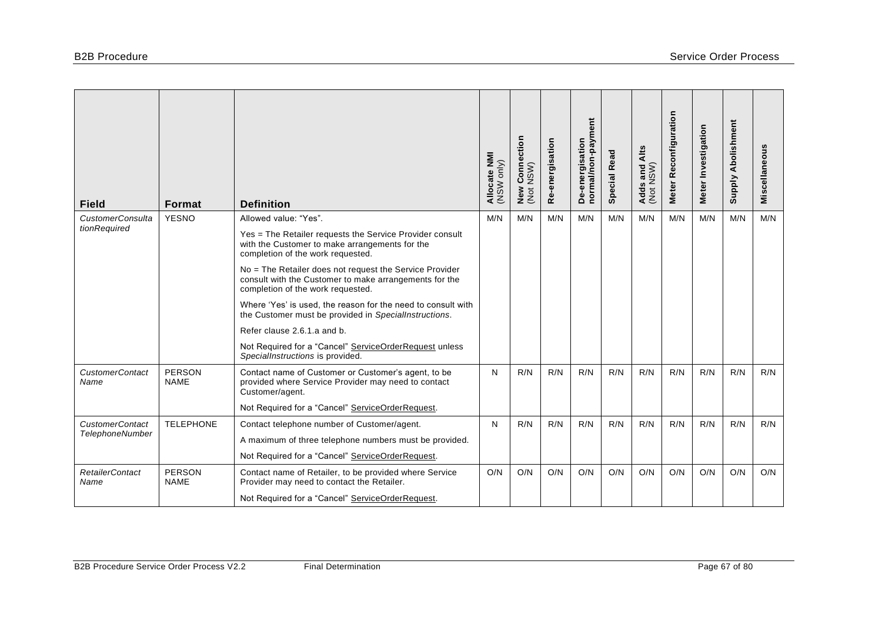| <b>Field</b>                            | Format                       | <b>Definition</b>                                                                                                                                      | Allocate NMI<br>(NSW only) | <b>New Connection</b><br>(Not NSW) | Re-energisation | normal/non-payment<br>De-energisation | Read<br>Special I | Alts<br>Adds and /<br>(Not NSW) | Meter Reconfiguration | Meter Investigation | <b>Supply Abolishment</b> | Miscellaneous |
|-----------------------------------------|------------------------------|--------------------------------------------------------------------------------------------------------------------------------------------------------|----------------------------|------------------------------------|-----------------|---------------------------------------|-------------------|---------------------------------|-----------------------|---------------------|---------------------------|---------------|
| <b>CustomerConsulta</b><br>tionRequired | <b>YESNO</b>                 | Allowed value: "Yes".                                                                                                                                  | M/N                        | M/N                                | M/N             | M/N                                   | M/N               | M/N                             | M/N                   | M/N                 | M/N                       | M/N           |
|                                         |                              | Yes = The Retailer requests the Service Provider consult<br>with the Customer to make arrangements for the<br>completion of the work requested.        |                            |                                    |                 |                                       |                   |                                 |                       |                     |                           |               |
|                                         |                              | No = The Retailer does not request the Service Provider<br>consult with the Customer to make arrangements for the<br>completion of the work requested. |                            |                                    |                 |                                       |                   |                                 |                       |                     |                           |               |
|                                         |                              | Where 'Yes' is used, the reason for the need to consult with<br>the Customer must be provided in SpecialInstructions.                                  |                            |                                    |                 |                                       |                   |                                 |                       |                     |                           |               |
|                                         |                              | Refer clause 2.6.1.a and b.                                                                                                                            |                            |                                    |                 |                                       |                   |                                 |                       |                     |                           |               |
|                                         |                              | Not Required for a "Cancel" ServiceOrderRequest unless<br>SpecialInstructions is provided.                                                             |                            |                                    |                 |                                       |                   |                                 |                       |                     |                           |               |
| <b>CustomerContact</b><br>Name          | <b>PERSON</b><br><b>NAME</b> | Contact name of Customer or Customer's agent, to be<br>provided where Service Provider may need to contact<br>Customer/agent.                          | N                          | R/N                                | R/N             | R/N                                   | R/N               | R/N                             | R/N                   | R/N                 | R/N                       | R/N           |
|                                         |                              | Not Required for a "Cancel" ServiceOrderRequest.                                                                                                       |                            |                                    |                 |                                       |                   |                                 |                       |                     |                           |               |
| <b>CustomerContact</b>                  | <b>TELEPHONE</b>             | Contact telephone number of Customer/agent.                                                                                                            | N                          | R/N                                | R/N             | R/N                                   | R/N               | R/N                             | R/N                   | R/N                 | R/N                       | R/N           |
| <b>TelephoneNumber</b>                  |                              | A maximum of three telephone numbers must be provided.                                                                                                 |                            |                                    |                 |                                       |                   |                                 |                       |                     |                           |               |
|                                         |                              | Not Required for a "Cancel" ServiceOrderRequest.                                                                                                       |                            |                                    |                 |                                       |                   |                                 |                       |                     |                           |               |
| <b>RetailerContact</b><br>Name          | <b>PERSON</b><br><b>NAME</b> | Contact name of Retailer, to be provided where Service<br>Provider may need to contact the Retailer.                                                   | O/N                        | O/N                                | O/N             | O/N                                   | O/N               | O/N                             | O/N                   | O/N                 | O/N                       | O/N           |
|                                         |                              | Not Required for a "Cancel" ServiceOrderRequest.                                                                                                       |                            |                                    |                 |                                       |                   |                                 |                       |                     |                           |               |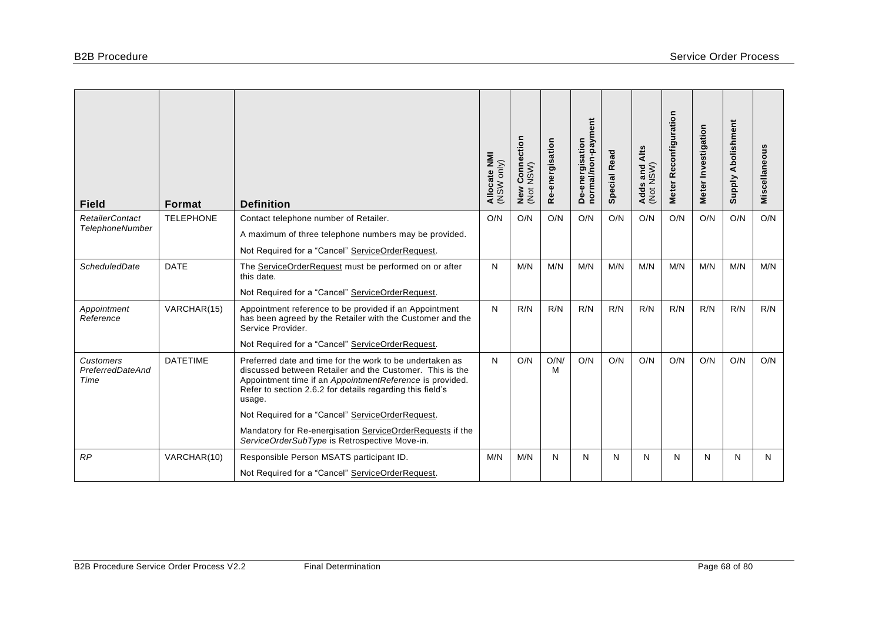| <b>Field</b>                                     | <b>Format</b>    | <b>Definition</b>                                                                                                                                                                                                                                       | Allocate NMI<br>only)<br>WSW | ction<br>$\tilde{\mathbf{a}}$<br>$\mathop{\mathrm{Conv}}\limits_{\mathsf{N}\in\mathsf{N}}$<br>New<br>(Not | Re-energisation | De-energisation<br>normal/non-payment | <b>Special Read</b> | Alts<br>Adds and A<br>(Not NSW) | Meter Reconfiguration | Meter Investigation | Abolishment<br><b>Supply</b> | Miscellaneous |
|--------------------------------------------------|------------------|---------------------------------------------------------------------------------------------------------------------------------------------------------------------------------------------------------------------------------------------------------|------------------------------|-----------------------------------------------------------------------------------------------------------|-----------------|---------------------------------------|---------------------|---------------------------------|-----------------------|---------------------|------------------------------|---------------|
| <b>RetailerContact</b><br><b>TelephoneNumber</b> | <b>TELEPHONE</b> | Contact telephone number of Retailer.                                                                                                                                                                                                                   | O/N                          | O/N                                                                                                       | O/N             | O/N                                   | O/N                 | O/N                             | O/N                   | O/N                 | O/N                          | O/N           |
|                                                  |                  | A maximum of three telephone numbers may be provided.                                                                                                                                                                                                   |                              |                                                                                                           |                 |                                       |                     |                                 |                       |                     |                              |               |
|                                                  |                  | Not Required for a "Cancel" ServiceOrderRequest.                                                                                                                                                                                                        |                              |                                                                                                           |                 |                                       |                     |                                 |                       |                     |                              |               |
| <b>ScheduledDate</b>                             | <b>DATE</b>      | The ServiceOrderRequest must be performed on or after<br>this date.                                                                                                                                                                                     | N                            | M/N                                                                                                       | M/N             | M/N                                   | M/N                 | M/N                             | M/N                   | M/N                 | M/N                          | M/N           |
|                                                  |                  | Not Required for a "Cancel" ServiceOrderRequest.                                                                                                                                                                                                        |                              |                                                                                                           |                 |                                       |                     |                                 |                       |                     |                              |               |
| Appointment<br>Reference                         | VARCHAR(15)      | Appointment reference to be provided if an Appointment<br>has been agreed by the Retailer with the Customer and the<br>Service Provider.                                                                                                                | N                            | R/N                                                                                                       | R/N             | R/N                                   | R/N                 | R/N                             | R/N                   | R/N                 | R/N                          | R/N           |
|                                                  |                  | Not Required for a "Cancel" ServiceOrderRequest.                                                                                                                                                                                                        |                              |                                                                                                           |                 |                                       |                     |                                 |                       |                     |                              |               |
| Customers<br>PreferredDateAnd<br>Time            | <b>DATETIME</b>  | Preferred date and time for the work to be undertaken as<br>discussed between Retailer and the Customer. This is the<br>Appointment time if an AppointmentReference is provided.<br>Refer to section 2.6.2 for details regarding this field's<br>usage. | N                            | O/N                                                                                                       | O/N/<br>м       | O/N                                   | O/N                 | O/N                             | O/N                   | O/N                 | O/N                          | O/N           |
|                                                  |                  | Not Required for a "Cancel" ServiceOrderRequest.                                                                                                                                                                                                        |                              |                                                                                                           |                 |                                       |                     |                                 |                       |                     |                              |               |
|                                                  |                  | Mandatory for Re-energisation ServiceOrderRequests if the<br>ServiceOrderSubType is Retrospective Move-in.                                                                                                                                              |                              |                                                                                                           |                 |                                       |                     |                                 |                       |                     |                              |               |
| RP                                               | VARCHAR(10)      | Responsible Person MSATS participant ID.                                                                                                                                                                                                                | M/N                          | M/N                                                                                                       | N               | N                                     | N                   | N                               | N                     | N                   | N                            | N             |
|                                                  |                  | Not Required for a "Cancel" ServiceOrderRequest.                                                                                                                                                                                                        |                              |                                                                                                           |                 |                                       |                     |                                 |                       |                     |                              |               |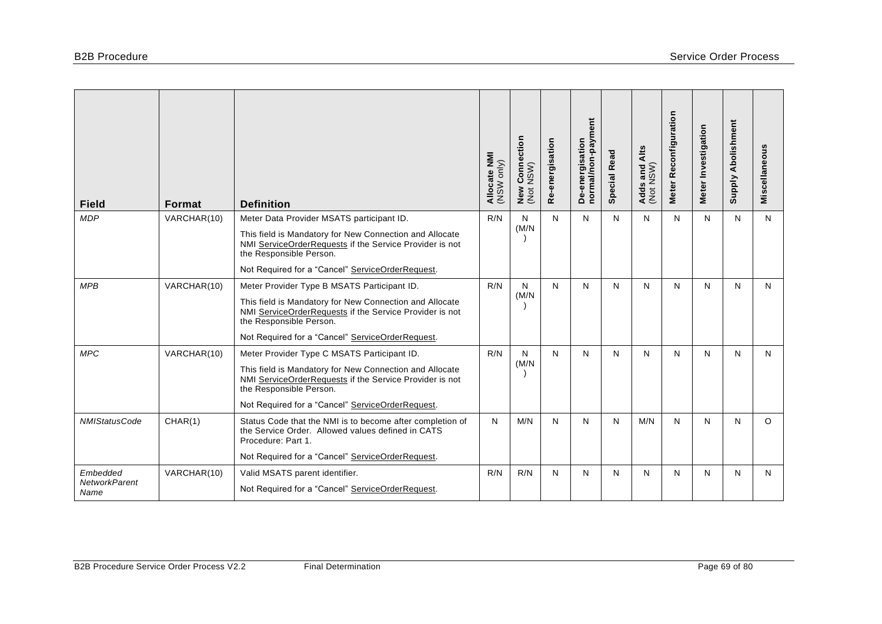| <b>Field</b>                             | <b>Format</b> | <b>Definition</b>                                                                                                                                                                                                                                | Allocate NMI<br>(NSW only) | / Connection<br>: NSW)<br>New<br>(Not | Re-energisation | De-energisation<br>normal/non-payment | <b>Special Read</b> | Alts<br>Adds and A<br>(Not NSW) | Meter Reconfiguration | Meter Investigation | Supply Abolishment | Miscellaneous |
|------------------------------------------|---------------|--------------------------------------------------------------------------------------------------------------------------------------------------------------------------------------------------------------------------------------------------|----------------------------|---------------------------------------|-----------------|---------------------------------------|---------------------|---------------------------------|-----------------------|---------------------|--------------------|---------------|
| <b>MDP</b>                               | VARCHAR(10)   | Meter Data Provider MSATS participant ID.<br>This field is Mandatory for New Connection and Allocate<br>NMI ServiceOrderRequests if the Service Provider is not<br>the Responsible Person.                                                       | R/N                        | N<br>(M/N)                            | N               | $\mathsf{N}$                          | N                   | N                               | N                     | N                   | N                  | N             |
|                                          |               | Not Required for a "Cancel" ServiceOrderRequest.                                                                                                                                                                                                 |                            |                                       |                 |                                       |                     |                                 |                       |                     |                    |               |
| <b>MPB</b>                               | VARCHAR(10)   | Meter Provider Type B MSATS Participant ID.<br>This field is Mandatory for New Connection and Allocate<br>NMI ServiceOrderRequests if the Service Provider is not<br>the Responsible Person.<br>Not Required for a "Cancel" ServiceOrderRequest. | R/N                        | N<br>(M/N)                            | $\mathsf{N}$    | $\mathsf{N}$                          | N                   | N                               | N                     | N                   | N                  | N             |
| <b>MPC</b>                               | VARCHAR(10)   | Meter Provider Type C MSATS Participant ID.<br>This field is Mandatory for New Connection and Allocate<br>NMI ServiceOrderRequests if the Service Provider is not<br>the Responsible Person.<br>Not Required for a "Cancel" ServiceOrderRequest. | R/N                        | N<br>(M/N)                            | N               | $\mathsf{N}$                          | N                   | N                               | N                     | N                   | N                  | N             |
| <b>NMIStatusCode</b>                     | CHAR(1)       | Status Code that the NMI is to become after completion of<br>the Service Order. Allowed values defined in CATS<br>Procedure: Part 1.<br>Not Required for a "Cancel" ServiceOrderRequest.                                                         | N                          | M/N                                   | N               | N                                     | N                   | M/N                             | N                     | N                   | N                  | $\Omega$      |
| Embedded<br><b>NetworkParent</b><br>Name | VARCHAR(10)   | Valid MSATS parent identifier.<br>Not Required for a "Cancel" ServiceOrderRequest.                                                                                                                                                               | R/N                        | R/N                                   | N               | N                                     | N                   | N                               | N                     | N                   | N                  | N             |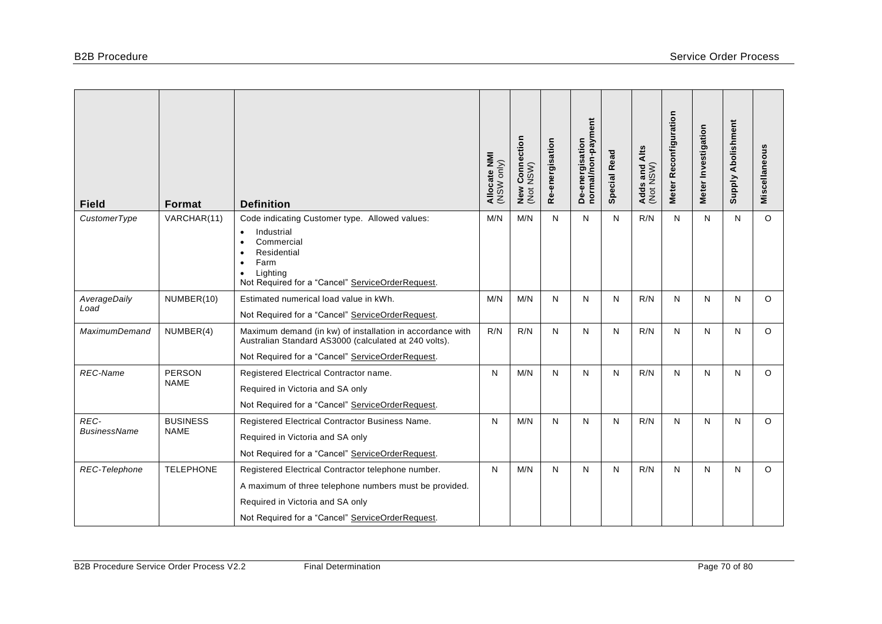| <b>Field</b>                | Format                         | <b>Definition</b>                                                                                                                                                                                                     | Allocate NMI<br>(NSW only) | Connection<br>NSW)<br>New<br>(Not | Re-energisation | De-energisation<br>normal/non-payment | <b>Special Read</b> | Alts<br>Adds and /<br>(Not NSW) | Meter Reconfiguration | Meter Investigation | <b>Supply Abolishment</b> | Miscellaneous |
|-----------------------------|--------------------------------|-----------------------------------------------------------------------------------------------------------------------------------------------------------------------------------------------------------------------|----------------------------|-----------------------------------|-----------------|---------------------------------------|---------------------|---------------------------------|-----------------------|---------------------|---------------------------|---------------|
| CustomerType                | VARCHAR(11)                    | Code indicating Customer type. Allowed values:<br>Industrial<br>$\bullet$<br>Commercial<br>$\bullet$<br>Residential<br>Farm<br>$\bullet$<br>Lighting<br>$\bullet$<br>Not Required for a "Cancel" ServiceOrderRequest. | M/N                        | M/N                               | N               | N                                     | N                   | R/N                             | N                     | N                   | N                         | $\circ$       |
| AverageDaily<br>Load        | NUMBER(10)                     | Estimated numerical load value in kWh.<br>Not Required for a "Cancel" ServiceOrderRequest.                                                                                                                            | M/N                        | M/N                               | N               | N                                     | N                   | R/N                             | N                     | N                   | N                         | $\circ$       |
| <b>MaximumDemand</b>        | NUMBER(4)                      | Maximum demand (in kw) of installation in accordance with<br>Australian Standard AS3000 (calculated at 240 volts).<br>Not Required for a "Cancel" ServiceOrderRequest.                                                | R/N                        | R/N                               | N               | N                                     | N                   | R/N                             | N                     | N                   | N                         | $\circ$       |
| <b>REC-Name</b>             | <b>PERSON</b><br><b>NAME</b>   | Registered Electrical Contractor name.<br>Required in Victoria and SA only<br>Not Required for a "Cancel" ServiceOrderRequest.                                                                                        | N                          | M/N                               | N               | N                                     | N                   | R/N                             | N                     | N                   | N                         | $\circ$       |
| REC-<br><b>BusinessName</b> | <b>BUSINESS</b><br><b>NAME</b> | Registered Electrical Contractor Business Name.<br>Required in Victoria and SA only<br>Not Required for a "Cancel" ServiceOrderRequest.                                                                               | N                          | M/N                               | N               | N                                     | N                   | R/N                             | N                     | N                   | N                         | $\circ$       |
| REC-Telephone               | <b>TELEPHONE</b>               | Registered Electrical Contractor telephone number.<br>A maximum of three telephone numbers must be provided.<br>Required in Victoria and SA only<br>Not Required for a "Cancel" ServiceOrderRequest.                  | N                          | M/N                               | N               | $\mathsf{N}$                          | N                   | R/N                             | N                     | N                   | N                         | $\circ$       |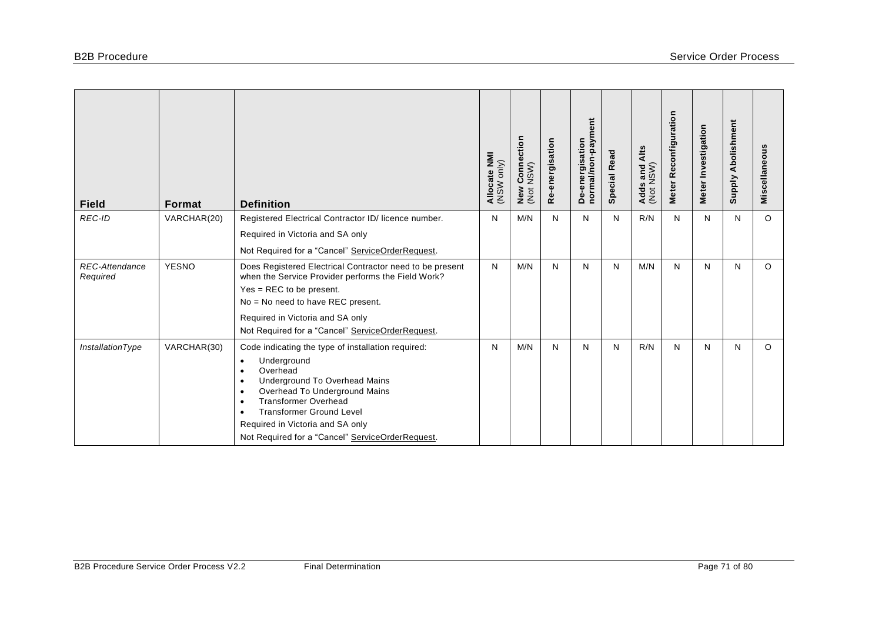| <b>Field</b>                      | <b>Format</b> | <b>Definition</b>                                                                                                                                                                                                                                                                                                                                                                       | Allocate NMI<br>(NSW only) | r Connection<br>NSW)<br>New<br>(Not | Re-energisation | ent<br>normal/non-paym<br>De-energisation | <b>Special Read</b> | Alts<br>Adds and /<br>(Not NSW) | Reconfiguration<br><b>Meter</b> | Meter Investigation | Abolishment<br><b>Supply</b> | Miscellaneous |
|-----------------------------------|---------------|-----------------------------------------------------------------------------------------------------------------------------------------------------------------------------------------------------------------------------------------------------------------------------------------------------------------------------------------------------------------------------------------|----------------------------|-------------------------------------|-----------------|-------------------------------------------|---------------------|---------------------------------|---------------------------------|---------------------|------------------------------|---------------|
| <b>REC-ID</b>                     | VARCHAR(20)   | Registered Electrical Contractor ID/ licence number.                                                                                                                                                                                                                                                                                                                                    | N                          | M/N                                 | N               | N                                         | N                   | R/N                             | N                               | N                   | N                            | $\circ$       |
|                                   |               | Required in Victoria and SA only                                                                                                                                                                                                                                                                                                                                                        |                            |                                     |                 |                                           |                     |                                 |                                 |                     |                              |               |
|                                   |               | Not Required for a "Cancel" ServiceOrderRequest.                                                                                                                                                                                                                                                                                                                                        |                            |                                     |                 |                                           |                     |                                 |                                 |                     |                              |               |
| <b>REC-Attendance</b><br>Required | <b>YESNO</b>  | Does Registered Electrical Contractor need to be present<br>when the Service Provider performs the Field Work?<br>$Yes = REC$ to be present.                                                                                                                                                                                                                                            | N                          | M/N                                 | N               | N                                         | N                   | M/N                             | N                               | N                   | N                            | $\circ$       |
|                                   |               | No = No need to have REC present.                                                                                                                                                                                                                                                                                                                                                       |                            |                                     |                 |                                           |                     |                                 |                                 |                     |                              |               |
|                                   |               | Required in Victoria and SA only                                                                                                                                                                                                                                                                                                                                                        |                            |                                     |                 |                                           |                     |                                 |                                 |                     |                              |               |
|                                   |               | Not Required for a "Cancel" ServiceOrderRequest.                                                                                                                                                                                                                                                                                                                                        |                            |                                     |                 |                                           |                     |                                 |                                 |                     |                              |               |
| <b>InstallationType</b>           | VARCHAR(30)   | Code indicating the type of installation required:<br>Underground<br>$\bullet$<br>Overhead<br>$\bullet$<br>Underground To Overhead Mains<br>$\bullet$<br>Overhead To Underground Mains<br>$\bullet$<br><b>Transformer Overhead</b><br>$\bullet$<br><b>Transformer Ground Level</b><br>$\bullet$<br>Required in Victoria and SA only<br>Not Required for a "Cancel" ServiceOrderRequest. | N                          | M/N                                 | N               | N                                         | N                   | R/N                             | N                               | N                   | N                            | $\circ$       |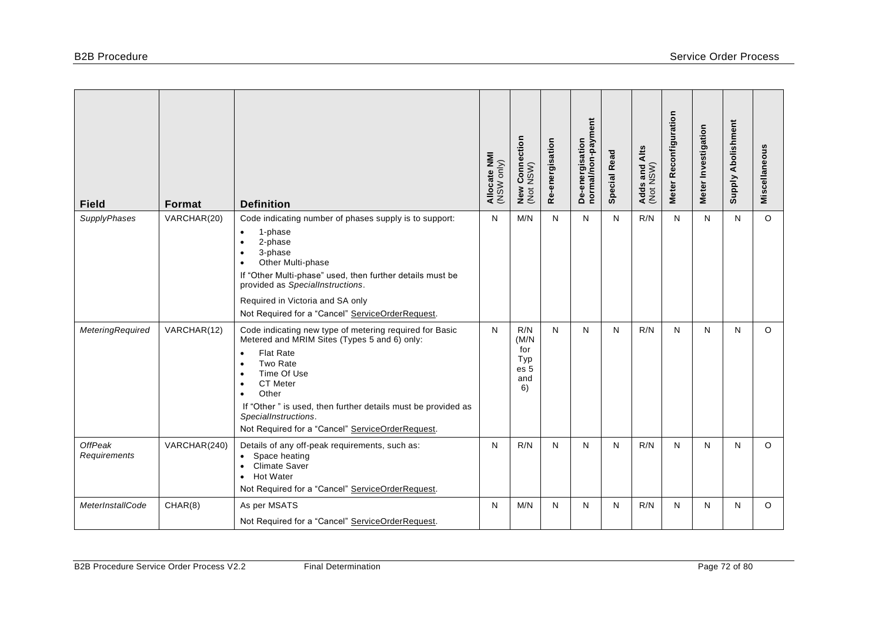| <b>Field</b>                   | Format       | <b>Definition</b>                                                                                                                                                                                                                                                                                                                                                           | Allocate NMI<br>(NSW only) | <b>Connection</b><br>NSW)<br>New<br>(Not        | Re-energisation | normal/non-payment<br>De-energisation | <b>Special Read</b> | Adds and Alts<br>(Not NSW) | Meter Reconfiguration | Meter Investigation | <b>Supply Abolishment</b> | Miscellaneous |
|--------------------------------|--------------|-----------------------------------------------------------------------------------------------------------------------------------------------------------------------------------------------------------------------------------------------------------------------------------------------------------------------------------------------------------------------------|----------------------------|-------------------------------------------------|-----------------|---------------------------------------|---------------------|----------------------------|-----------------------|---------------------|---------------------------|---------------|
| SupplyPhases                   | VARCHAR(20)  | Code indicating number of phases supply is to support:<br>1-phase<br>$\bullet$<br>2-phase<br>$\bullet$<br>3-phase<br>$\bullet$<br>Other Multi-phase<br>$\bullet$<br>If "Other Multi-phase" used, then further details must be<br>provided as SpecialInstructions.<br>Required in Victoria and SA only<br>Not Required for a "Cancel" ServiceOrderRequest.                   | N                          | M/N                                             | N               | $\mathsf{N}$                          | N                   | R/N                        | N                     | N                   | N                         | $\circ$       |
| <b>MeteringRequired</b>        | VARCHAR(12)  | Code indicating new type of metering required for Basic<br>Metered and MRIM Sites (Types 5 and 6) only:<br><b>Flat Rate</b><br>$\bullet$<br>Two Rate<br>Time Of Use<br>$\bullet$<br>CT Meter<br>$\bullet$<br>Other<br>$\bullet$<br>If "Other" is used, then further details must be provided as<br>SpecialInstructions.<br>Not Required for a "Cancel" ServiceOrderRequest. | N                          | R/N<br>(M/N)<br>for<br>Typ<br>es 5<br>and<br>6) | N               | N                                     | N                   | R/N                        | N                     | N                   | N                         | $\circ$       |
| <b>OffPeak</b><br>Requirements | VARCHAR(240) | Details of any off-peak requirements, such as:<br>Space heating<br><b>Climate Saver</b><br>$\bullet$<br><b>Hot Water</b><br>$\bullet$<br>Not Required for a "Cancel" ServiceOrderRequest.                                                                                                                                                                                   | N                          | R/N                                             | N               | $\mathsf{N}$                          | N                   | R/N                        | N                     | $\mathsf{N}$        | N                         | $\circ$       |
| <b>MeterInstallCode</b>        | CHAR(8)      | As per MSATS<br>Not Required for a "Cancel" ServiceOrderRequest.                                                                                                                                                                                                                                                                                                            | N                          | M/N                                             | N               | N                                     | N                   | R/N                        | N                     | N                   | N                         | $\circ$       |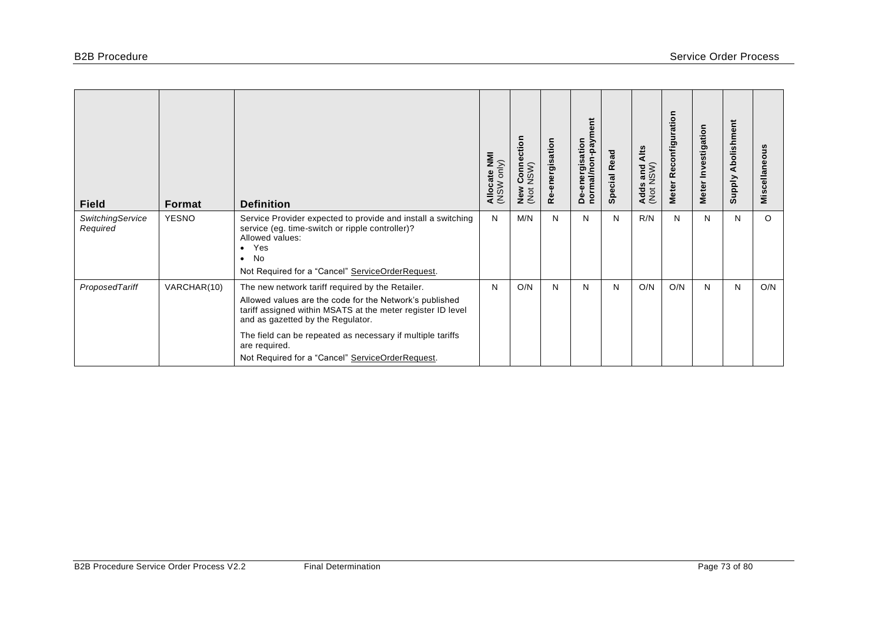| <b>Field</b>                 | <b>Format</b> | <b>Definition</b>                                                                                                                                                                                                                                                                                                                                  | Allocate NMI<br>(NSW only) | ction<br>Conne<br>NSW)<br>ပ<br>New<br>(Not | Re-energisation | ā<br>m/red-i<br>De-energisation<br>normal/non | <b>Special Read</b> | Alts<br>s and<br>NSW)<br><b>Adds</b><br>(Not | Reconfiguration<br><b>Meter</b> | Meter Investigation | Abolishment<br><b>Supply</b> | Miscellaneous |
|------------------------------|---------------|----------------------------------------------------------------------------------------------------------------------------------------------------------------------------------------------------------------------------------------------------------------------------------------------------------------------------------------------------|----------------------------|--------------------------------------------|-----------------|-----------------------------------------------|---------------------|----------------------------------------------|---------------------------------|---------------------|------------------------------|---------------|
| SwitchingService<br>Required | <b>YESNO</b>  | Service Provider expected to provide and install a switching<br>service (eg. time-switch or ripple controller)?<br>Allowed values:<br>Yes<br>$\bullet$<br><b>No</b><br>$\bullet$<br>Not Required for a "Cancel" ServiceOrderRequest.                                                                                                               | N                          | M/N                                        | N               | N                                             | N                   | R/N                                          | N                               | N                   | N                            | $\circ$       |
| ProposedTariff               | VARCHAR(10)   | The new network tariff required by the Retailer.<br>Allowed values are the code for the Network's published<br>tariff assigned within MSATS at the meter register ID level<br>and as gazetted by the Regulator.<br>The field can be repeated as necessary if multiple tariffs<br>are required.<br>Not Required for a "Cancel" ServiceOrderRequest. | N                          | O/N                                        | N               | N                                             | N                   | O/N                                          | O/N                             | N                   | N                            | O/N           |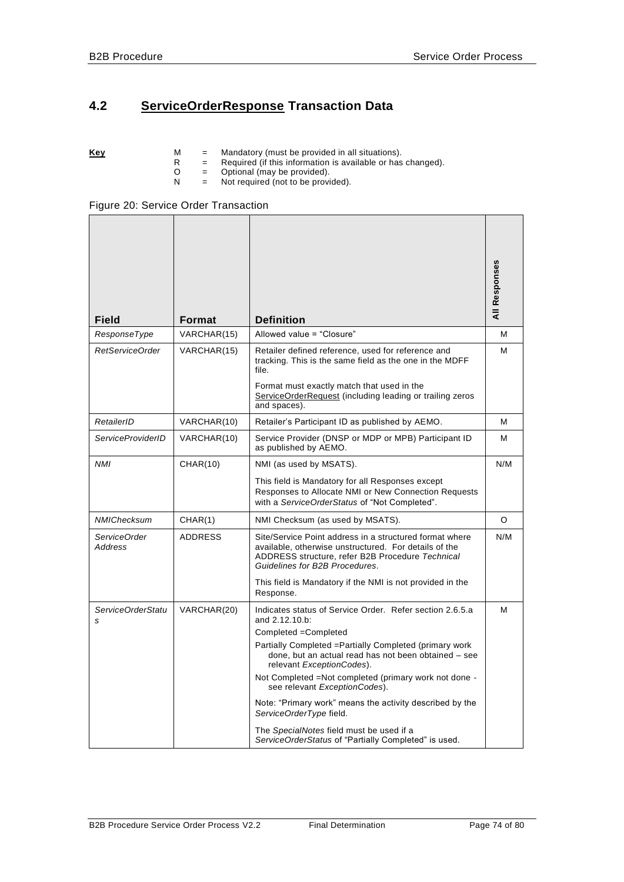# **4.2 ServiceOrderResponse Transaction Data**

|  | Kev |  |  | Mandatory (must be provided in all situations). |
|--|-----|--|--|-------------------------------------------------|
|--|-----|--|--|-------------------------------------------------|

- R = Required (if this information is available or has changed).
- O = Optional (may be provided).
- N = Not required (not to be provided).

| <b>Field</b>             | Format         | <b>Definition</b>                                                                                                                                                                                      | All Responses |
|--------------------------|----------------|--------------------------------------------------------------------------------------------------------------------------------------------------------------------------------------------------------|---------------|
| ResponseType             | VARCHAR(15)    | Allowed value = "Closure"                                                                                                                                                                              | м             |
| RetServiceOrder          | VARCHAR(15)    | Retailer defined reference, used for reference and<br>tracking. This is the same field as the one in the MDFF<br>file.                                                                                 | м             |
|                          |                | Format must exactly match that used in the<br>ServiceOrderRequest (including leading or trailing zeros<br>and spaces).                                                                                 |               |
| RetailerID               | VARCHAR(10)    | Retailer's Participant ID as published by AEMO.                                                                                                                                                        | M             |
| <b>ServiceProviderID</b> | VARCHAR(10)    | Service Provider (DNSP or MDP or MPB) Participant ID<br>as published by AEMO.                                                                                                                          | м             |
| <b>NMI</b>               | CHAR(10)       | NMI (as used by MSATS).                                                                                                                                                                                | N/M           |
|                          |                | This field is Mandatory for all Responses except<br>Responses to Allocate NMI or New Connection Requests<br>with a ServiceOrderStatus of "Not Completed".                                              |               |
| NMIChecksum              | CHAR(1)        | NMI Checksum (as used by MSATS).                                                                                                                                                                       | O             |
| ServiceOrder<br>Address  | <b>ADDRESS</b> | Site/Service Point address in a structured format where<br>available, otherwise unstructured. For details of the<br>ADDRESS structure, refer B2B Procedure Technical<br>Guidelines for B2B Procedures. | N/M           |
|                          |                | This field is Mandatory if the NMI is not provided in the<br>Response.                                                                                                                                 |               |
| ServiceOrderStatu<br>s   | VARCHAR(20)    | Indicates status of Service Order. Refer section 2.6.5.a<br>and 2.12.10.b:                                                                                                                             | м             |
|                          |                | Completed = Completed                                                                                                                                                                                  |               |
|                          |                | Partially Completed = Partially Completed (primary work<br>done, but an actual read has not been obtained - see<br>relevant ExceptionCodes).                                                           |               |
|                          |                | Not Completed = Not completed (primary work not done -<br>see relevant ExceptionCodes).                                                                                                                |               |
|                          |                | Note: "Primary work" means the activity described by the<br>ServiceOrderType field.                                                                                                                    |               |
|                          |                | The SpecialNotes field must be used if a<br>ServiceOrderStatus of "Partially Completed" is used.                                                                                                       |               |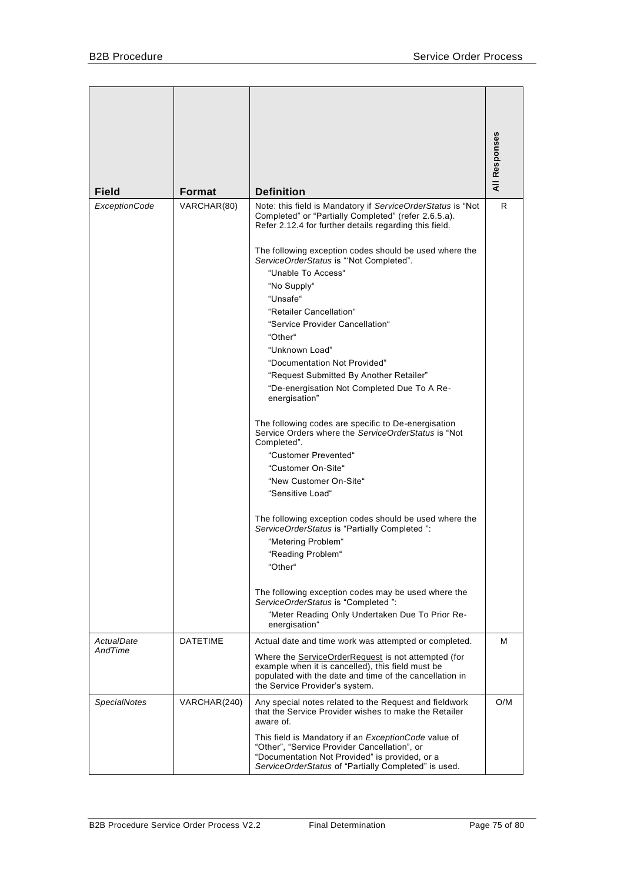| <b>Field</b>         | <b>Format</b>   | <b>Definition</b>                                                                                                                                                                                                     | All Responses |
|----------------------|-----------------|-----------------------------------------------------------------------------------------------------------------------------------------------------------------------------------------------------------------------|---------------|
| <b>ExceptionCode</b> | VARCHAR(80)     | Note: this field is Mandatory if ServiceOrderStatus is "Not                                                                                                                                                           | R             |
|                      |                 | Completed" or "Partially Completed" (refer 2.6.5.a).<br>Refer 2.12.4 for further details regarding this field.                                                                                                        |               |
|                      |                 | The following exception codes should be used where the<br>ServiceOrderStatus is "'Not Completed".                                                                                                                     |               |
|                      |                 | "Unable To Access"                                                                                                                                                                                                    |               |
|                      |                 | "No Supply"                                                                                                                                                                                                           |               |
|                      |                 | "Unsafe"                                                                                                                                                                                                              |               |
|                      |                 | "Retailer Cancellation"                                                                                                                                                                                               |               |
|                      |                 | "Service Provider Cancellation"                                                                                                                                                                                       |               |
|                      |                 | "Other"<br>"Unknown Load"                                                                                                                                                                                             |               |
|                      |                 | "Documentation Not Provided"                                                                                                                                                                                          |               |
|                      |                 | "Request Submitted By Another Retailer"                                                                                                                                                                               |               |
|                      |                 | "De-energisation Not Completed Due To A Re-                                                                                                                                                                           |               |
|                      |                 | energisation"                                                                                                                                                                                                         |               |
|                      |                 | The following codes are specific to De-energisation<br>Service Orders where the ServiceOrderStatus is "Not<br>Completed".                                                                                             |               |
|                      |                 | "Customer Prevented"                                                                                                                                                                                                  |               |
|                      |                 | "Customer On-Site"                                                                                                                                                                                                    |               |
|                      |                 | "New Customer On-Site"                                                                                                                                                                                                |               |
|                      |                 | "Sensitive Load"                                                                                                                                                                                                      |               |
|                      |                 | The following exception codes should be used where the<br>ServiceOrderStatus is "Partially Completed":                                                                                                                |               |
|                      |                 | "Metering Problem"                                                                                                                                                                                                    |               |
|                      |                 | "Reading Problem"                                                                                                                                                                                                     |               |
|                      |                 | "Other"                                                                                                                                                                                                               |               |
|                      |                 | The following exception codes may be used where the<br>ServiceOrderStatus is "Completed":                                                                                                                             |               |
|                      |                 | "Meter Reading Only Undertaken Due To Prior Re-<br>energisation"                                                                                                                                                      |               |
| ActualDate           | <b>DATETIME</b> | Actual date and time work was attempted or completed.                                                                                                                                                                 | м             |
| AndTime              |                 | Where the <b>ServiceOrderRequest</b> is not attempted (for<br>example when it is cancelled), this field must be<br>populated with the date and time of the cancellation in<br>the Service Provider's system.          |               |
| <b>SpecialNotes</b>  | VARCHAR(240)    | Any special notes related to the Request and fieldwork<br>that the Service Provider wishes to make the Retailer<br>aware of.                                                                                          | O/M           |
|                      |                 | This field is Mandatory if an <i>ExceptionCode</i> value of<br>"Other", "Service Provider Cancellation", or<br>"Documentation Not Provided" is provided, or a<br>ServiceOrderStatus of "Partially Completed" is used. |               |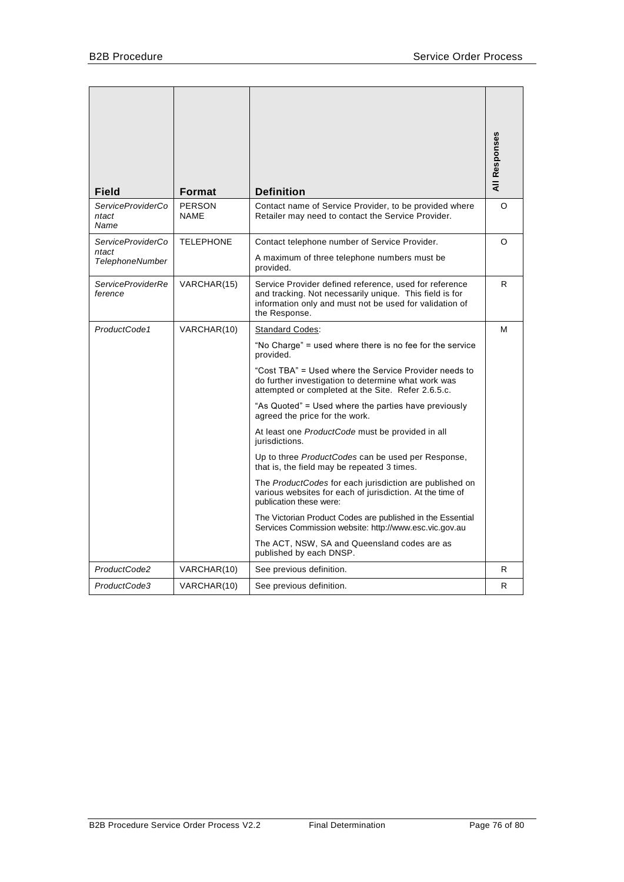| Field                                                | Format                       | <b>Definition</b>                                                                                                                                                                                                                                                                                                                                                                                                                                                                                                                                                                                                                                                                                                                                                                                                                                                                                       | <b>All Responses</b> |
|------------------------------------------------------|------------------------------|---------------------------------------------------------------------------------------------------------------------------------------------------------------------------------------------------------------------------------------------------------------------------------------------------------------------------------------------------------------------------------------------------------------------------------------------------------------------------------------------------------------------------------------------------------------------------------------------------------------------------------------------------------------------------------------------------------------------------------------------------------------------------------------------------------------------------------------------------------------------------------------------------------|----------------------|
| ServiceProviderCo<br>ntact<br>Name                   | <b>PERSON</b><br><b>NAME</b> | Contact name of Service Provider, to be provided where<br>Retailer may need to contact the Service Provider.                                                                                                                                                                                                                                                                                                                                                                                                                                                                                                                                                                                                                                                                                                                                                                                            | O                    |
| ServiceProviderCo<br>ntact<br><b>TelephoneNumber</b> | <b>TELEPHONE</b>             | Contact telephone number of Service Provider.<br>A maximum of three telephone numbers must be<br>provided.                                                                                                                                                                                                                                                                                                                                                                                                                                                                                                                                                                                                                                                                                                                                                                                              | O                    |
| <b>ServiceProviderRe</b><br>ference                  | VARCHAR(15)                  | Service Provider defined reference, used for reference<br>and tracking. Not necessarily unique. This field is for<br>information only and must not be used for validation of<br>the Response.                                                                                                                                                                                                                                                                                                                                                                                                                                                                                                                                                                                                                                                                                                           | R.                   |
| ProductCode1                                         | VARCHAR(10)                  | <b>Standard Codes:</b><br>"No Charge" = used where there is no fee for the service<br>provided.<br>"Cost TBA" = Used where the Service Provider needs to<br>do further investigation to determine what work was<br>attempted or completed at the Site. Refer 2.6.5.c.<br>"As Quoted" = Used where the parties have previously<br>agreed the price for the work.<br>At least one ProductCode must be provided in all<br>jurisdictions.<br>Up to three ProductCodes can be used per Response,<br>that is, the field may be repeated 3 times.<br>The <i>ProductCodes</i> for each jurisdiction are published on<br>various websites for each of jurisdiction. At the time of<br>publication these were:<br>The Victorian Product Codes are published in the Essential<br>Services Commission website: http://www.esc.vic.gov.au<br>The ACT, NSW, SA and Queensland codes are as<br>published by each DNSP. | м                    |
| ProductCode2                                         | VARCHAR(10)                  | See previous definition.                                                                                                                                                                                                                                                                                                                                                                                                                                                                                                                                                                                                                                                                                                                                                                                                                                                                                | R.                   |
| ProductCode3                                         | VARCHAR(10)                  | See previous definition.                                                                                                                                                                                                                                                                                                                                                                                                                                                                                                                                                                                                                                                                                                                                                                                                                                                                                | R.                   |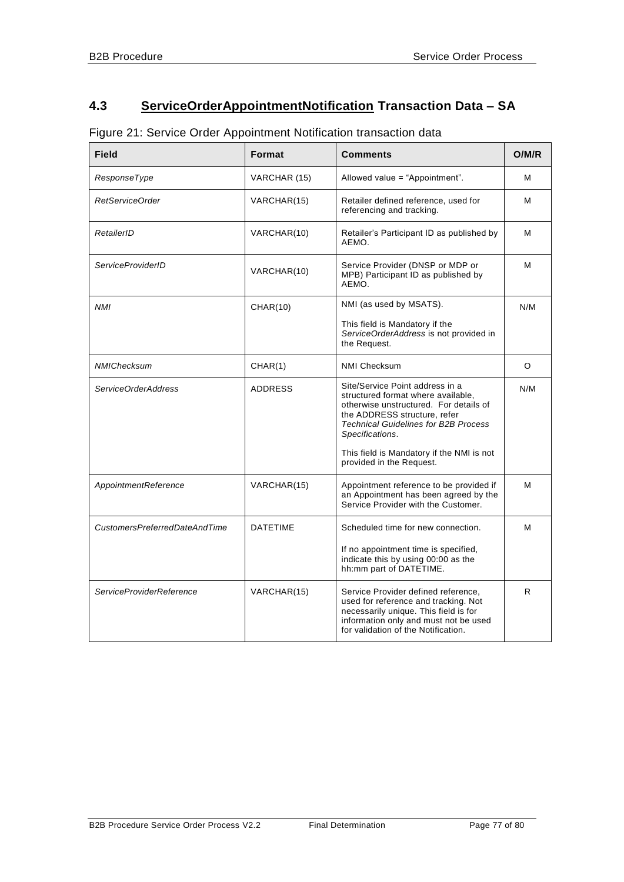# **4.3 ServiceOrderAppointmentNotification Transaction Data – SA**

| Figure 21: Service Order Appointment Notification transaction data |  |  |  |  |
|--------------------------------------------------------------------|--|--|--|--|
|--------------------------------------------------------------------|--|--|--|--|

| <b>Field</b>                    | Format          | Comments                                                                                                                                                                                                                                                       | O/M/R |
|---------------------------------|-----------------|----------------------------------------------------------------------------------------------------------------------------------------------------------------------------------------------------------------------------------------------------------------|-------|
| ResponseType                    | VARCHAR (15)    | Allowed value = "Appointment".                                                                                                                                                                                                                                 | м     |
| RetServiceOrder                 | VARCHAR(15)     | Retailer defined reference, used for<br>referencing and tracking.                                                                                                                                                                                              | м     |
| RetailerID                      | VARCHAR(10)     | Retailer's Participant ID as published by<br>AEMO.                                                                                                                                                                                                             | м     |
| <b>ServiceProviderID</b>        | VARCHAR(10)     | Service Provider (DNSP or MDP or<br>MPB) Participant ID as published by<br>AEMO.                                                                                                                                                                               | м     |
| <b>NMI</b>                      | <b>CHAR(10)</b> | NMI (as used by MSATS).                                                                                                                                                                                                                                        | N/M   |
|                                 |                 | This field is Mandatory if the<br>ServiceOrderAddress is not provided in<br>the Request.                                                                                                                                                                       |       |
| NMIChecksum                     | CHAR(1)         | <b>NMI Checksum</b>                                                                                                                                                                                                                                            | O     |
| ServiceOrderAddress             | <b>ADDRESS</b>  | Site/Service Point address in a<br>structured format where available,<br>otherwise unstructured. For details of<br>the ADDRESS structure, refer<br><b>Technical Guidelines for B2B Process</b><br>Specifications.<br>This field is Mandatory if the NMI is not | N/M   |
|                                 |                 | provided in the Request.                                                                                                                                                                                                                                       |       |
| AppointmentReference            | VARCHAR(15)     | Appointment reference to be provided if<br>an Appointment has been agreed by the<br>Service Provider with the Customer.                                                                                                                                        | м     |
| CustomersPreferredDateAndTime   | <b>DATETIME</b> | Scheduled time for new connection.                                                                                                                                                                                                                             | м     |
|                                 |                 | If no appointment time is specified,<br>indicate this by using 00:00 as the<br>hh:mm part of DATETIME.                                                                                                                                                         |       |
| <b>ServiceProviderReference</b> | VARCHAR(15)     | Service Provider defined reference,<br>used for reference and tracking. Not<br>necessarily unique. This field is for<br>information only and must not be used<br>for validation of the Notification.                                                           | R     |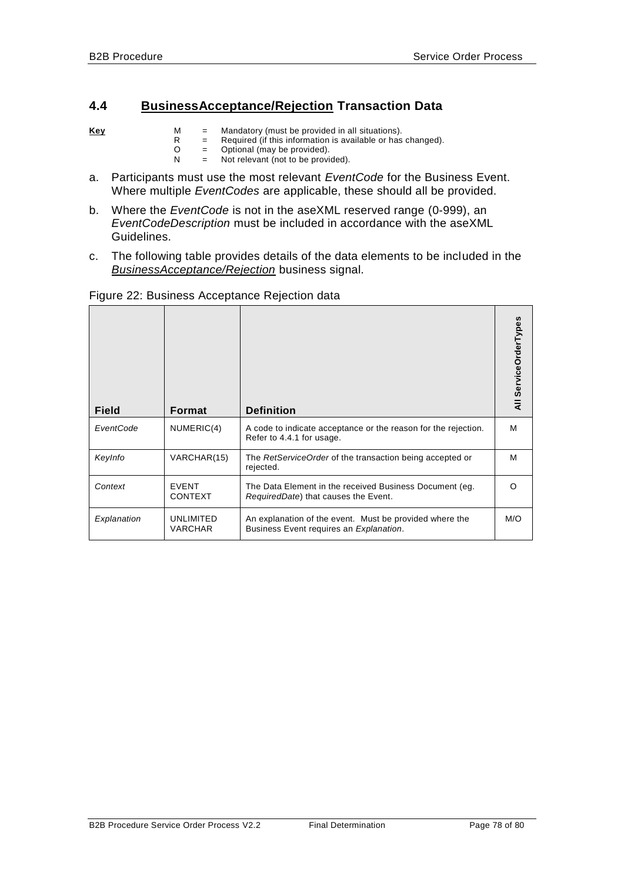## **4.4 BusinessAcceptance/Rejection Transaction Data**

- **Key** M = Mandatory (must be provided in all situations).
	- R = Required (if this information is available or has changed).
	- O = Optional (may be provided).
	- N = Not relevant (not to be provided).
- a. Participants must use the most relevant *EventCode* for the Business Event. Where multiple *EventCodes* are applicable, these should all be provided.
- b. Where the *EventCode* is not in the aseXML reserved range (0-999), an *EventCodeDescription* must be included in accordance with the aseXML Guidelines.
- c. The following table provides details of the data elements to be included in the *BusinessAcceptance/Rejection* business signal.

| <b>Field</b> | <b>Format</b>                  | <b>Definition</b>                                                                                  | All ServiceOrderTypes |
|--------------|--------------------------------|----------------------------------------------------------------------------------------------------|-----------------------|
| EventCode    | NUMERIC(4)                     | A code to indicate acceptance or the reason for the rejection.<br>Refer to 4.4.1 for usage.        | м                     |
| KeyInfo      | VARCHAR(15)                    | The RetServiceOrder of the transaction being accepted or<br>rejected.                              | м                     |
| Context      | <b>EVENT</b><br><b>CONTEXT</b> | The Data Element in the received Business Document (eg.<br>RequiredDate) that causes the Event.    | ∩                     |
| Explanation  | UNLIMITED<br><b>VARCHAR</b>    | An explanation of the event. Must be provided where the<br>Business Event requires an Explanation. | M/O                   |

### Figure 22: Business Acceptance Rejection data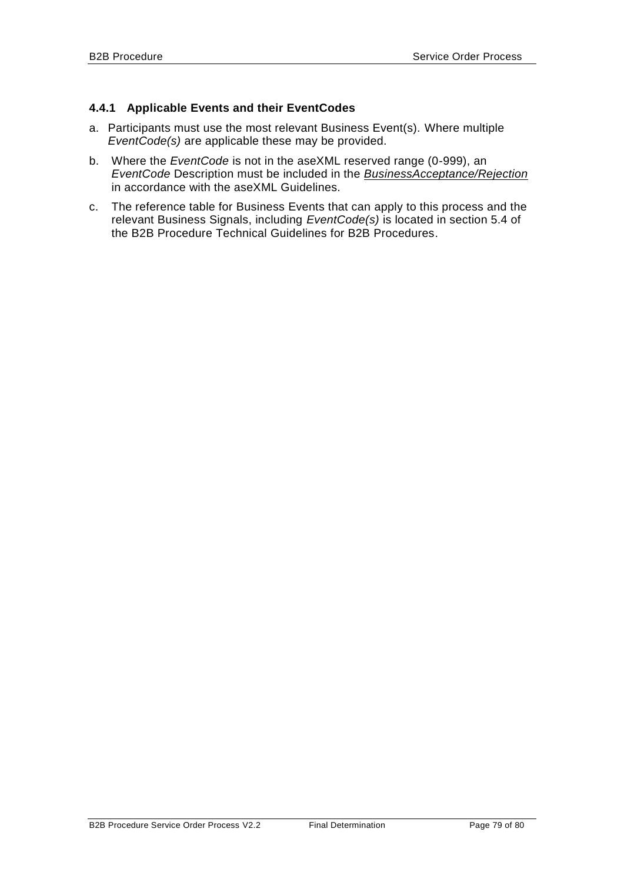### <span id="page-78-0"></span>**4.4.1 Applicable Events and their EventCodes**

- a. Participants must use the most relevant Business Event(s). Where multiple *EventCode(s)* are applicable these may be provided.
- b. Where the *EventCode* is not in the aseXML reserved range (0-999), an *EventCode* Description must be included in the *BusinessAcceptance/Rejection* in accordance with the aseXML Guidelines.
- c. The reference table for Business Events that can apply to this process and the relevant Business Signals, including *EventCode(s)* is located in section 5.4 of the B2B Procedure Technical Guidelines for B2B Procedures.